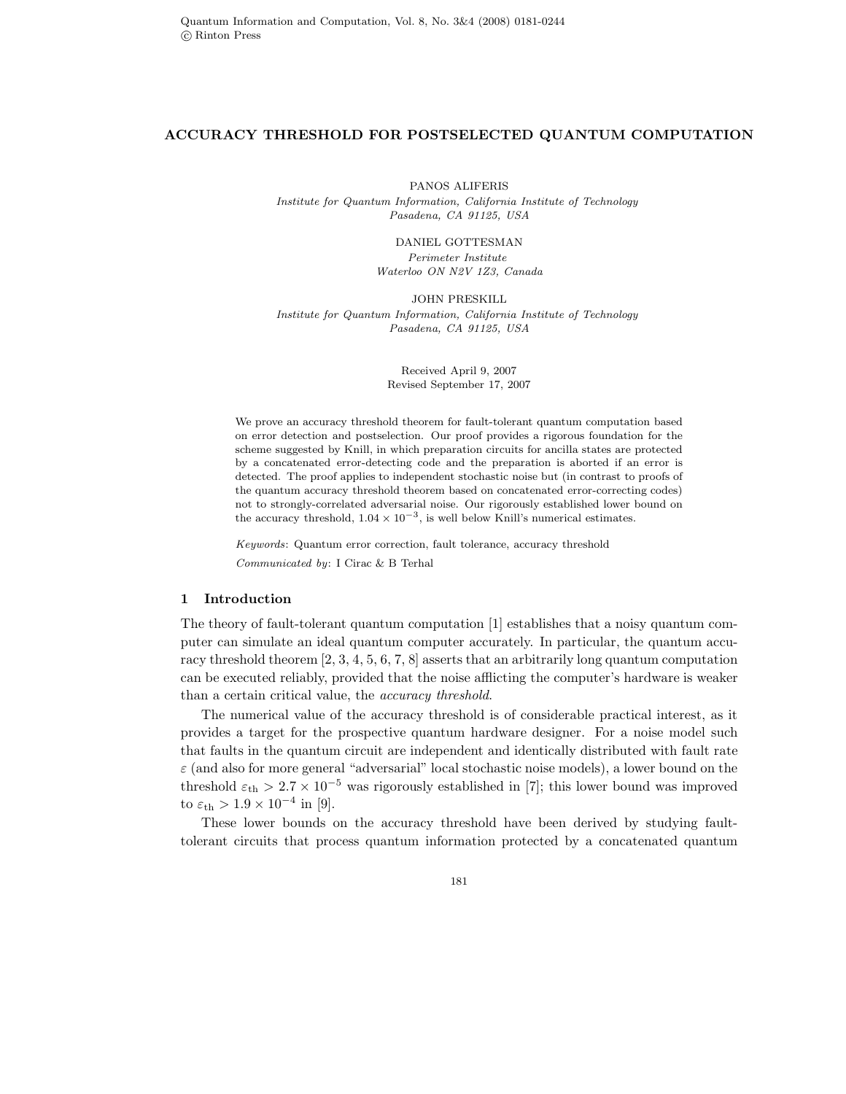#### **ACCURACY THRESHOLD FOR POSTSELECTED QUANTUM COMPUTATION**

PANOS ALIFERIS *Institute for Quantum Information, California Institute of Technology Pasadena, CA 91125, USA*

DANIEL GOTTESMAN

*Perimeter Institute Waterloo ON N2V 1Z3, Canada*

JOHN PRESKILL *Institute for Quantum Information, California Institute of Technology Pasadena, CA 91125, USA*

> Received April 9, 2007 Revised September 17, 2007

We prove an accuracy threshold theorem for fault-tolerant quantum computation based on error detection and postselection. Our proof provides a rigorous foundation for the scheme suggested by Knill, in which preparation circuits for ancilla states are protected by a concatenated error-detecting code and the preparation is aborted if an error is detected. The proof applies to independent stochastic noise but (in contrast to proofs of the quantum accuracy threshold theorem based on concatenated error-correcting codes) not to strongly-correlated adversarial noise. Our rigorously established lower bound on the accuracy threshold,  $1.04 \times 10^{-3}$ , is well below Knill's numerical estimates.

*Keywords*: Quantum error correction, fault tolerance, accuracy threshold *Communicated by*: I Cirac & B Terhal

# **1 Introduction**

The theory of fault-tolerant quantum computation [1] establishes that a noisy quantum computer can simulate an ideal quantum computer accurately. In particular, the quantum accuracy threshold theorem [2, 3, 4, 5, 6, 7, 8] asserts that an arbitrarily long quantum computation can be executed reliably, provided that the noise afflicting the computer's hardware is weaker than a certain critical value, the *accuracy threshold*.

The numerical value of the accuracy threshold is of considerable practical interest, as it provides a target for the prospective quantum hardware designer. For a noise model such that faults in the quantum circuit are independent and identically distributed with fault rate  $\varepsilon$  (and also for more general "adversarial" local stochastic noise models), a lower bound on the threshold  $\varepsilon_{\rm th} > 2.7 \times 10^{-5}$  was rigorously established in [7]; this lower bound was improved to  $\varepsilon_{\text{th}} > 1.9 \times 10^{-4}$  in [9].

These lower bounds on the accuracy threshold have been derived by studying faulttolerant circuits that process quantum information protected by a concatenated quantum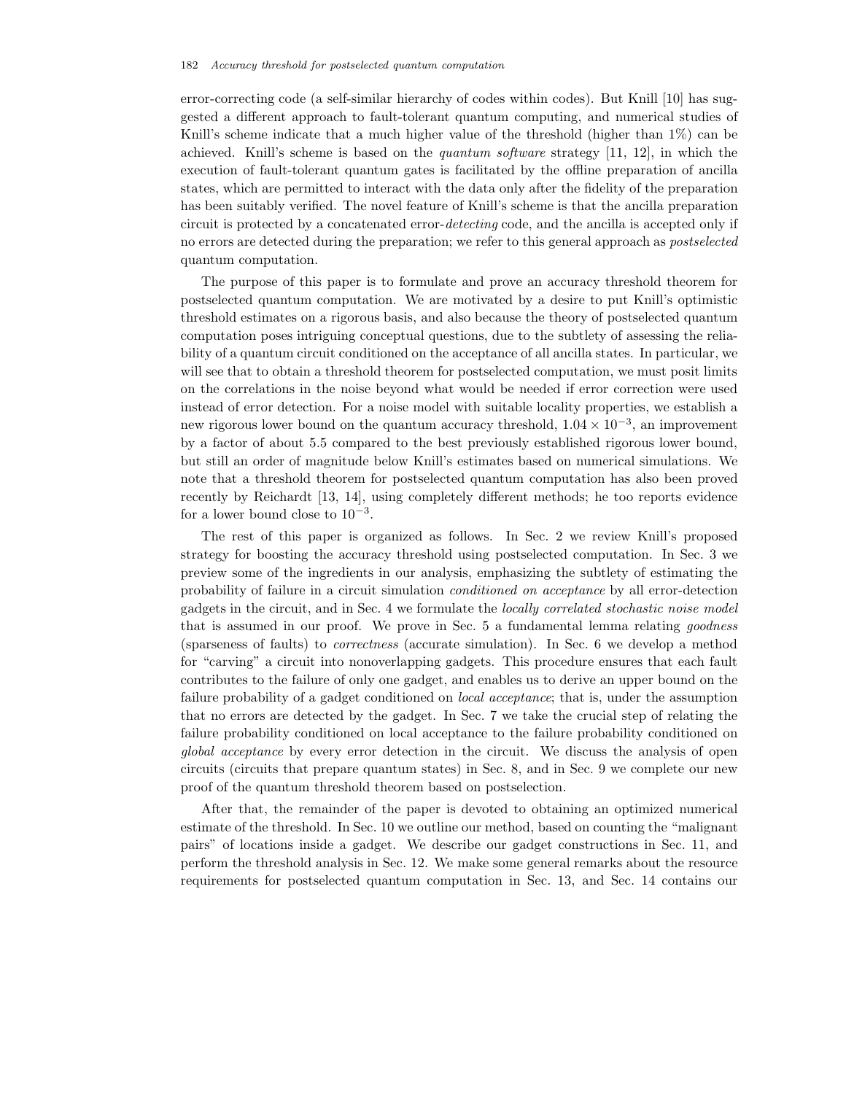error-correcting code (a self-similar hierarchy of codes within codes). But Knill [10] has suggested a different approach to fault-tolerant quantum computing, and numerical studies of Knill's scheme indicate that a much higher value of the threshold (higher than 1%) can be achieved. Knill's scheme is based on the *quantum software* strategy [11, 12], in which the execution of fault-tolerant quantum gates is facilitated by the offline preparation of ancilla states, which are permitted to interact with the data only after the fidelity of the preparation has been suitably verified. The novel feature of Knill's scheme is that the ancilla preparation circuit is protected by a concatenated error-*detecting* code, and the ancilla is accepted only if no errors are detected during the preparation; we refer to this general approach as *postselected* quantum computation.

The purpose of this paper is to formulate and prove an accuracy threshold theorem for postselected quantum computation. We are motivated by a desire to put Knill's optimistic threshold estimates on a rigorous basis, and also because the theory of postselected quantum computation poses intriguing conceptual questions, due to the subtlety of assessing the reliability of a quantum circuit conditioned on the acceptance of all ancilla states. In particular, we will see that to obtain a threshold theorem for postselected computation, we must posit limits on the correlations in the noise beyond what would be needed if error correction were used instead of error detection. For a noise model with suitable locality properties, we establish a new rigorous lower bound on the quantum accuracy threshold,  $1.04 \times 10^{-3}$ , an improvement by a factor of about 5.5 compared to the best previously established rigorous lower bound, but still an order of magnitude below Knill's estimates based on numerical simulations. We note that a threshold theorem for postselected quantum computation has also been proved recently by Reichardt [13, 14], using completely different methods; he too reports evidence for a lower bound close to  $10^{-3}$ .

The rest of this paper is organized as follows. In Sec. 2 we review Knill's proposed strategy for boosting the accuracy threshold using postselected computation. In Sec. 3 we preview some of the ingredients in our analysis, emphasizing the subtlety of estimating the probability of failure in a circuit simulation *conditioned on acceptance* by all error-detection gadgets in the circuit, and in Sec. 4 we formulate the *locally correlated stochastic noise model* that is assumed in our proof. We prove in Sec. 5 a fundamental lemma relating *goodness* (sparseness of faults) to *correctness* (accurate simulation). In Sec. 6 we develop a method for "carving" a circuit into nonoverlapping gadgets. This procedure ensures that each fault contributes to the failure of only one gadget, and enables us to derive an upper bound on the failure probability of a gadget conditioned on *local acceptance*; that is, under the assumption that no errors are detected by the gadget. In Sec. 7 we take the crucial step of relating the failure probability conditioned on local acceptance to the failure probability conditioned on *global acceptance* by every error detection in the circuit. We discuss the analysis of open circuits (circuits that prepare quantum states) in Sec. 8, and in Sec. 9 we complete our new proof of the quantum threshold theorem based on postselection.

After that, the remainder of the paper is devoted to obtaining an optimized numerical estimate of the threshold. In Sec. 10 we outline our method, based on counting the "malignant pairs" of locations inside a gadget. We describe our gadget constructions in Sec. 11, and perform the threshold analysis in Sec. 12. We make some general remarks about the resource requirements for postselected quantum computation in Sec. 13, and Sec. 14 contains our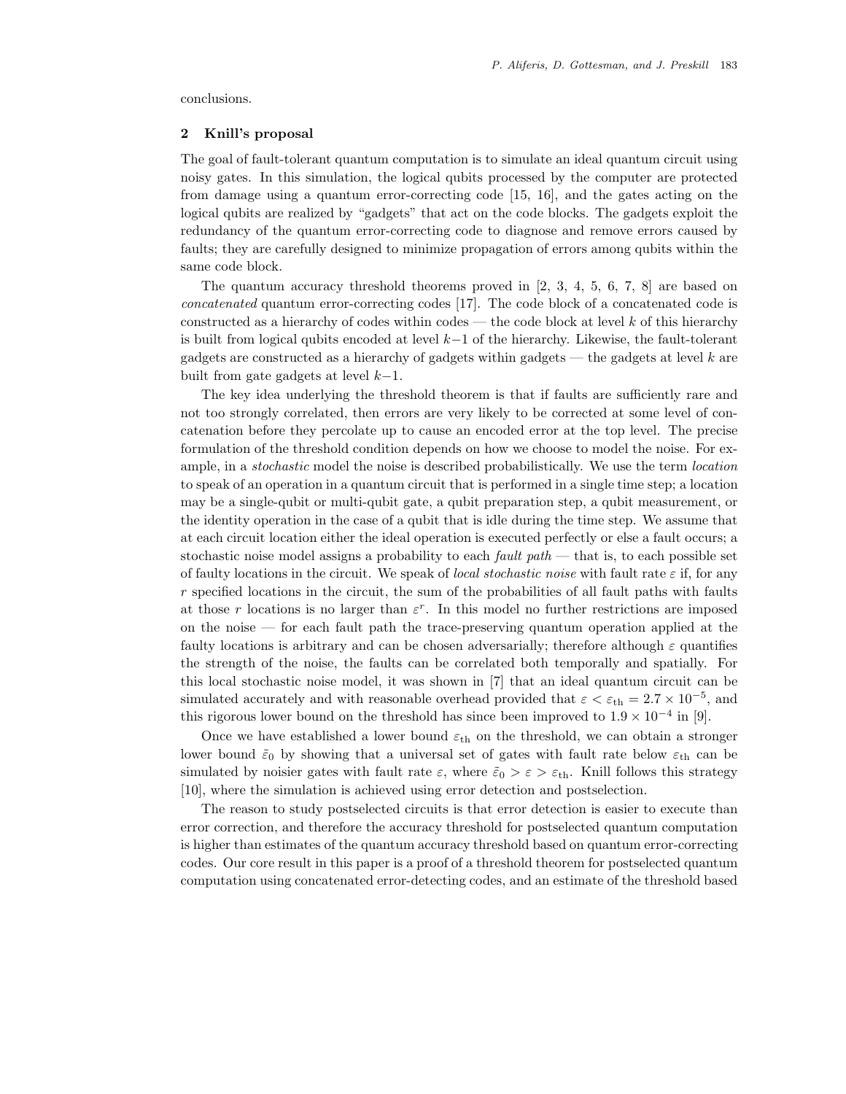conclusions.

# **2 Knill's proposal**

The goal of fault-tolerant quantum computation is to simulate an ideal quantum circuit using noisy gates. In this simulation, the logical qubits processed by the computer are protected from damage using a quantum error-correcting code [15, 16], and the gates acting on the logical qubits are realized by "gadgets" that act on the code blocks. The gadgets exploit the redundancy of the quantum error-correcting code to diagnose and remove errors caused by faults; they are carefully designed to minimize propagation of errors among qubits within the same code block.

The quantum accuracy threshold theorems proved in [2, 3, 4, 5, 6, 7, 8] are based on *concatenated* quantum error-correcting codes [17]. The code block of a concatenated code is constructed as a hierarchy of codes within codes — the code block at level  $k$  of this hierarchy is built from logical qubits encoded at level k−1 of the hierarchy. Likewise, the fault-tolerant gadgets are constructed as a hierarchy of gadgets within gadgets — the gadgets at level  $k$  are built from gate gadgets at level  $k-1$ .

The key idea underlying the threshold theorem is that if faults are sufficiently rare and not too strongly correlated, then errors are very likely to be corrected at some level of concatenation before they percolate up to cause an encoded error at the top level. The precise formulation of the threshold condition depends on how we choose to model the noise. For example, in a *stochastic* model the noise is described probabilistically. We use the term *location* to speak of an operation in a quantum circuit that is performed in a single time step; a location may be a single-qubit or multi-qubit gate, a qubit preparation step, a qubit measurement, or the identity operation in the case of a qubit that is idle during the time step. We assume that at each circuit location either the ideal operation is executed perfectly or else a fault occurs; a stochastic noise model assigns a probability to each *fault path* — that is, to each possible set of faulty locations in the circuit. We speak of *local stochastic noise* with fault rate  $\varepsilon$  if, for any  $r$  specified locations in the circuit, the sum of the probabilities of all fault paths with faults at those r locations is no larger than  $\varepsilon^r$ . In this model no further restrictions are imposed on the noise — for each fault path the trace-preserving quantum operation applied at the faulty locations is arbitrary and can be chosen adversarially; therefore although  $\varepsilon$  quantifies the strength of the noise, the faults can be correlated both temporally and spatially. For this local stochastic noise model, it was shown in [7] that an ideal quantum circuit can be simulated accurately and with reasonable overhead provided that  $\varepsilon < \varepsilon_{\text{th}} = 2.7 \times 10^{-5}$ , and this rigorous lower bound on the threshold has since been improved to  $1.9 \times 10^{-4}$  in [9].

Once we have established a lower bound  $\varepsilon_{\text{th}}$  on the threshold, we can obtain a stronger lower bound  $\tilde{\varepsilon}_0$  by showing that a universal set of gates with fault rate below  $\varepsilon_{\text{th}}$  can be simulated by noisier gates with fault rate  $\varepsilon$ , where  $\tilde{\varepsilon}_0 > \varepsilon > \varepsilon_{\text{th}}$ . Knill follows this strategy [10], where the simulation is achieved using error detection and postselection.

The reason to study postselected circuits is that error detection is easier to execute than error correction, and therefore the accuracy threshold for postselected quantum computation is higher than estimates of the quantum accuracy threshold based on quantum error-correcting codes. Our core result in this paper is a proof of a threshold theorem for postselected quantum computation using concatenated error-detecting codes, and an estimate of the threshold based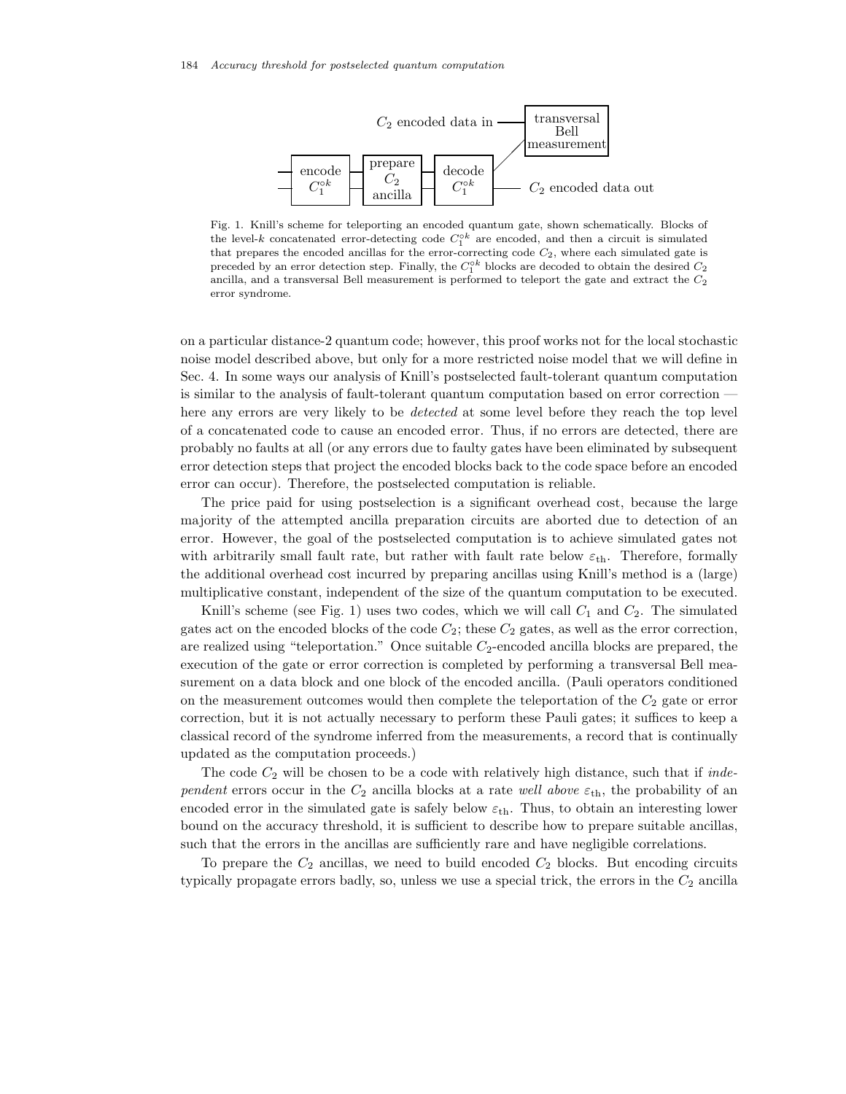

Fig. 1. Knill's scheme for teleporting an encoded quantum gate, shown schematically. Blocks of the level-k concatenated error-detecting code  $C_1^{\circ k}$  are encoded, and then a circuit is simulated that prepares the encoded ancillas for the error-correcting code  $C_2$ , where each simulated gate is preceded by an error detection step. Finally, the  $C_1^{\circ k}$  blocks are decoded to obtain the desired  $C_2$ ancilla, and a transversal Bell measurement is performed to teleport the gate and extract the  $C_2$ error syndrome.

on a particular distance-2 quantum code; however, this proof works not for the local stochastic noise model described above, but only for a more restricted noise model that we will define in Sec. 4. In some ways our analysis of Knill's postselected fault-tolerant quantum computation is similar to the analysis of fault-tolerant quantum computation based on error correction here any errors are very likely to be *detected* at some level before they reach the top level of a concatenated code to cause an encoded error. Thus, if no errors are detected, there are probably no faults at all (or any errors due to faulty gates have been eliminated by subsequent error detection steps that project the encoded blocks back to the code space before an encoded error can occur). Therefore, the postselected computation is reliable.

The price paid for using postselection is a significant overhead cost, because the large majority of the attempted ancilla preparation circuits are aborted due to detection of an error. However, the goal of the postselected computation is to achieve simulated gates not with arbitrarily small fault rate, but rather with fault rate below  $\varepsilon_{\text{th}}$ . Therefore, formally the additional overhead cost incurred by preparing ancillas using Knill's method is a (large) multiplicative constant, independent of the size of the quantum computation to be executed.

Knill's scheme (see Fig. 1) uses two codes, which we will call  $C_1$  and  $C_2$ . The simulated gates act on the encoded blocks of the code  $C_2$ ; these  $C_2$  gates, as well as the error correction, are realized using "teleportation." Once suitable  $C_2$ -encoded ancilla blocks are prepared, the execution of the gate or error correction is completed by performing a transversal Bell measurement on a data block and one block of the encoded ancilla. (Pauli operators conditioned on the measurement outcomes would then complete the teleportation of the  $C_2$  gate or error correction, but it is not actually necessary to perform these Pauli gates; it suffices to keep a classical record of the syndrome inferred from the measurements, a record that is continually updated as the computation proceeds.)

The code  $C_2$  will be chosen to be a code with relatively high distance, such that if *independent* errors occur in the  $C_2$  ancilla blocks at a rate *well above*  $\varepsilon_{th}$ , the probability of an encoded error in the simulated gate is safely below  $\varepsilon_{th}$ . Thus, to obtain an interesting lower bound on the accuracy threshold, it is sufficient to describe how to prepare suitable ancillas, such that the errors in the ancillas are sufficiently rare and have negligible correlations.

To prepare the  $C_2$  ancillas, we need to build encoded  $C_2$  blocks. But encoding circuits typically propagate errors badly, so, unless we use a special trick, the errors in the  $C_2$  ancilla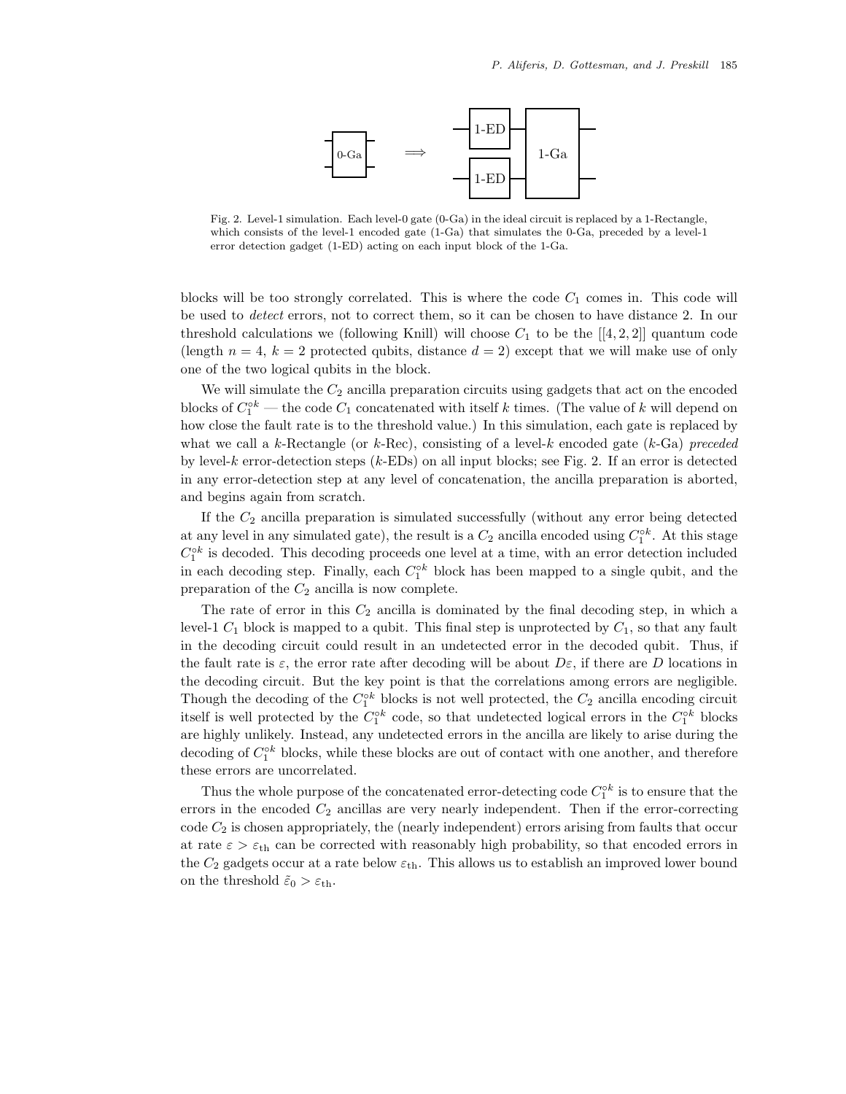

Fig. 2. Level-1 simulation. Each level-0 gate (0-Ga) in the ideal circuit is replaced by a 1-Rectangle, which consists of the level-1 encoded gate  $(1-Ga)$  that simulates the 0-Ga, preceded by a level-1 error detection gadget (1-ED) acting on each input block of the 1-Ga.

blocks will be too strongly correlated. This is where the code  $C_1$  comes in. This code will be used to *detect* errors, not to correct them, so it can be chosen to have distance 2. In our threshold calculations we (following Knill) will choose  $C_1$  to be the [[4, 2, 2]] quantum code (length  $n = 4$ ,  $k = 2$  protected qubits, distance  $d = 2$ ) except that we will make use of only one of the two logical qubits in the block.

We will simulate the  $C_2$  ancilla preparation circuits using gadgets that act on the encoded blocks of  $C_1^{\circ k}$  — the code  $C_1$  concatenated with itself k times. (The value of k will depend on how close the fault rate is to the threshold value.) In this simulation, each gate is replaced by what we call a k-Rectangle (or k-Rec), consisting of a level-k encoded gate (k-Ga) *preceded* by level-k error-detection steps (k-EDs) on all input blocks; see Fig. 2. If an error is detected in any error-detection step at any level of concatenation, the ancilla preparation is aborted, and begins again from scratch.

If the  $C_2$  ancilla preparation is simulated successfully (without any error being detected at any level in any simulated gate), the result is a  $C_2$  ancilla encoded using  $C_1^{\circ k}$ . At this stage  $C_1^{\circ k}$  is decoded. This decoding proceeds one level at a time, with an error detection included in each decoding step. Finally, each  $C_1^{\circ k}$  block has been mapped to a single qubit, and the preparation of the  $C_2$  ancilla is now complete.

The rate of error in this  $C_2$  ancilla is dominated by the final decoding step, in which a level-1  $C_1$  block is mapped to a qubit. This final step is unprotected by  $C_1$ , so that any fault in the decoding circuit could result in an undetected error in the decoded qubit. Thus, if the fault rate is  $\varepsilon$ , the error rate after decoding will be about  $D\varepsilon$ , if there are D locations in the decoding circuit. But the key point is that the correlations among errors are negligible. Though the decoding of the  $C_1^{\circ k}$  blocks is not well protected, the  $C_2$  ancilla encoding circuit itself is well protected by the  $C_1^{\circ k}$  code, so that undetected logical errors in the  $C_1^{\circ k}$  blocks are highly unlikely. Instead, any undetected errors in the ancilla are likely to arise during the decoding of  $C_1^{\circ k}$  blocks, while these blocks are out of contact with one another, and therefore these errors are uncorrelated.

Thus the whole purpose of the concatenated error-detecting code  $C_1^{\circ k}$  is to ensure that the errors in the encoded  $C_2$  ancillas are very nearly independent. Then if the error-correcting  $\text{code } C_2$  is chosen appropriately, the (nearly independent) errors arising from faults that occur at rate  $\varepsilon > \varepsilon_{\text{th}}$  can be corrected with reasonably high probability, so that encoded errors in the  $C_2$  gadgets occur at a rate below  $\varepsilon_{\text{th}}$ . This allows us to establish an improved lower bound on the threshold  $\tilde{\varepsilon}_0 > \varepsilon_{\text{th}}$ .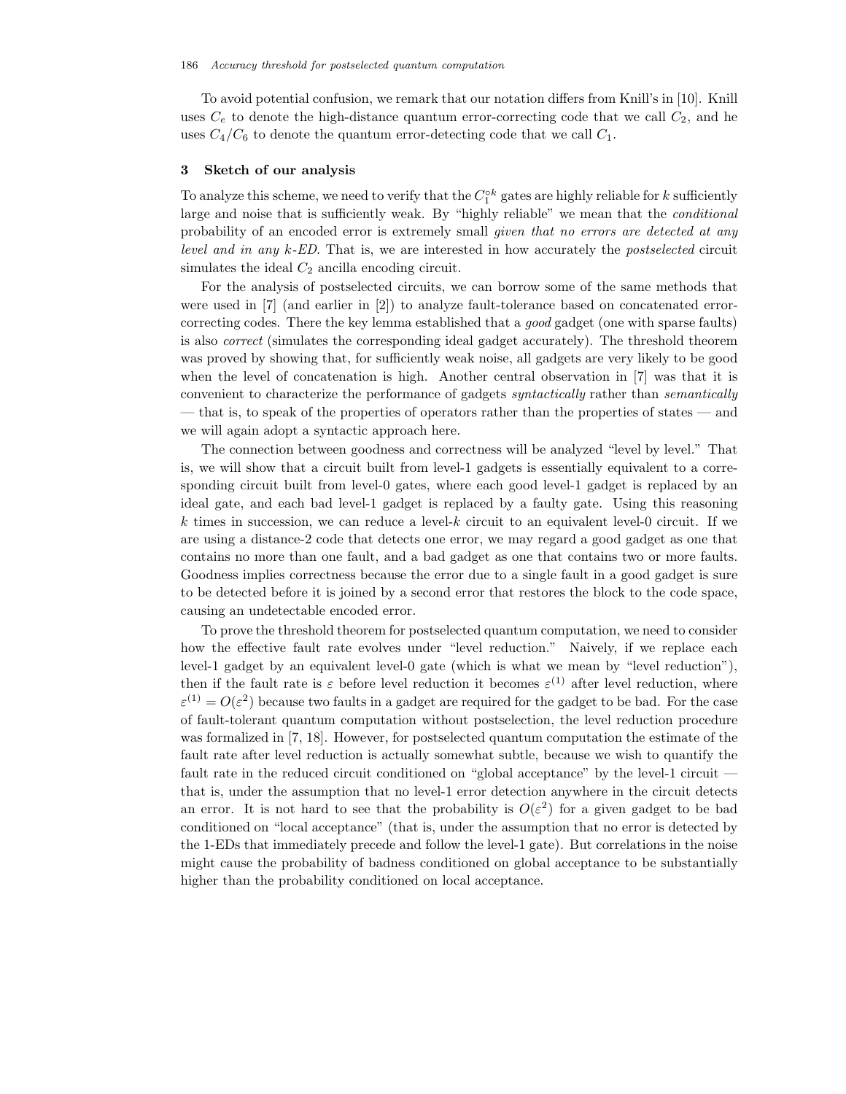To avoid potential confusion, we remark that our notation differs from Knill's in [10]. Knill uses  $C_e$  to denote the high-distance quantum error-correcting code that we call  $C_2$ , and he uses  $C_4/C_6$  to denote the quantum error-detecting code that we call  $C_1$ .

# **3 Sketch of our analysis**

To analyze this scheme, we need to verify that the  $C_1^{\circ k}$  gates are highly reliable for k sufficiently large and noise that is sufficiently weak. By "highly reliable" we mean that the *conditional* probability of an encoded error is extremely small *given that no errors are detected at any level and in any* k*-ED*. That is, we are interested in how accurately the *postselected* circuit simulates the ideal  $C_2$  ancilla encoding circuit.

For the analysis of postselected circuits, we can borrow some of the same methods that were used in [7] (and earlier in [2]) to analyze fault-tolerance based on concatenated errorcorrecting codes. There the key lemma established that a *good* gadget (one with sparse faults) is also *correct* (simulates the corresponding ideal gadget accurately). The threshold theorem was proved by showing that, for sufficiently weak noise, all gadgets are very likely to be good when the level of concatenation is high. Another central observation in [7] was that it is convenient to characterize the performance of gadgets *syntactically* rather than *semantically* — that is, to speak of the properties of operators rather than the properties of states — and we will again adopt a syntactic approach here.

The connection between goodness and correctness will be analyzed "level by level." That is, we will show that a circuit built from level-1 gadgets is essentially equivalent to a corresponding circuit built from level-0 gates, where each good level-1 gadget is replaced by an ideal gate, and each bad level-1 gadget is replaced by a faulty gate. Using this reasoning k times in succession, we can reduce a level-k circuit to an equivalent level-0 circuit. If we are using a distance-2 code that detects one error, we may regard a good gadget as one that contains no more than one fault, and a bad gadget as one that contains two or more faults. Goodness implies correctness because the error due to a single fault in a good gadget is sure to be detected before it is joined by a second error that restores the block to the code space, causing an undetectable encoded error.

To prove the threshold theorem for postselected quantum computation, we need to consider how the effective fault rate evolves under "level reduction." Naively, if we replace each level-1 gadget by an equivalent level-0 gate (which is what we mean by "level reduction"), then if the fault rate is  $\varepsilon$  before level reduction it becomes  $\varepsilon^{(1)}$  after level reduction, where  $\varepsilon^{(1)} = O(\varepsilon^2)$  because two faults in a gadget are required for the gadget to be bad. For the case of fault-tolerant quantum computation without postselection, the level reduction procedure was formalized in [7, 18]. However, for postselected quantum computation the estimate of the fault rate after level reduction is actually somewhat subtle, because we wish to quantify the fault rate in the reduced circuit conditioned on "global acceptance" by the level-1 circuit – that is, under the assumption that no level-1 error detection anywhere in the circuit detects an error. It is not hard to see that the probability is  $O(\varepsilon^2)$  for a given gadget to be bad conditioned on "local acceptance" (that is, under the assumption that no error is detected by the 1-EDs that immediately precede and follow the level-1 gate). But correlations in the noise might cause the probability of badness conditioned on global acceptance to be substantially higher than the probability conditioned on local acceptance.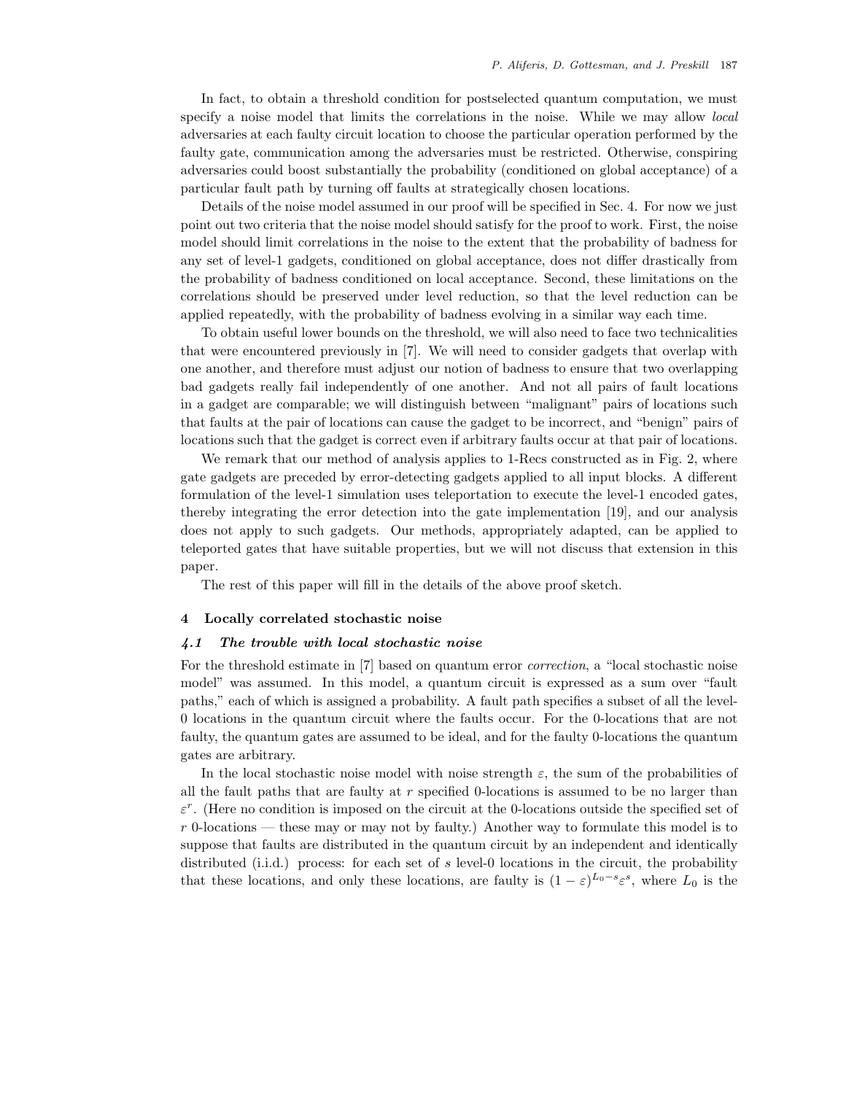In fact, to obtain a threshold condition for postselected quantum computation, we must specify a noise model that limits the correlations in the noise. While we may allow *local* adversaries at each faulty circuit location to choose the particular operation performed by the faulty gate, communication among the adversaries must be restricted. Otherwise, conspiring adversaries could boost substantially the probability (conditioned on global acceptance) of a particular fault path by turning off faults at strategically chosen locations.

Details of the noise model assumed in our proof will be specified in Sec. 4. For now we just point out two criteria that the noise model should satisfy for the proof to work. First, the noise model should limit correlations in the noise to the extent that the probability of badness for any set of level-1 gadgets, conditioned on global acceptance, does not differ drastically from the probability of badness conditioned on local acceptance. Second, these limitations on the correlations should be preserved under level reduction, so that the level reduction can be applied repeatedly, with the probability of badness evolving in a similar way each time.

To obtain useful lower bounds on the threshold, we will also need to face two technicalities that were encountered previously in [7]. We will need to consider gadgets that overlap with one another, and therefore must adjust our notion of badness to ensure that two overlapping bad gadgets really fail independently of one another. And not all pairs of fault locations in a gadget are comparable; we will distinguish between "malignant" pairs of locations such that faults at the pair of locations can cause the gadget to be incorrect, and "benign" pairs of locations such that the gadget is correct even if arbitrary faults occur at that pair of locations.

We remark that our method of analysis applies to 1-Recs constructed as in Fig. 2, where gate gadgets are preceded by error-detecting gadgets applied to all input blocks. A different formulation of the level-1 simulation uses teleportation to execute the level-1 encoded gates, thereby integrating the error detection into the gate implementation [19], and our analysis does not apply to such gadgets. Our methods, appropriately adapted, can be applied to teleported gates that have suitable properties, but we will not discuss that extension in this paper.

The rest of this paper will fill in the details of the above proof sketch.

#### **4 Locally correlated stochastic noise**

#### *4.1 The trouble with local stochastic noise*

For the threshold estimate in [7] based on quantum error *correction*, a "local stochastic noise model" was assumed. In this model, a quantum circuit is expressed as a sum over "fault paths," each of which is assigned a probability. A fault path specifies a subset of all the level-0 locations in the quantum circuit where the faults occur. For the 0-locations that are not faulty, the quantum gates are assumed to be ideal, and for the faulty 0-locations the quantum gates are arbitrary.

In the local stochastic noise model with noise strength  $\varepsilon$ , the sum of the probabilities of all the fault paths that are faulty at  $r$  specified 0-locations is assumed to be no larger than  $\varepsilon^r$ . (Here no condition is imposed on the circuit at the 0-locations outside the specified set of  $r$  0-locations — these may or may not by faulty.) Another way to formulate this model is to suppose that faults are distributed in the quantum circuit by an independent and identically distributed (i.i.d.) process: for each set of s level-0 locations in the circuit, the probability that these locations, and only these locations, are faulty is  $(1 - \varepsilon)^{L_0 - s} \varepsilon^s$ , where  $L_0$  is the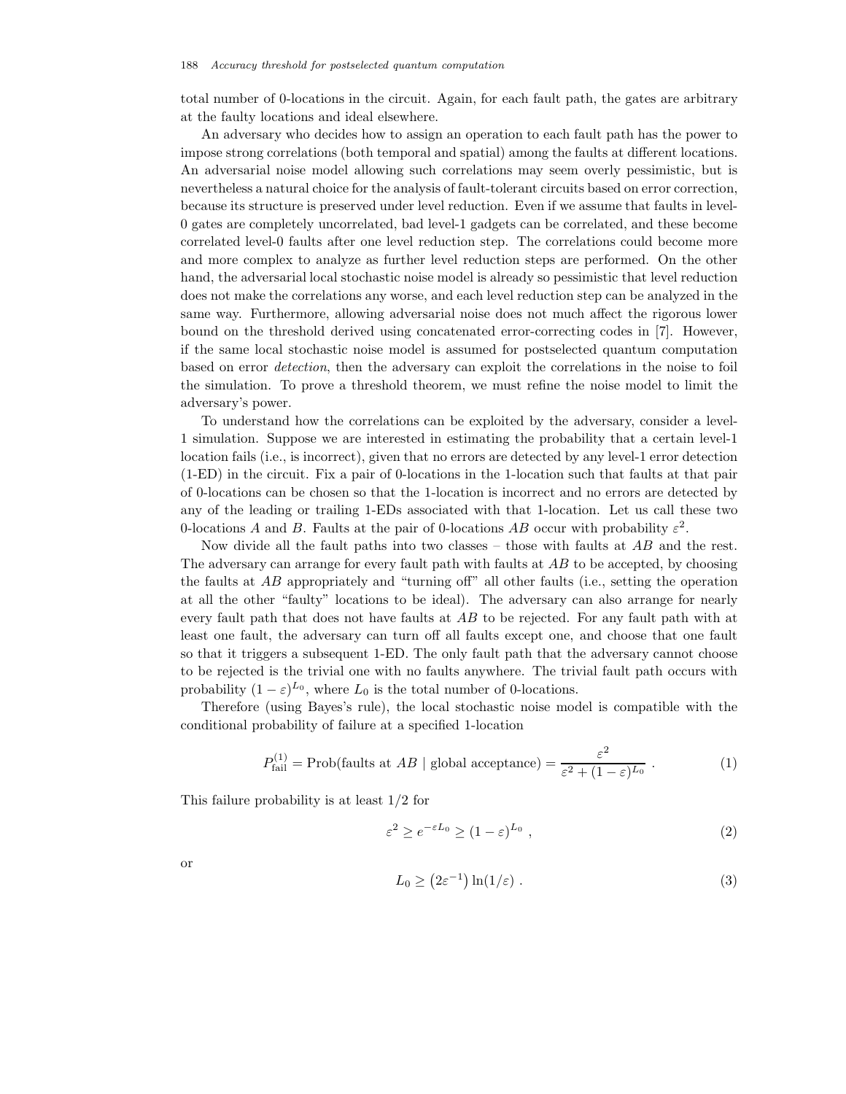total number of 0-locations in the circuit. Again, for each fault path, the gates are arbitrary at the faulty locations and ideal elsewhere.

An adversary who decides how to assign an operation to each fault path has the power to impose strong correlations (both temporal and spatial) among the faults at different locations. An adversarial noise model allowing such correlations may seem overly pessimistic, but is nevertheless a natural choice for the analysis of fault-tolerant circuits based on error correction, because its structure is preserved under level reduction. Even if we assume that faults in level-0 gates are completely uncorrelated, bad level-1 gadgets can be correlated, and these become correlated level-0 faults after one level reduction step. The correlations could become more and more complex to analyze as further level reduction steps are performed. On the other hand, the adversarial local stochastic noise model is already so pessimistic that level reduction does not make the correlations any worse, and each level reduction step can be analyzed in the same way. Furthermore, allowing adversarial noise does not much affect the rigorous lower bound on the threshold derived using concatenated error-correcting codes in [7]. However, if the same local stochastic noise model is assumed for postselected quantum computation based on error *detection*, then the adversary can exploit the correlations in the noise to foil the simulation. To prove a threshold theorem, we must refine the noise model to limit the adversary's power.

To understand how the correlations can be exploited by the adversary, consider a level-1 simulation. Suppose we are interested in estimating the probability that a certain level-1 location fails (i.e., is incorrect), given that no errors are detected by any level-1 error detection (1-ED) in the circuit. Fix a pair of 0-locations in the 1-location such that faults at that pair of 0-locations can be chosen so that the 1-location is incorrect and no errors are detected by any of the leading or trailing 1-EDs associated with that 1-location. Let us call these two 0-locations A and B. Faults at the pair of 0-locations AB occur with probability  $\varepsilon^2$ .

Now divide all the fault paths into two classes – those with faults at  $AB$  and the rest. The adversary can arrange for every fault path with faults at AB to be accepted, by choosing the faults at  $AB$  appropriately and "turning off" all other faults (i.e., setting the operation at all the other "faulty" locations to be ideal). The adversary can also arrange for nearly every fault path that does not have faults at AB to be rejected. For any fault path with at least one fault, the adversary can turn off all faults except one, and choose that one fault so that it triggers a subsequent 1-ED. The only fault path that the adversary cannot choose to be rejected is the trivial one with no faults anywhere. The trivial fault path occurs with probability  $(1 - \varepsilon)^{L_0}$ , where  $L_0$  is the total number of 0-locations.

Therefore (using Bayes's rule), the local stochastic noise model is compatible with the conditional probability of failure at a specified 1-location

$$
P_{\text{fail}}^{(1)} = \text{Prob}(\text{ faults at } AB \mid \text{global acceptance}) = \frac{\varepsilon^2}{\varepsilon^2 + (1 - \varepsilon)^{L_0}} \,. \tag{1}
$$

This failure probability is at least 1/2 for

$$
\varepsilon^2 \ge e^{-\varepsilon L_0} \ge (1 - \varepsilon)^{L_0} \tag{2}
$$

or

$$
L_0 \ge (2\varepsilon^{-1})\ln(1/\varepsilon) \tag{3}
$$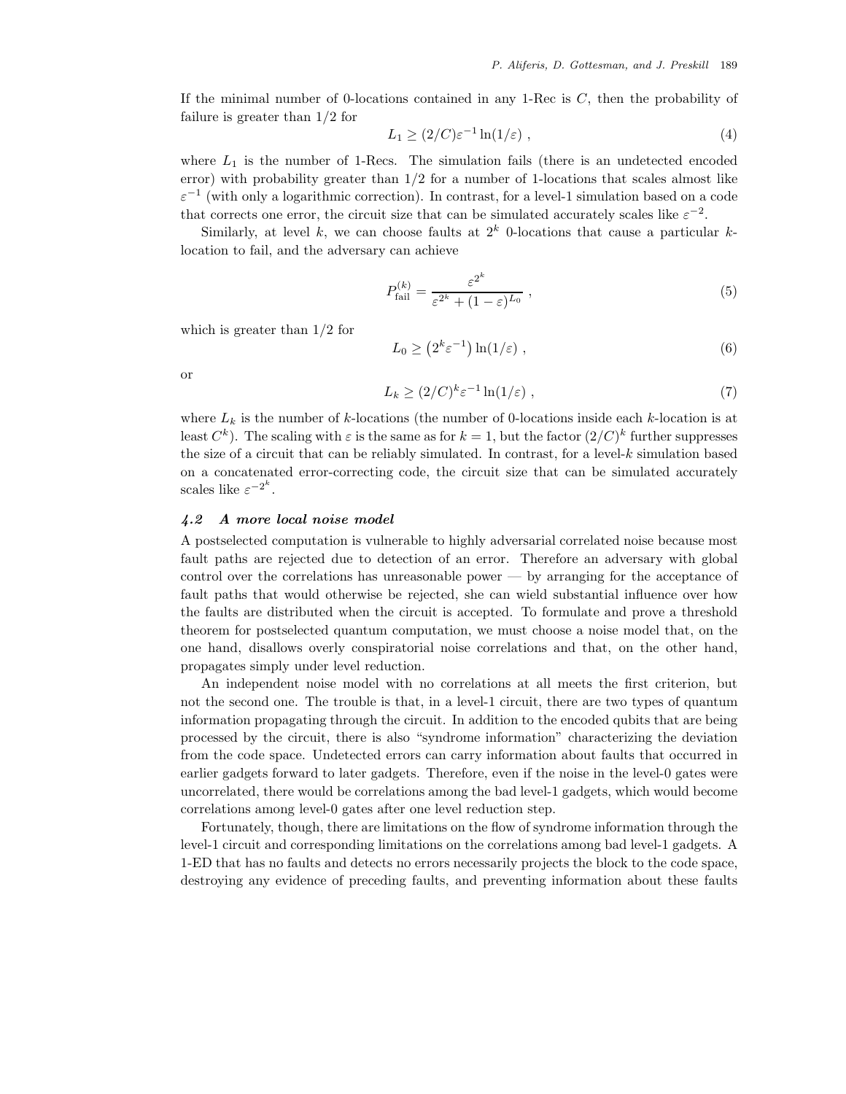If the minimal number of 0-locations contained in any 1-Rec is  $C$ , then the probability of failure is greater than 1/2 for

$$
L_1 \ge (2/C)\varepsilon^{-1}\ln(1/\varepsilon) \tag{4}
$$

where  $L_1$  is the number of 1-Recs. The simulation fails (there is an undetected encoded error) with probability greater than  $1/2$  for a number of 1-locations that scales almost like  $\varepsilon^{-1}$  (with only a logarithmic correction). In contrast, for a level-1 simulation based on a code that corrects one error, the circuit size that can be simulated accurately scales like  $\varepsilon^{-2}$ .

Similarly, at level k, we can choose faults at  $2^k$  0-locations that cause a particular klocation to fail, and the adversary can achieve

$$
P_{\text{fail}}^{(k)} = \frac{\varepsilon^{2^k}}{\varepsilon^{2^k} + (1 - \varepsilon)^{L_0}},\tag{5}
$$

which is greater than 1/2 for

$$
L_0 \ge (2^k \varepsilon^{-1}) \ln(1/\varepsilon) , \qquad (6)
$$

or

$$
L_k \ge (2/C)^k \varepsilon^{-1} \ln(1/\varepsilon) \tag{7}
$$

where  $L_k$  is the number of k-locations (the number of 0-locations inside each k-location is at least  $C^k$ ). The scaling with  $\varepsilon$  is the same as for  $k = 1$ , but the factor  $(2/C)^k$  further suppresses the size of a circuit that can be reliably simulated. In contrast, for a level- $k$  simulation based on a concatenated error-correcting code, the circuit size that can be simulated accurately scales like  $\varepsilon^{-2^k}$ .

# *4.2 A more local noise model*

A postselected computation is vulnerable to highly adversarial correlated noise because most fault paths are rejected due to detection of an error. Therefore an adversary with global control over the correlations has unreasonable power — by arranging for the acceptance of fault paths that would otherwise be rejected, she can wield substantial influence over how the faults are distributed when the circuit is accepted. To formulate and prove a threshold theorem for postselected quantum computation, we must choose a noise model that, on the one hand, disallows overly conspiratorial noise correlations and that, on the other hand, propagates simply under level reduction.

An independent noise model with no correlations at all meets the first criterion, but not the second one. The trouble is that, in a level-1 circuit, there are two types of quantum information propagating through the circuit. In addition to the encoded qubits that are being processed by the circuit, there is also "syndrome information" characterizing the deviation from the code space. Undetected errors can carry information about faults that occurred in earlier gadgets forward to later gadgets. Therefore, even if the noise in the level-0 gates were uncorrelated, there would be correlations among the bad level-1 gadgets, which would become correlations among level-0 gates after one level reduction step.

Fortunately, though, there are limitations on the flow of syndrome information through the level-1 circuit and corresponding limitations on the correlations among bad level-1 gadgets. A 1-ED that has no faults and detects no errors necessarily projects the block to the code space, destroying any evidence of preceding faults, and preventing information about these faults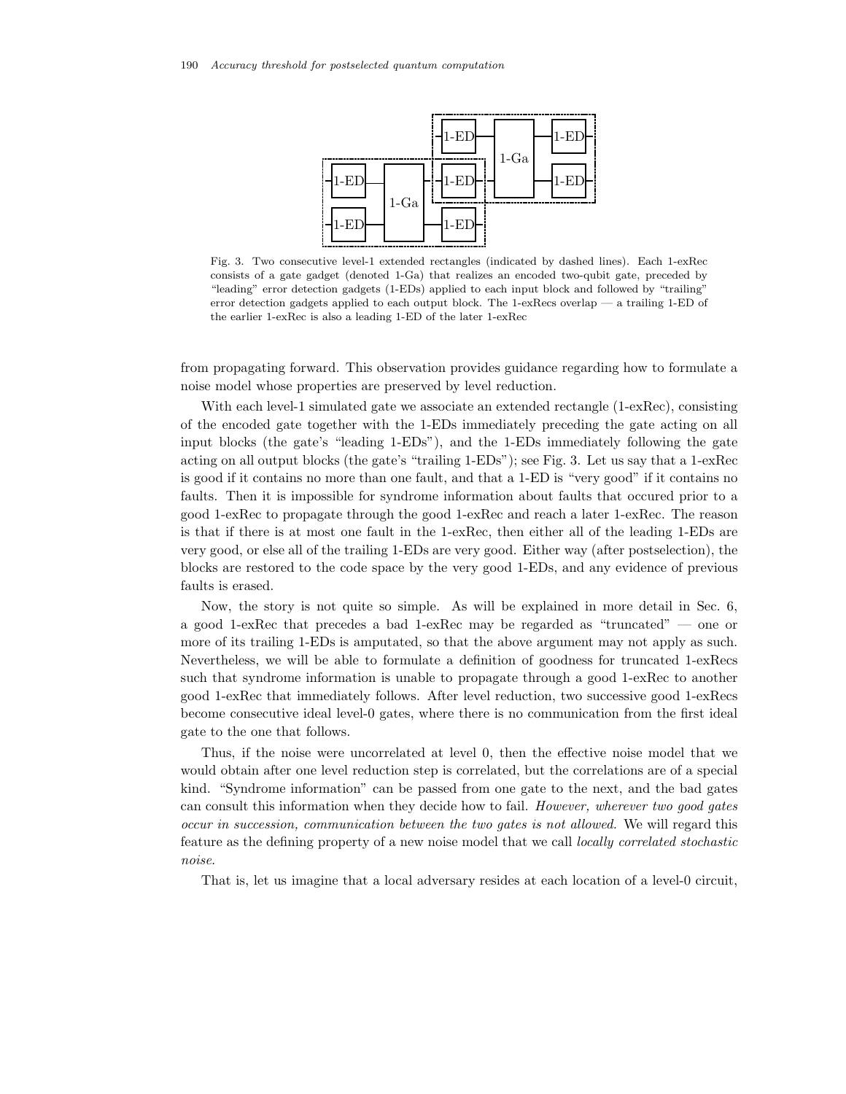

Fig. 3. Two consecutive level-1 extended rectangles (indicated by dashed lines). Each 1-exRec consists of a gate gadget (denoted 1-Ga) that realizes an encoded two-qubit gate, preceded by "leading" error detection gadgets (1-EDs) applied to each input block and followed by "trailing" error detection gadgets applied to each output block. The 1-exRecs overlap — a trailing 1-ED of the earlier 1-exRec is also a leading 1-ED of the later 1-exRec

from propagating forward. This observation provides guidance regarding how to formulate a noise model whose properties are preserved by level reduction.

With each level-1 simulated gate we associate an extended rectangle (1-exRec), consisting of the encoded gate together with the 1-EDs immediately preceding the gate acting on all input blocks (the gate's "leading 1-EDs"), and the 1-EDs immediately following the gate acting on all output blocks (the gate's "trailing 1-EDs"); see Fig. 3. Let us say that a 1-exRec is good if it contains no more than one fault, and that a 1-ED is "very good" if it contains no faults. Then it is impossible for syndrome information about faults that occured prior to a good 1-exRec to propagate through the good 1-exRec and reach a later 1-exRec. The reason is that if there is at most one fault in the 1-exRec, then either all of the leading 1-EDs are very good, or else all of the trailing 1-EDs are very good. Either way (after postselection), the blocks are restored to the code space by the very good 1-EDs, and any evidence of previous faults is erased.

Now, the story is not quite so simple. As will be explained in more detail in Sec. 6, a good 1-exRec that precedes a bad 1-exRec may be regarded as "truncated" — one or more of its trailing 1-EDs is amputated, so that the above argument may not apply as such. Nevertheless, we will be able to formulate a definition of goodness for truncated 1-exRecs such that syndrome information is unable to propagate through a good 1-exRec to another good 1-exRec that immediately follows. After level reduction, two successive good 1-exRecs become consecutive ideal level-0 gates, where there is no communication from the first ideal gate to the one that follows.

Thus, if the noise were uncorrelated at level 0, then the effective noise model that we would obtain after one level reduction step is correlated, but the correlations are of a special kind. "Syndrome information" can be passed from one gate to the next, and the bad gates can consult this information when they decide how to fail. *However, wherever two good gates occur in succession, communication between the two gates is not allowed.* We will regard this feature as the defining property of a new noise model that we call *locally correlated stochastic noise*.

That is, let us imagine that a local adversary resides at each location of a level-0 circuit,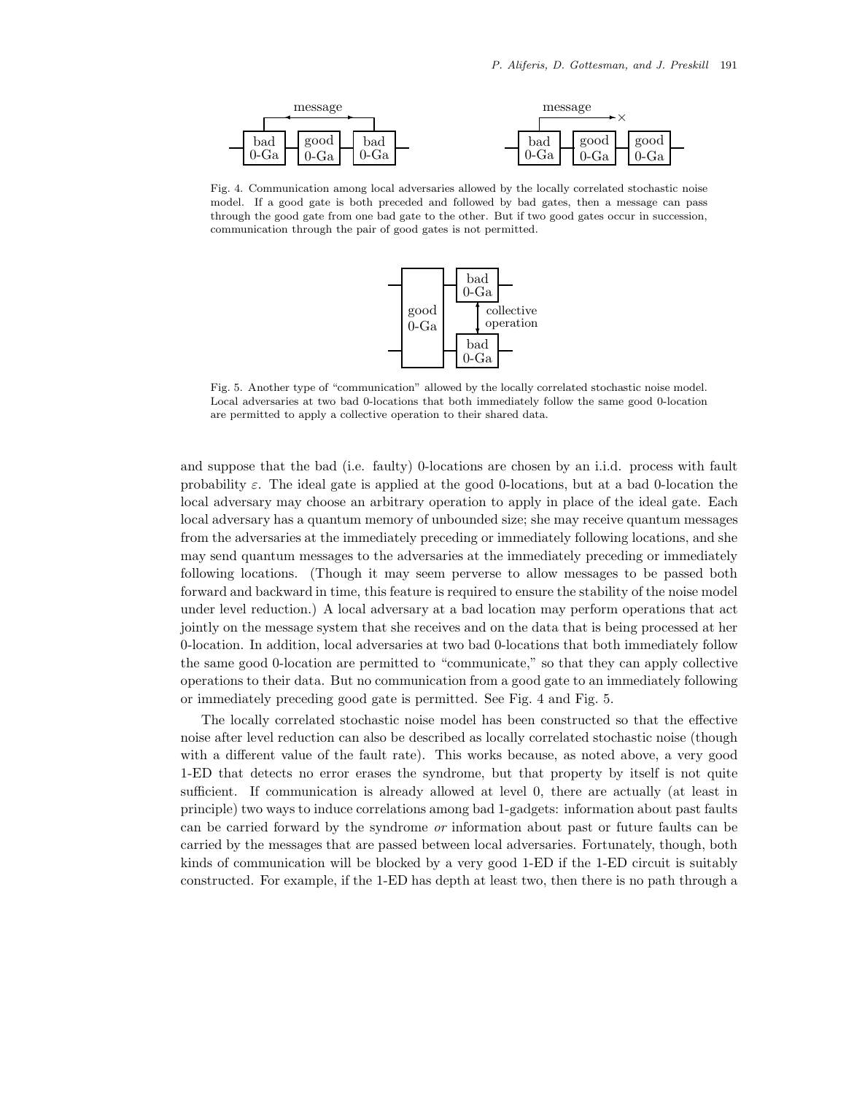

Fig. 4. Communication among local adversaries allowed by the locally correlated stochastic noise model. If a good gate is both preceded and followed by bad gates, then a message can pass through the good gate from one bad gate to the other. But if two good gates occur in succession, communication through the pair of good gates is not permitted.



Fig. 5. Another type of "communication" allowed by the locally correlated stochastic noise model. Local adversaries at two bad 0-locations that both immediately follow the same good 0-location are permitted to apply a collective operation to their shared data.

and suppose that the bad (i.e. faulty) 0-locations are chosen by an i.i.d. process with fault probability  $\varepsilon$ . The ideal gate is applied at the good 0-locations, but at a bad 0-location the local adversary may choose an arbitrary operation to apply in place of the ideal gate. Each local adversary has a quantum memory of unbounded size; she may receive quantum messages from the adversaries at the immediately preceding or immediately following locations, and she may send quantum messages to the adversaries at the immediately preceding or immediately following locations. (Though it may seem perverse to allow messages to be passed both forward and backward in time, this feature is required to ensure the stability of the noise model under level reduction.) A local adversary at a bad location may perform operations that act jointly on the message system that she receives and on the data that is being processed at her 0-location. In addition, local adversaries at two bad 0-locations that both immediately follow the same good 0-location are permitted to "communicate," so that they can apply collective operations to their data. But no communication from a good gate to an immediately following or immediately preceding good gate is permitted. See Fig. 4 and Fig. 5.

The locally correlated stochastic noise model has been constructed so that the effective noise after level reduction can also be described as locally correlated stochastic noise (though with a different value of the fault rate). This works because, as noted above, a very good 1-ED that detects no error erases the syndrome, but that property by itself is not quite sufficient. If communication is already allowed at level 0, there are actually (at least in principle) two ways to induce correlations among bad 1-gadgets: information about past faults can be carried forward by the syndrome *or* information about past or future faults can be carried by the messages that are passed between local adversaries. Fortunately, though, both kinds of communication will be blocked by a very good 1-ED if the 1-ED circuit is suitably constructed. For example, if the 1-ED has depth at least two, then there is no path through a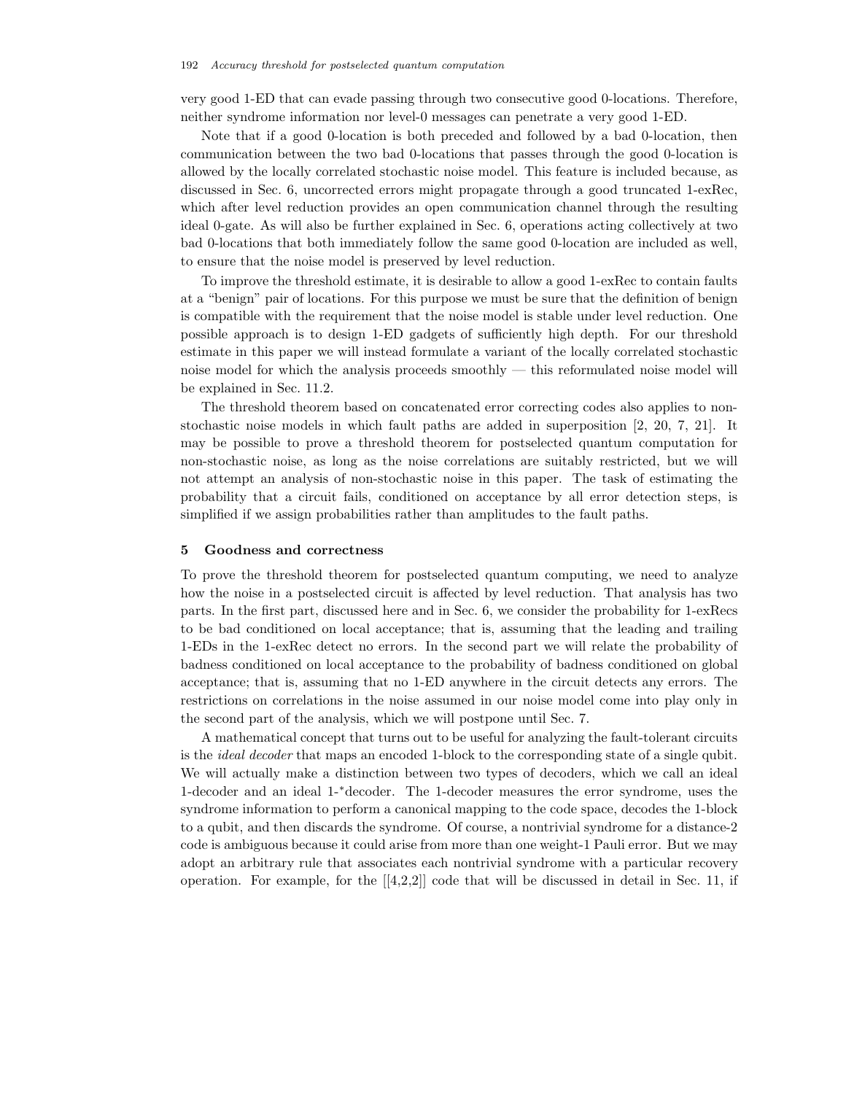very good 1-ED that can evade passing through two consecutive good 0-locations. Therefore, neither syndrome information nor level-0 messages can penetrate a very good 1-ED.

Note that if a good 0-location is both preceded and followed by a bad 0-location, then communication between the two bad 0-locations that passes through the good 0-location is allowed by the locally correlated stochastic noise model. This feature is included because, as discussed in Sec. 6, uncorrected errors might propagate through a good truncated 1-exRec, which after level reduction provides an open communication channel through the resulting ideal 0-gate. As will also be further explained in Sec. 6, operations acting collectively at two bad 0-locations that both immediately follow the same good 0-location are included as well, to ensure that the noise model is preserved by level reduction.

To improve the threshold estimate, it is desirable to allow a good 1-exRec to contain faults at a "benign" pair of locations. For this purpose we must be sure that the definition of benign is compatible with the requirement that the noise model is stable under level reduction. One possible approach is to design 1-ED gadgets of sufficiently high depth. For our threshold estimate in this paper we will instead formulate a variant of the locally correlated stochastic noise model for which the analysis proceeds smoothly — this reformulated noise model will be explained in Sec. 11.2.

The threshold theorem based on concatenated error correcting codes also applies to nonstochastic noise models in which fault paths are added in superposition [2, 20, 7, 21]. It may be possible to prove a threshold theorem for postselected quantum computation for non-stochastic noise, as long as the noise correlations are suitably restricted, but we will not attempt an analysis of non-stochastic noise in this paper. The task of estimating the probability that a circuit fails, conditioned on acceptance by all error detection steps, is simplified if we assign probabilities rather than amplitudes to the fault paths.

#### **5 Goodness and correctness**

To prove the threshold theorem for postselected quantum computing, we need to analyze how the noise in a postselected circuit is affected by level reduction. That analysis has two parts. In the first part, discussed here and in Sec. 6, we consider the probability for 1-exRecs to be bad conditioned on local acceptance; that is, assuming that the leading and trailing 1-EDs in the 1-exRec detect no errors. In the second part we will relate the probability of badness conditioned on local acceptance to the probability of badness conditioned on global acceptance; that is, assuming that no 1-ED anywhere in the circuit detects any errors. The restrictions on correlations in the noise assumed in our noise model come into play only in the second part of the analysis, which we will postpone until Sec. 7.

A mathematical concept that turns out to be useful for analyzing the fault-tolerant circuits is the *ideal decoder* that maps an encoded 1-block to the corresponding state of a single qubit. We will actually make a distinction between two types of decoders, which we call an ideal 1-decoder and an ideal 1-∗decoder. The 1-decoder measures the error syndrome, uses the syndrome information to perform a canonical mapping to the code space, decodes the 1-block to a qubit, and then discards the syndrome. Of course, a nontrivial syndrome for a distance-2 code is ambiguous because it could arise from more than one weight-1 Pauli error. But we may adopt an arbitrary rule that associates each nontrivial syndrome with a particular recovery operation. For example, for the  $[[4,2,2]]$  code that will be discussed in detail in Sec. 11, if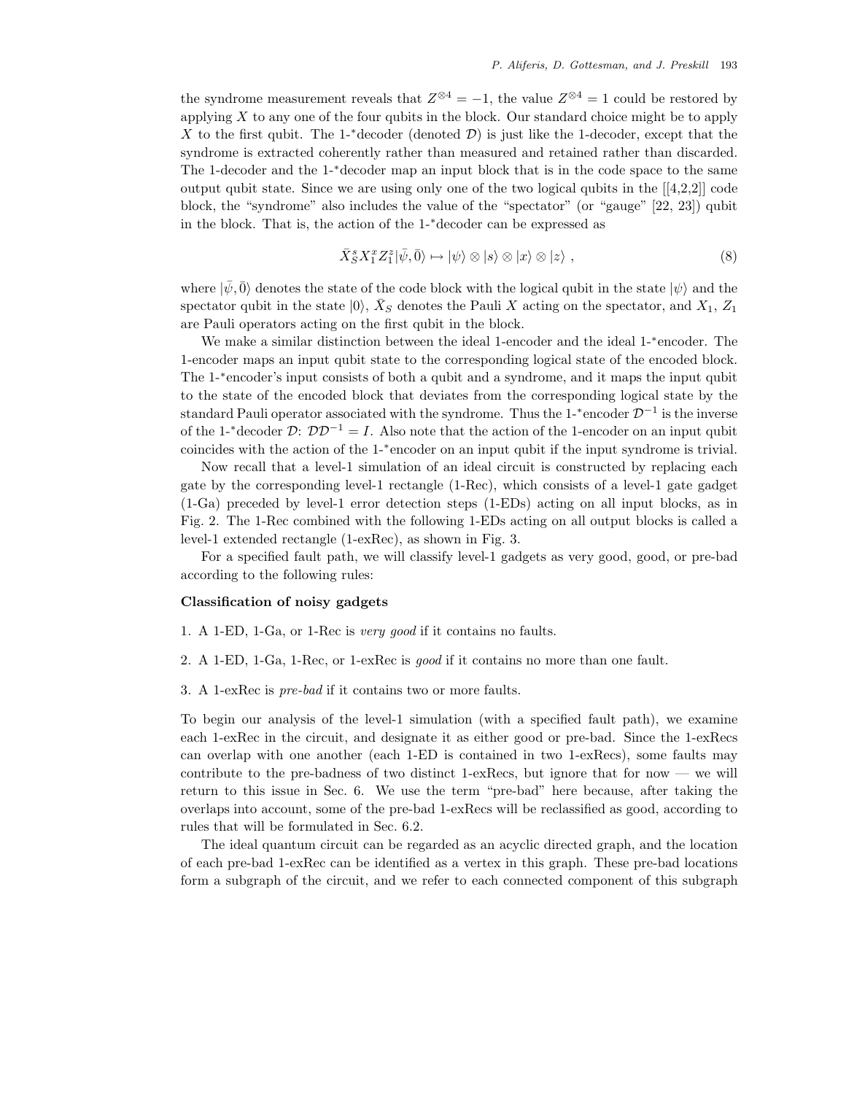the syndrome measurement reveals that  $Z^{\otimes 4} = -1$ , the value  $Z^{\otimes 4} = 1$  could be restored by applying  $X$  to any one of the four qubits in the block. Our standard choice might be to apply X to the first qubit. The 1- $*$ decoder (denoted D) is just like the 1-decoder, except that the syndrome is extracted coherently rather than measured and retained rather than discarded. The 1-decoder and the 1-∗decoder map an input block that is in the code space to the same output qubit state. Since we are using only one of the two logical qubits in the  $[[4,2,2]]$  code block, the "syndrome" also includes the value of the "spectator" (or "gauge" [22, 23]) qubit in the block. That is, the action of the 1-∗decoder can be expressed as

$$
\bar{X}_S^s X_1^x Z_1^z |\bar{\psi}, \bar{0}\rangle \mapsto |\psi\rangle \otimes |s\rangle \otimes |x\rangle \otimes |z\rangle , \qquad (8)
$$

where  $|\psi, \bar{0}\rangle$  denotes the state of the code block with the logical qubit in the state  $|\psi\rangle$  and the spectator qubit in the state  $|0\rangle$ ,  $\bar{X}_S$  denotes the Pauli X acting on the spectator, and  $X_1, Z_1$ are Pauli operators acting on the first qubit in the block.

We make a similar distinction between the ideal 1-encoder and the ideal 1-∗encoder. The 1-encoder maps an input qubit state to the corresponding logical state of the encoded block. The 1-∗encoder's input consists of both a qubit and a syndrome, and it maps the input qubit to the state of the encoded block that deviates from the corresponding logical state by the standard Pauli operator associated with the syndrome. Thus the 1-<sup>\*</sup>encoder  $\mathcal{D}^{-1}$  is the inverse of the 1-<sup>∗</sup>decoder  $\mathcal{D}$ :  $\mathcal{D}\mathcal{D}^{-1} = I$ . Also note that the action of the 1-encoder on an input qubit coincides with the action of the 1-∗encoder on an input qubit if the input syndrome is trivial.

Now recall that a level-1 simulation of an ideal circuit is constructed by replacing each gate by the corresponding level-1 rectangle (1-Rec), which consists of a level-1 gate gadget (1-Ga) preceded by level-1 error detection steps (1-EDs) acting on all input blocks, as in Fig. 2. The 1-Rec combined with the following 1-EDs acting on all output blocks is called a level-1 extended rectangle (1-exRec), as shown in Fig. 3.

For a specified fault path, we will classify level-1 gadgets as very good, good, or pre-bad according to the following rules:

### **Classification of noisy gadgets**

1. A 1-ED, 1-Ga, or 1-Rec is *very good* if it contains no faults.

- 2. A 1-ED, 1-Ga, 1-Rec, or 1-exRec is *good* if it contains no more than one fault.
- 3. A 1-exRec is *pre-bad* if it contains two or more faults.

To begin our analysis of the level-1 simulation (with a specified fault path), we examine each 1-exRec in the circuit, and designate it as either good or pre-bad. Since the 1-exRecs can overlap with one another (each 1-ED is contained in two 1-exRecs), some faults may contribute to the pre-badness of two distinct 1-exRecs, but ignore that for now — we will return to this issue in Sec. 6. We use the term "pre-bad" here because, after taking the overlaps into account, some of the pre-bad 1-exRecs will be reclassified as good, according to rules that will be formulated in Sec. 6.2.

The ideal quantum circuit can be regarded as an acyclic directed graph, and the location of each pre-bad 1-exRec can be identified as a vertex in this graph. These pre-bad locations form a subgraph of the circuit, and we refer to each connected component of this subgraph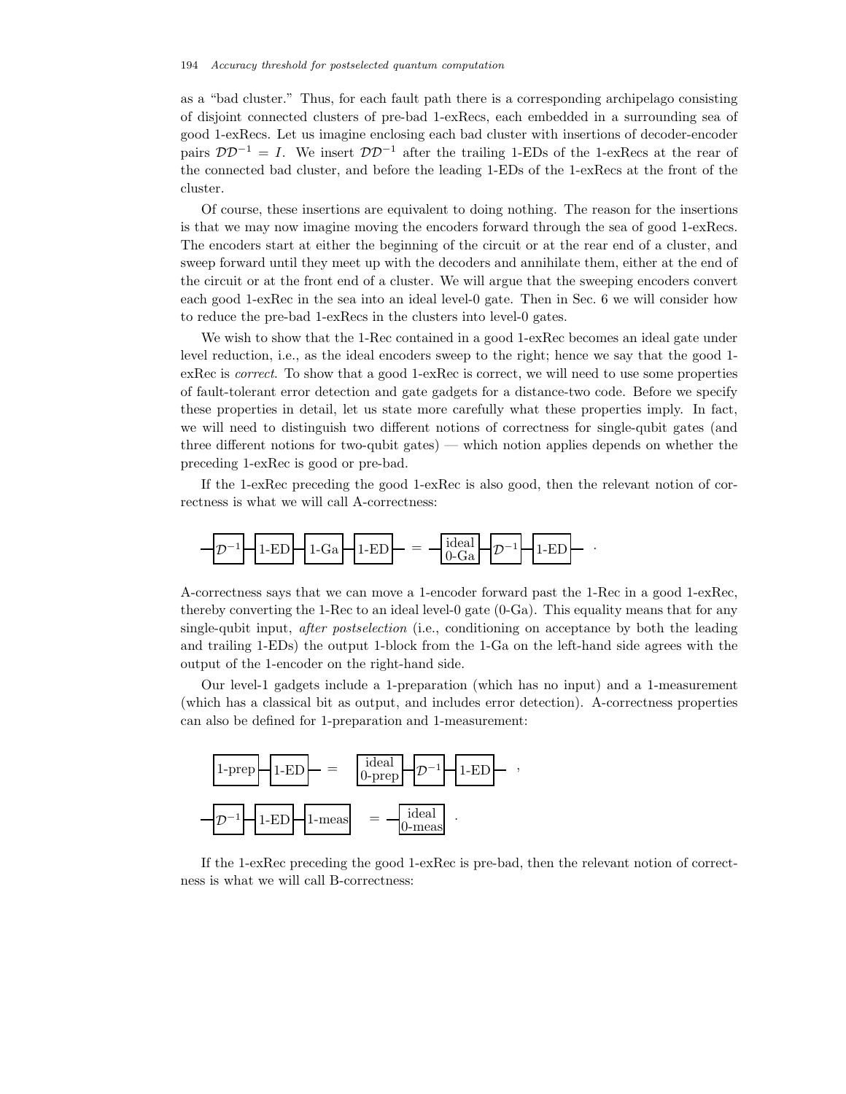as a "bad cluster." Thus, for each fault path there is a corresponding archipelago consisting of disjoint connected clusters of pre-bad 1-exRecs, each embedded in a surrounding sea of good 1-exRecs. Let us imagine enclosing each bad cluster with insertions of decoder-encoder pairs  $\mathcal{D}\mathcal{D}^{-1} = I$ . We insert  $\mathcal{D}\mathcal{D}^{-1}$  after the trailing 1-EDs of the 1-exRecs at the rear of the connected bad cluster, and before the leading 1-EDs of the 1-exRecs at the front of the cluster.

Of course, these insertions are equivalent to doing nothing. The reason for the insertions is that we may now imagine moving the encoders forward through the sea of good 1-exRecs. The encoders start at either the beginning of the circuit or at the rear end of a cluster, and sweep forward until they meet up with the decoders and annihilate them, either at the end of the circuit or at the front end of a cluster. We will argue that the sweeping encoders convert each good 1-exRec in the sea into an ideal level-0 gate. Then in Sec. 6 we will consider how to reduce the pre-bad 1-exRecs in the clusters into level-0 gates.

We wish to show that the 1-Rec contained in a good 1-exRec becomes an ideal gate under level reduction, i.e., as the ideal encoders sweep to the right; hence we say that the good 1 exRec is *correct*. To show that a good 1-exRec is correct, we will need to use some properties of fault-tolerant error detection and gate gadgets for a distance-two code. Before we specify these properties in detail, let us state more carefully what these properties imply. In fact, we will need to distinguish two different notions of correctness for single-qubit gates (and three different notions for two-qubit gates) — which notion applies depends on whether the preceding 1-exRec is good or pre-bad.

If the 1-exRec preceding the good 1-exRec is also good, then the relevant notion of correctness is what we will call A-correctness:



A-correctness says that we can move a 1-encoder forward past the 1-Rec in a good 1-exRec, thereby converting the 1-Rec to an ideal level-0 gate (0-Ga). This equality means that for any single-qubit input, *after postselection* (i.e., conditioning on acceptance by both the leading and trailing 1-EDs) the output 1-block from the 1-Ga on the left-hand side agrees with the output of the 1-encoder on the right-hand side.

Our level-1 gadgets include a 1-preparation (which has no input) and a 1-measurement (which has a classical bit as output, and includes error detection). A-correctness properties can also be defined for 1-preparation and 1-measurement:



If the 1-exRec preceding the good 1-exRec is pre-bad, then the relevant notion of correctness is what we will call B-correctness: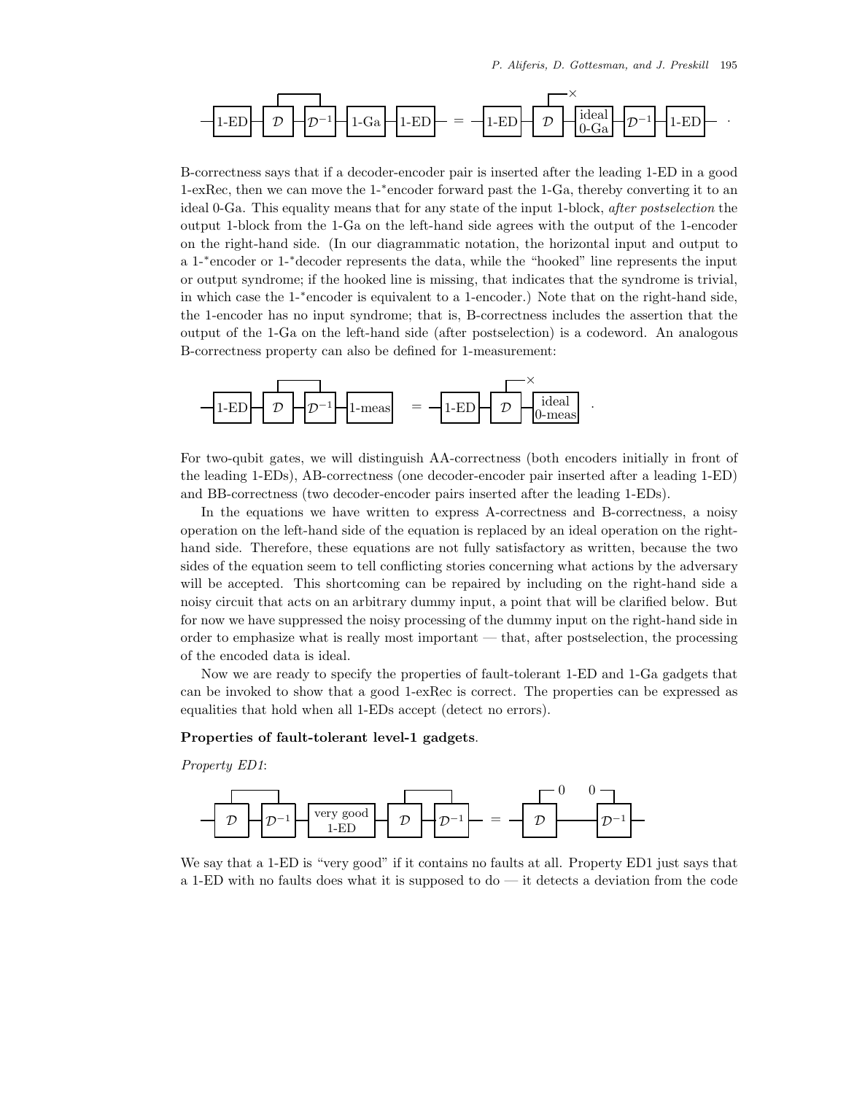

B-correctness says that if a decoder-encoder pair is inserted after the leading 1-ED in a good 1-exRec, then we can move the 1-∗encoder forward past the 1-Ga, thereby converting it to an ideal 0-Ga. This equality means that for any state of the input 1-block, *after postselection* the output 1-block from the 1-Ga on the left-hand side agrees with the output of the 1-encoder on the right-hand side. (In our diagrammatic notation, the horizontal input and output to a 1-∗encoder or 1-∗decoder represents the data, while the "hooked" line represents the input or output syndrome; if the hooked line is missing, that indicates that the syndrome is trivial, in which case the 1-∗encoder is equivalent to a 1-encoder.) Note that on the right-hand side, the 1-encoder has no input syndrome; that is, B-correctness includes the assertion that the output of the 1-Ga on the left-hand side (after postselection) is a codeword. An analogous B-correctness property can also be defined for 1-measurement:



For two-qubit gates, we will distinguish AA-correctness (both encoders initially in front of the leading 1-EDs), AB-correctness (one decoder-encoder pair inserted after a leading 1-ED) and BB-correctness (two decoder-encoder pairs inserted after the leading 1-EDs).

In the equations we have written to express A-correctness and B-correctness, a noisy operation on the left-hand side of the equation is replaced by an ideal operation on the righthand side. Therefore, these equations are not fully satisfactory as written, because the two sides of the equation seem to tell conflicting stories concerning what actions by the adversary will be accepted. This shortcoming can be repaired by including on the right-hand side a noisy circuit that acts on an arbitrary dummy input, a point that will be clarified below. But for now we have suppressed the noisy processing of the dummy input on the right-hand side in order to emphasize what is really most important — that, after postselection, the processing of the encoded data is ideal.

Now we are ready to specify the properties of fault-tolerant 1-ED and 1-Ga gadgets that can be invoked to show that a good 1-exRec is correct. The properties can be expressed as equalities that hold when all 1-EDs accept (detect no errors).

### **Properties of fault-tolerant level-1 gadgets**.

*Property ED1*:



We say that a 1-ED is "very good" if it contains no faults at all. Property ED1 just says that a 1-ED with no faults does what it is supposed to do — it detects a deviation from the code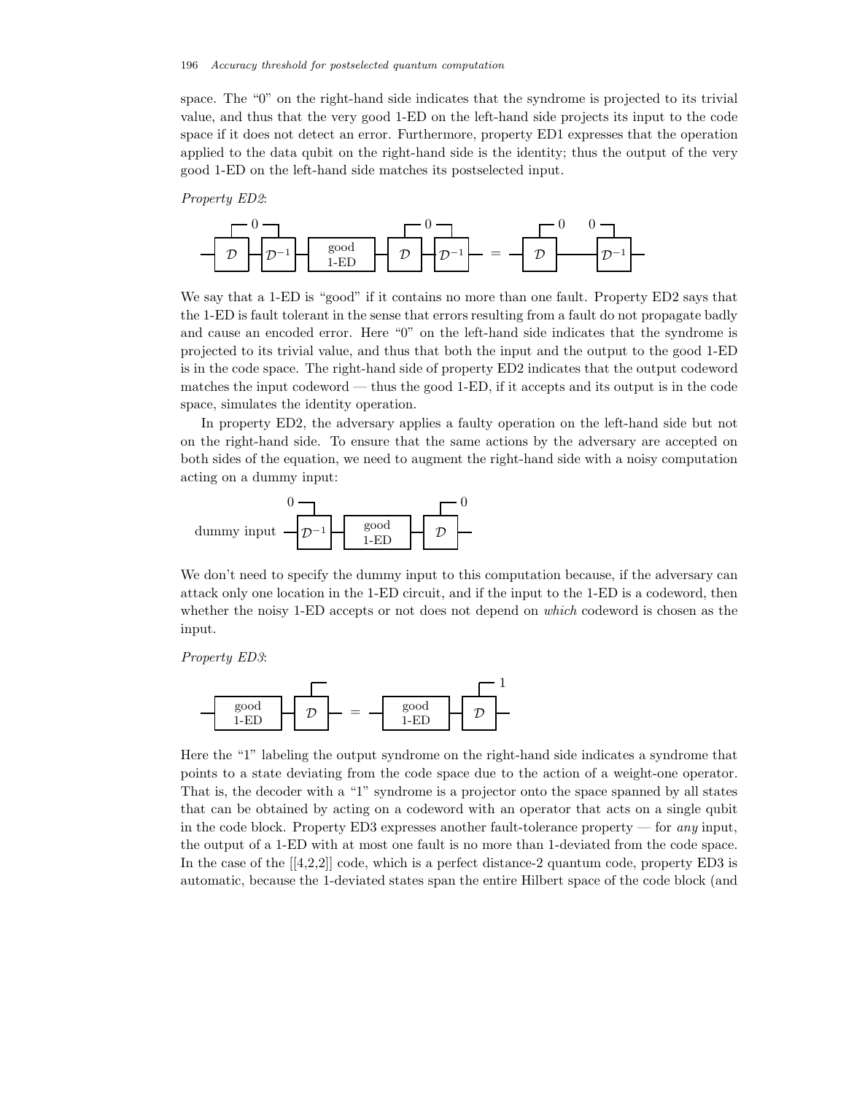space. The "0" on the right-hand side indicates that the syndrome is projected to its trivial value, and thus that the very good 1-ED on the left-hand side projects its input to the code space if it does not detect an error. Furthermore, property ED1 expresses that the operation applied to the data qubit on the right-hand side is the identity; thus the output of the very good 1-ED on the left-hand side matches its postselected input.

*Property ED2*:



We say that a 1-ED is "good" if it contains no more than one fault. Property ED2 says that the 1-ED is fault tolerant in the sense that errors resulting from a fault do not propagate badly and cause an encoded error. Here "0" on the left-hand side indicates that the syndrome is projected to its trivial value, and thus that both the input and the output to the good 1-ED is in the code space. The right-hand side of property ED2 indicates that the output codeword matches the input codeword — thus the good 1-ED, if it accepts and its output is in the code space, simulates the identity operation.

In property ED2, the adversary applies a faulty operation on the left-hand side but not on the right-hand side. To ensure that the same actions by the adversary are accepted on both sides of the equation, we need to augment the right-hand side with a noisy computation acting on a dummy input:



We don't need to specify the dummy input to this computation because, if the adversary can attack only one location in the 1-ED circuit, and if the input to the 1-ED is a codeword, then whether the noisy 1-ED accepts or not does not depend on *which* codeword is chosen as the input.

*Property ED3*:



Here the "1" labeling the output syndrome on the right-hand side indicates a syndrome that points to a state deviating from the code space due to the action of a weight-one operator. That is, the decoder with a "1" syndrome is a projector onto the space spanned by all states that can be obtained by acting on a codeword with an operator that acts on a single qubit in the code block. Property ED3 expresses another fault-tolerance property — for *any* input, the output of a 1-ED with at most one fault is no more than 1-deviated from the code space. In the case of the  $[[4,2,2]]$  code, which is a perfect distance-2 quantum code, property ED3 is automatic, because the 1-deviated states span the entire Hilbert space of the code block (and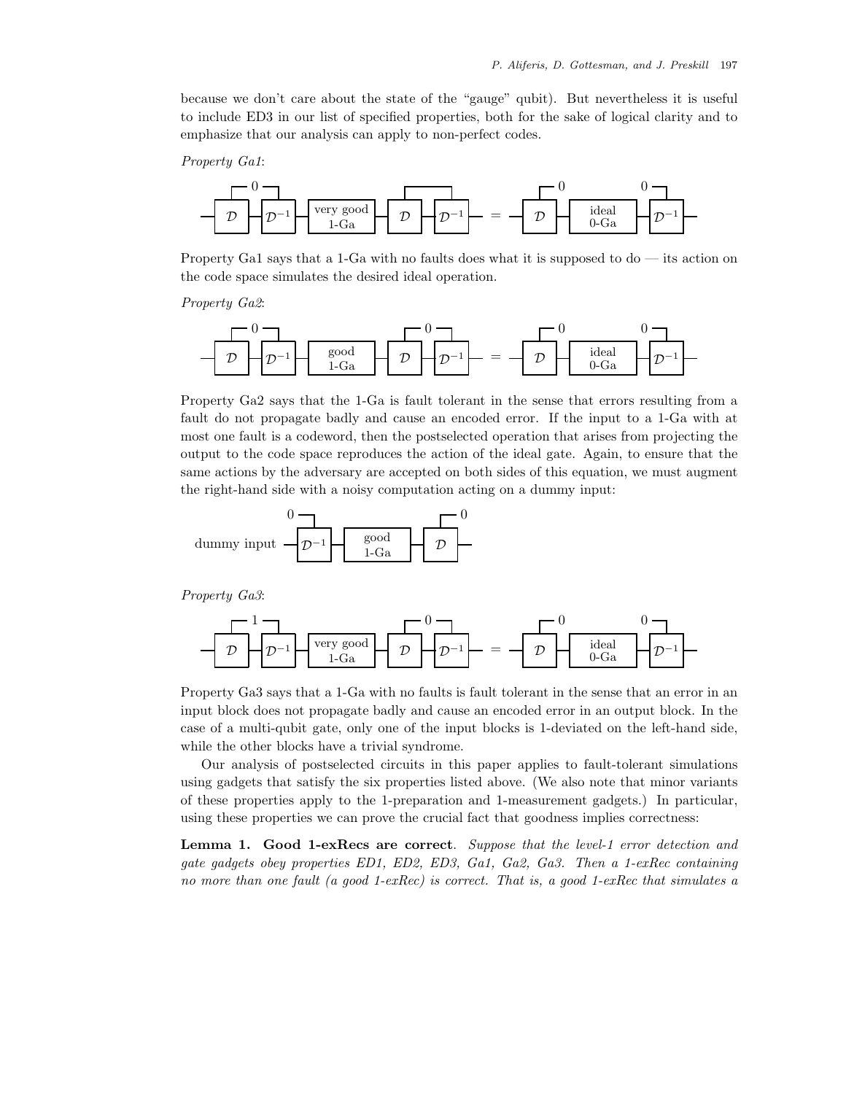because we don't care about the state of the "gauge" qubit). But nevertheless it is useful to include ED3 in our list of specified properties, both for the sake of logical clarity and to emphasize that our analysis can apply to non-perfect codes.

*Property Ga1*:



Property Ga1 says that a 1-Ga with no faults does what it is supposed to do — its action on the code space simulates the desired ideal operation.





Property Ga2 says that the 1-Ga is fault tolerant in the sense that errors resulting from a fault do not propagate badly and cause an encoded error. If the input to a 1-Ga with at most one fault is a codeword, then the postselected operation that arises from projecting the output to the code space reproduces the action of the ideal gate. Again, to ensure that the same actions by the adversary are accepted on both sides of this equation, we must augment the right-hand side with a noisy computation acting on a dummy input:



*Property Ga3*:



Property Ga3 says that a 1-Ga with no faults is fault tolerant in the sense that an error in an input block does not propagate badly and cause an encoded error in an output block. In the case of a multi-qubit gate, only one of the input blocks is 1-deviated on the left-hand side, while the other blocks have a trivial syndrome.

Our analysis of postselected circuits in this paper applies to fault-tolerant simulations using gadgets that satisfy the six properties listed above. (We also note that minor variants of these properties apply to the 1-preparation and 1-measurement gadgets.) In particular, using these properties we can prove the crucial fact that goodness implies correctness:

**Lemma 1. Good 1-exRecs are correct**. *Suppose that the level-1 error detection and gate gadgets obey properties ED1, ED2, ED3, Ga1, Ga2, Ga3. Then a 1-exRec containing no more than one fault (a good 1-exRec) is correct. That is, a good 1-exRec that simulates a*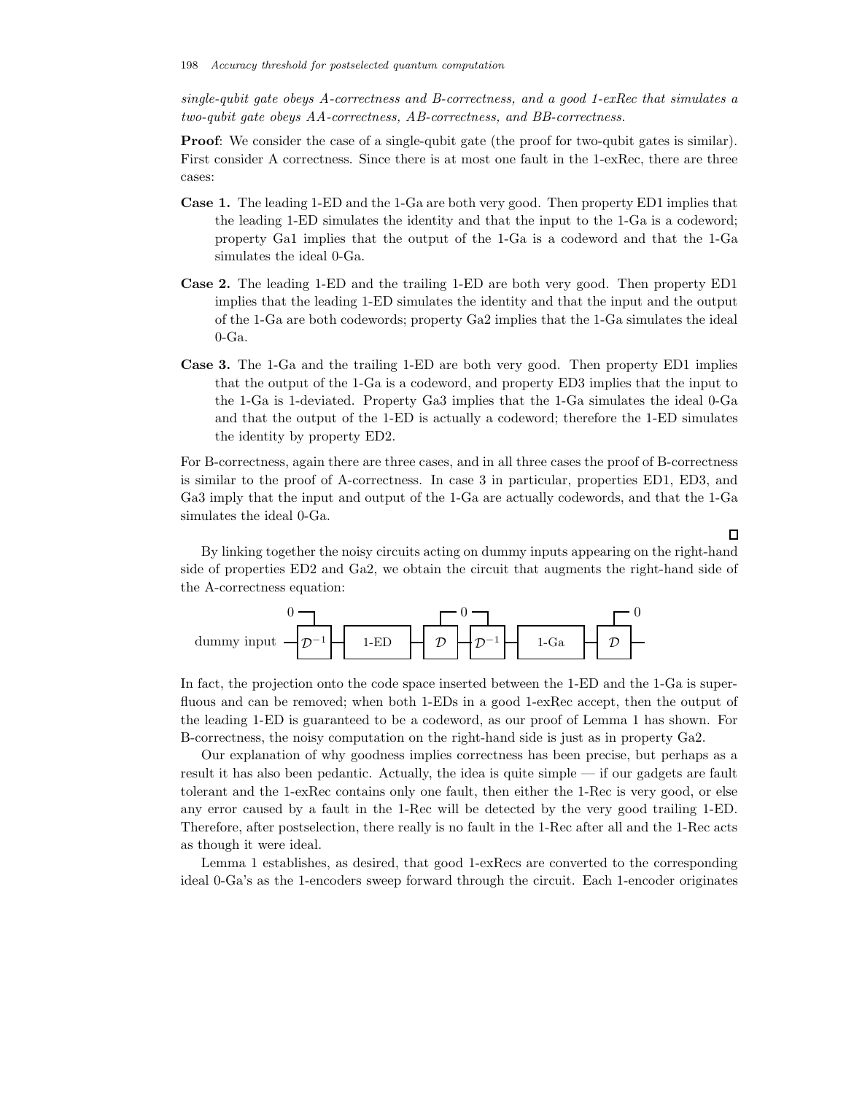*single-qubit gate obeys A-correctness and B-correctness, and a good 1-exRec that simulates a two-qubit gate obeys AA-correctness, AB-correctness, and BB-correctness.*

**Proof**: We consider the case of a single-qubit gate (the proof for two-qubit gates is similar). First consider A correctness. Since there is at most one fault in the 1-exRec, there are three cases:

- **Case 1.** The leading 1-ED and the 1-Ga are both very good. Then property ED1 implies that the leading 1-ED simulates the identity and that the input to the 1-Ga is a codeword; property Ga1 implies that the output of the 1-Ga is a codeword and that the 1-Ga simulates the ideal 0-Ga.
- **Case 2.** The leading 1-ED and the trailing 1-ED are both very good. Then property ED1 implies that the leading 1-ED simulates the identity and that the input and the output of the 1-Ga are both codewords; property Ga2 implies that the 1-Ga simulates the ideal  $0$ -Ga.
- **Case 3.** The 1-Ga and the trailing 1-ED are both very good. Then property ED1 implies that the output of the 1-Ga is a codeword, and property ED3 implies that the input to the 1-Ga is 1-deviated. Property Ga3 implies that the 1-Ga simulates the ideal 0-Ga and that the output of the 1-ED is actually a codeword; therefore the 1-ED simulates the identity by property ED2.

For B-correctness, again there are three cases, and in all three cases the proof of B-correctness is similar to the proof of A-correctness. In case 3 in particular, properties ED1, ED3, and Ga3 imply that the input and output of the 1-Ga are actually codewords, and that the 1-Ga simulates the ideal 0-Ga.

By linking together the noisy circuits acting on dummy inputs appearing on the right-hand side of properties ED2 and Ga2, we obtain the circuit that augments the right-hand side of the A-correctness equation:



In fact, the projection onto the code space inserted between the 1-ED and the 1-Ga is superfluous and can be removed; when both 1-EDs in a good 1-exRec accept, then the output of the leading 1-ED is guaranteed to be a codeword, as our proof of Lemma 1 has shown. For B-correctness, the noisy computation on the right-hand side is just as in property Ga2.

Our explanation of why goodness implies correctness has been precise, but perhaps as a result it has also been pedantic. Actually, the idea is quite simple — if our gadgets are fault tolerant and the 1-exRec contains only one fault, then either the 1-Rec is very good, or else any error caused by a fault in the 1-Rec will be detected by the very good trailing 1-ED. Therefore, after postselection, there really is no fault in the 1-Rec after all and the 1-Rec acts as though it were ideal.

Lemma 1 establishes, as desired, that good 1-exRecs are converted to the corresponding ideal 0-Ga's as the 1-encoders sweep forward through the circuit. Each 1-encoder originates

# $\Box$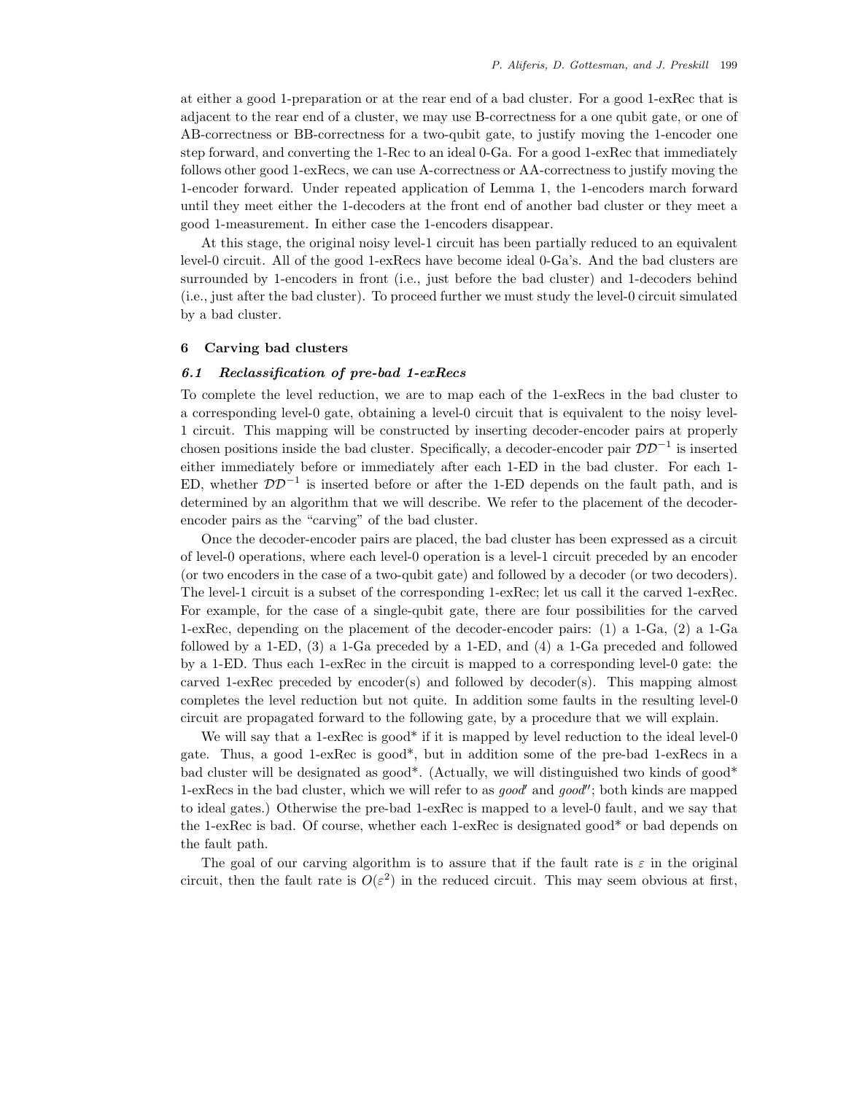at either a good 1-preparation or at the rear end of a bad cluster. For a good 1-exRec that is adjacent to the rear end of a cluster, we may use B-correctness for a one qubit gate, or one of AB-correctness or BB-correctness for a two-qubit gate, to justify moving the 1-encoder one step forward, and converting the 1-Rec to an ideal 0-Ga. For a good 1-exRec that immediately follows other good 1-exRecs, we can use A-correctness or AA-correctness to justify moving the 1-encoder forward. Under repeated application of Lemma 1, the 1-encoders march forward until they meet either the 1-decoders at the front end of another bad cluster or they meet a good 1-measurement. In either case the 1-encoders disappear.

At this stage, the original noisy level-1 circuit has been partially reduced to an equivalent level-0 circuit. All of the good 1-exRecs have become ideal 0-Ga's. And the bad clusters are surrounded by 1-encoders in front (i.e., just before the bad cluster) and 1-decoders behind (i.e., just after the bad cluster). To proceed further we must study the level-0 circuit simulated by a bad cluster.

# **6 Carving bad clusters**

# *6.1 Reclassification of pre-bad 1-exRecs*

To complete the level reduction, we are to map each of the 1-exRecs in the bad cluster to a corresponding level-0 gate, obtaining a level-0 circuit that is equivalent to the noisy level-1 circuit. This mapping will be constructed by inserting decoder-encoder pairs at properly chosen positions inside the bad cluster. Specifically, a decoder-encoder pair  $\mathcal{D}\mathcal{D}^{-1}$  is inserted either immediately before or immediately after each 1-ED in the bad cluster. For each 1- ED, whether  $DD^{-1}$  is inserted before or after the 1-ED depends on the fault path, and is determined by an algorithm that we will describe. We refer to the placement of the decoderencoder pairs as the "carving" of the bad cluster.

Once the decoder-encoder pairs are placed, the bad cluster has been expressed as a circuit of level-0 operations, where each level-0 operation is a level-1 circuit preceded by an encoder (or two encoders in the case of a two-qubit gate) and followed by a decoder (or two decoders). The level-1 circuit is a subset of the corresponding 1-exRec; let us call it the carved 1-exRec. For example, for the case of a single-qubit gate, there are four possibilities for the carved 1-exRec, depending on the placement of the decoder-encoder pairs: (1) a 1-Ga, (2) a 1-Ga followed by a 1-ED, (3) a 1-Ga preceded by a 1-ED, and (4) a 1-Ga preceded and followed by a 1-ED. Thus each 1-exRec in the circuit is mapped to a corresponding level-0 gate: the carved 1-exRec preceded by encoder(s) and followed by decoder(s). This mapping almost completes the level reduction but not quite. In addition some faults in the resulting level-0 circuit are propagated forward to the following gate, by a procedure that we will explain.

We will say that a 1-exRec is good\* if it is mapped by level reduction to the ideal level-0 gate. Thus, a good 1-exRec is good\*, but in addition some of the pre-bad 1-exRecs in a bad cluster will be designated as good\*. (Actually, we will distinguished two kinds of good\* 1-exRecs in the bad cluster, which we will refer to as *good* and *good*"; both kinds are mapped to ideal gates.) Otherwise the pre-bad 1-exRec is mapped to a level-0 fault, and we say that the 1-exRec is bad. Of course, whether each 1-exRec is designated good\* or bad depends on the fault path.

The goal of our carving algorithm is to assure that if the fault rate is  $\varepsilon$  in the original circuit, then the fault rate is  $O(\varepsilon^2)$  in the reduced circuit. This may seem obvious at first,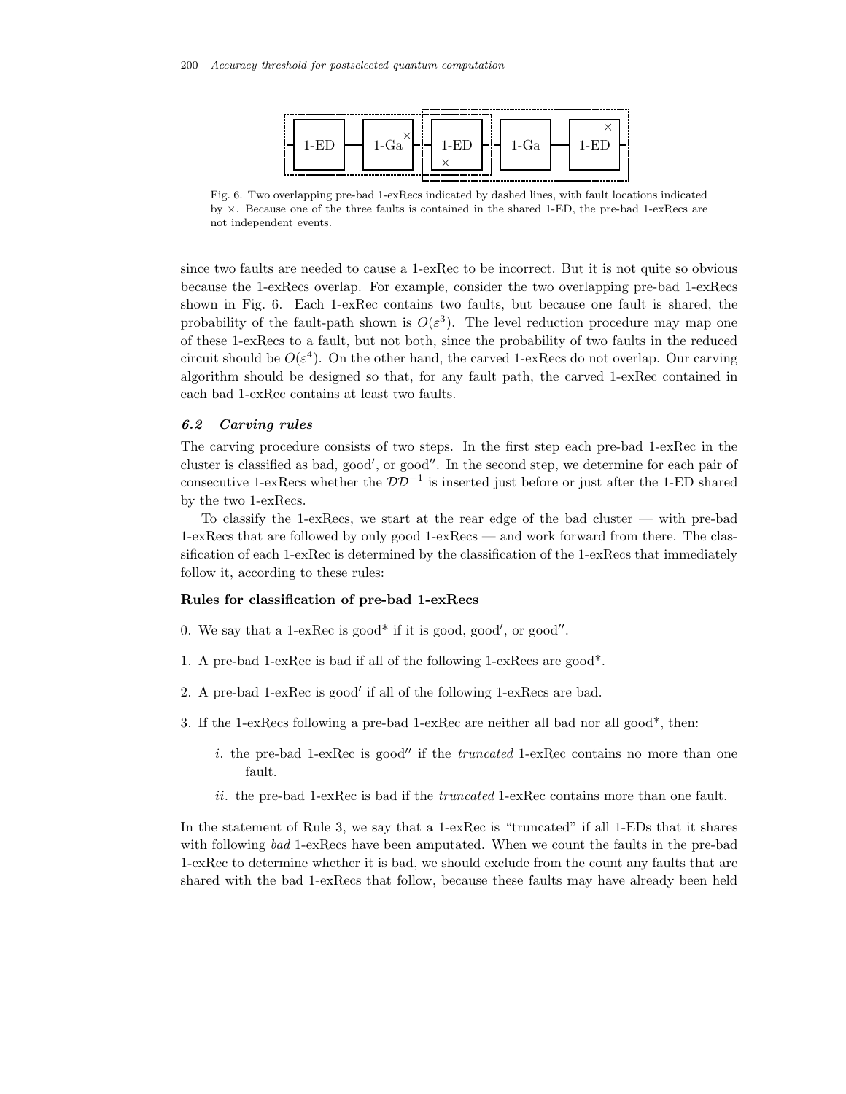

Fig. 6. Two overlapping pre-bad 1-exRecs indicated by dashed lines, with fault locations indicated by  $\times$ . Because one of the three faults is contained in the shared 1-ED, the pre-bad 1-exRecs are not independent events.

since two faults are needed to cause a 1-exRec to be incorrect. But it is not quite so obvious because the 1-exRecs overlap. For example, consider the two overlapping pre-bad 1-exRecs shown in Fig. 6. Each 1-exRec contains two faults, but because one fault is shared, the probability of the fault-path shown is  $O(\varepsilon^3)$ . The level reduction procedure may map one of these 1-exRecs to a fault, but not both, since the probability of two faults in the reduced circuit should be  $O(\varepsilon^4)$ . On the other hand, the carved 1-exRecs do not overlap. Our carving algorithm should be designed so that, for any fault path, the carved 1-exRec contained in each bad 1-exRec contains at least two faults.

#### *6.2 Carving rules*

The carving procedure consists of two steps. In the first step each pre-bad 1-exRec in the cluster is classified as bad, good', or good''. In the second step, we determine for each pair of consecutive 1-exRecs whether the  $DD^{-1}$  is inserted just before or just after the 1-ED shared by the two 1-exRecs.

To classify the 1-exRecs, we start at the rear edge of the bad cluster — with pre-bad 1-exRecs that are followed by only good 1-exRecs — and work forward from there. The classification of each 1-exRec is determined by the classification of the 1-exRecs that immediately follow it, according to these rules:

### **Rules for classification of pre-bad 1-exRecs**

- 0. We say that a 1-ex $Rec$  is good\* if it is good, good', or good''.
- 1. A pre-bad 1-exRec is bad if all of the following 1-exRecs are good\*.
- 2. A pre-bad 1-exRec is good' if all of the following 1-exRecs are bad.
- 3. If the 1-exRecs following a pre-bad 1-exRec are neither all bad nor all good\*, then:
	- i. the pre-bad 1-exRec is good" if the *truncated* 1-exRec contains no more than one fault.
	- ii. the pre-bad 1-exRec is bad if the *truncated* 1-exRec contains more than one fault.

In the statement of Rule 3, we say that a 1-exRec is "truncated" if all 1-EDs that it shares with following *bad* 1-exRecs have been amputated. When we count the faults in the pre-bad 1-exRec to determine whether it is bad, we should exclude from the count any faults that are shared with the bad 1-exRecs that follow, because these faults may have already been held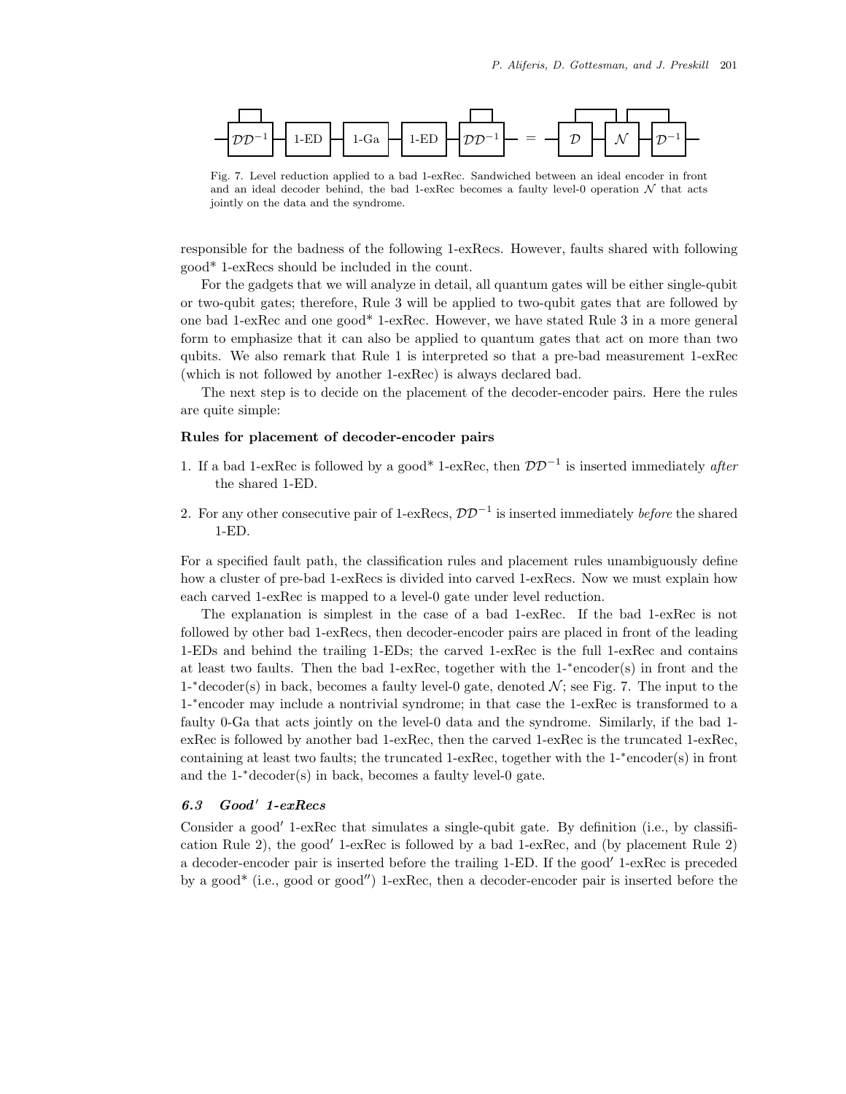

Fig. 7. Level reduction applied to a bad 1-exRec. Sandwiched between an ideal encoder in front and an ideal decoder behind, the bad 1-exRec becomes a faulty level-0 operation  $N$  that acts jointly on the data and the syndrome.

responsible for the badness of the following 1-exRecs. However, faults shared with following good\* 1-exRecs should be included in the count.

For the gadgets that we will analyze in detail, all quantum gates will be either single-qubit or two-qubit gates; therefore, Rule 3 will be applied to two-qubit gates that are followed by one bad 1-exRec and one good\* 1-exRec. However, we have stated Rule 3 in a more general form to emphasize that it can also be applied to quantum gates that act on more than two qubits. We also remark that Rule 1 is interpreted so that a pre-bad measurement 1-exRec (which is not followed by another 1-exRec) is always declared bad.

The next step is to decide on the placement of the decoder-encoder pairs. Here the rules are quite simple:

# **Rules for placement of decoder-encoder pairs**

- 1. If a bad 1-exRec is followed by a good\* 1-exRec, then DD−<sup>1</sup> is inserted immediately *after* the shared 1-ED.
- 2. For any other consecutive pair of 1-exRecs,  $\mathcal{D}\mathcal{D}^{-1}$  is inserted immediately *before* the shared 1-ED.

For a specified fault path, the classification rules and placement rules unambiguously define how a cluster of pre-bad 1-exRecs is divided into carved 1-exRecs. Now we must explain how each carved 1-exRec is mapped to a level-0 gate under level reduction.

The explanation is simplest in the case of a bad 1-exRec. If the bad 1-exRec is not followed by other bad 1-exRecs, then decoder-encoder pairs are placed in front of the leading 1-EDs and behind the trailing 1-EDs; the carved 1-exRec is the full 1-exRec and contains at least two faults. Then the bad 1-exRec, together with the 1-∗encoder(s) in front and the 1-<sup>\*</sup>decoder(s) in back, becomes a faulty level-0 gate, denoted  $\mathcal{N}$ ; see Fig. 7. The input to the 1-∗encoder may include a nontrivial syndrome; in that case the 1-exRec is transformed to a faulty 0-Ga that acts jointly on the level-0 data and the syndrome. Similarly, if the bad 1 exRec is followed by another bad 1-exRec, then the carved 1-exRec is the truncated 1-exRec, containing at least two faults; the truncated 1-exRec, together with the  $1$ - $*$ encoder(s) in front and the 1-∗decoder(s) in back, becomes a faulty level-0 gate.

# *6.3 Good 1-exRecs*

Consider a good' 1-exRec that simulates a single-qubit gate. By definition (i.e., by classification Rule 2), the good' 1-exRec is followed by a bad 1-exRec, and (by placement Rule 2) a decoder-encoder pair is inserted before the trailing 1-ED. If the good' 1-exRec is preceded by a good\* (i.e., good or good") 1-exRec, then a decoder-encoder pair is inserted before the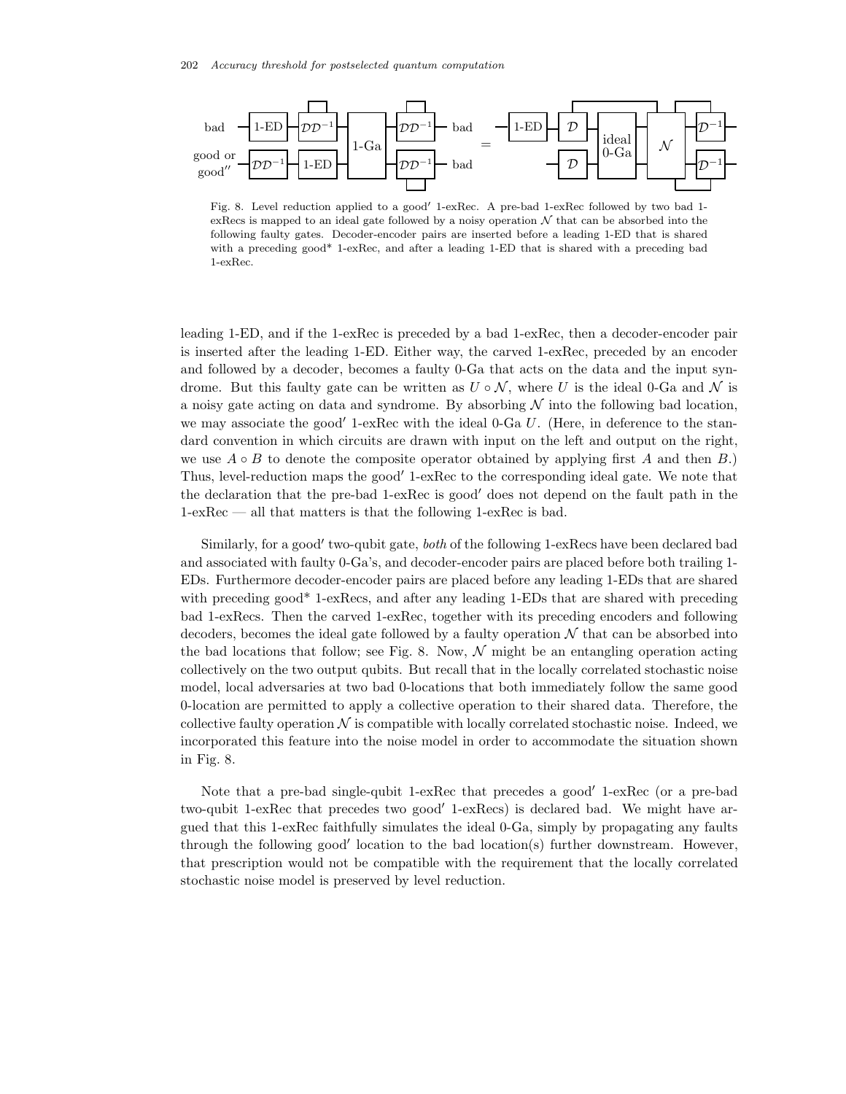

Fig. 8. Level reduction applied to a good' 1-exRec. A pre-bad 1-exRec followed by two bad 1exRecs is mapped to an ideal gate followed by a noisy operation  $N$  that can be absorbed into the following faulty gates. Decoder-encoder pairs are inserted before a leading 1-ED that is shared with a preceding good\* 1-exRec, and after a leading 1-ED that is shared with a preceding bad 1-exRec.

leading 1-ED, and if the 1-exRec is preceded by a bad 1-exRec, then a decoder-encoder pair is inserted after the leading 1-ED. Either way, the carved 1-exRec, preceded by an encoder and followed by a decoder, becomes a faulty 0-Ga that acts on the data and the input syndrome. But this faulty gate can be written as  $U \circ \mathcal{N}$ , where U is the ideal 0-Ga and  $\mathcal N$  is a noisy gate acting on data and syndrome. By absorbing  $\mathcal N$  into the following bad location, we may associate the good' 1-exRec with the ideal  $0$ -Ga U. (Here, in deference to the standard convention in which circuits are drawn with input on the left and output on the right, we use  $A \circ B$  to denote the composite operator obtained by applying first A and then B.) Thus, level-reduction maps the good' 1-exRec to the corresponding ideal gate. We note that the declaration that the pre-bad 1-exRec is good' does not depend on the fault path in the 1-exRec — all that matters is that the following 1-exRec is bad.

Similarly, for a good' two-qubit gate, *both* of the following 1-exRecs have been declared bad and associated with faulty 0-Ga's, and decoder-encoder pairs are placed before both trailing 1- EDs. Furthermore decoder-encoder pairs are placed before any leading 1-EDs that are shared with preceding good<sup>\*</sup> 1-exRecs, and after any leading 1-EDs that are shared with preceding bad 1-exRecs. Then the carved 1-exRec, together with its preceding encoders and following decoders, becomes the ideal gate followed by a faulty operation  $\mathcal N$  that can be absorbed into the bad locations that follow; see Fig. 8. Now,  $\mathcal N$  might be an entangling operation acting collectively on the two output qubits. But recall that in the locally correlated stochastic noise model, local adversaries at two bad 0-locations that both immediately follow the same good 0-location are permitted to apply a collective operation to their shared data. Therefore, the collective faulty operation  $\mathcal N$  is compatible with locally correlated stochastic noise. Indeed, we incorporated this feature into the noise model in order to accommodate the situation shown in Fig. 8.

Note that a pre-bad single-qubit 1-exRec that precedes a good' 1-exRec (or a pre-bad two-qubit 1-exRec that precedes two good' 1-exRecs) is declared bad. We might have argued that this 1-exRec faithfully simulates the ideal 0-Ga, simply by propagating any faults through the following good' location to the bad location(s) further downstream. However, that prescription would not be compatible with the requirement that the locally correlated stochastic noise model is preserved by level reduction.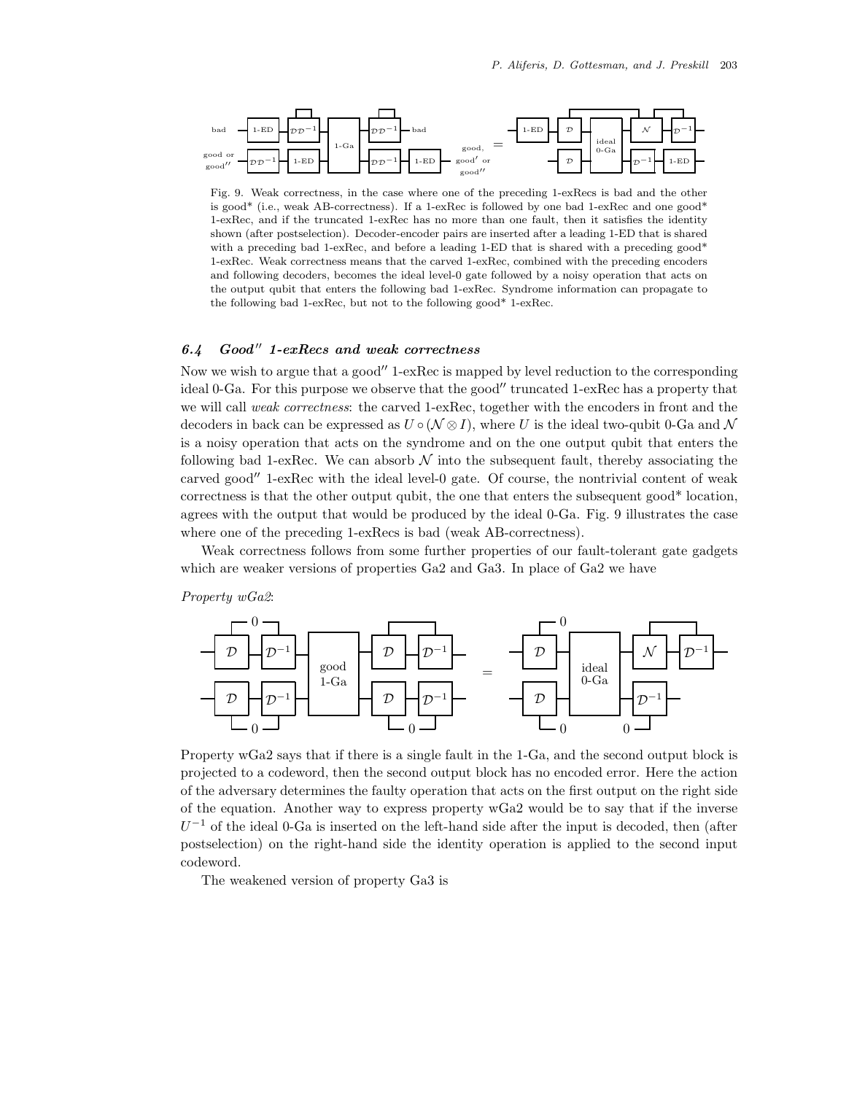

Fig. 9. Weak correctness, in the case where one of the preceding 1-exRecs is bad and the other is good\* (i.e., weak AB-correctness). If a 1-exRec is followed by one bad 1-exRec and one good\* 1-exRec, and if the truncated 1-exRec has no more than one fault, then it satisfies the identity shown (after postselection). Decoder-encoder pairs are inserted after a leading 1-ED that is shared with a preceding bad 1-exRec, and before a leading 1-ED that is shared with a preceding good\* 1-exRec. Weak correctness means that the carved 1-exRec, combined with the preceding encoders and following decoders, becomes the ideal level-0 gate followed by a noisy operation that acts on the output qubit that enters the following bad 1-exRec. Syndrome information can propagate to the following bad 1-exRec, but not to the following good\* 1-exRec.

# *6.4 Good 1-exRecs and weak correctness*

Now we wish to argue that a good" 1-exRec is mapped by level reduction to the corresponding ideal 0-Ga. For this purpose we observe that the good" truncated 1-exRec has a property that we will call *weak correctness*: the carved 1-exRec, together with the encoders in front and the decoders in back can be expressed as  $U \circ (N \otimes I)$ , where U is the ideal two-qubit 0-Ga and N is a noisy operation that acts on the syndrome and on the one output qubit that enters the following bad 1-exRec. We can absorb  $\mathcal N$  into the subsequent fault, thereby associating the carved good"  $1$ -exRec with the ideal level-0 gate. Of course, the nontrivial content of weak correctness is that the other output qubit, the one that enters the subsequent good\* location, agrees with the output that would be produced by the ideal 0-Ga. Fig. 9 illustrates the case where one of the preceding 1-exRecs is bad (weak AB-correctness).

Weak correctness follows from some further properties of our fault-tolerant gate gadgets which are weaker versions of properties Ga2 and Ga3. In place of Ga2 we have

### *Property wGa2*:



Property wGa2 says that if there is a single fault in the 1-Ga, and the second output block is projected to a codeword, then the second output block has no encoded error. Here the action of the adversary determines the faulty operation that acts on the first output on the right side of the equation. Another way to express property wGa2 would be to say that if the inverse  $U^{-1}$  of the ideal 0-Ga is inserted on the left-hand side after the input is decoded, then (after postselection) on the right-hand side the identity operation is applied to the second input codeword.

The weakened version of property Ga3 is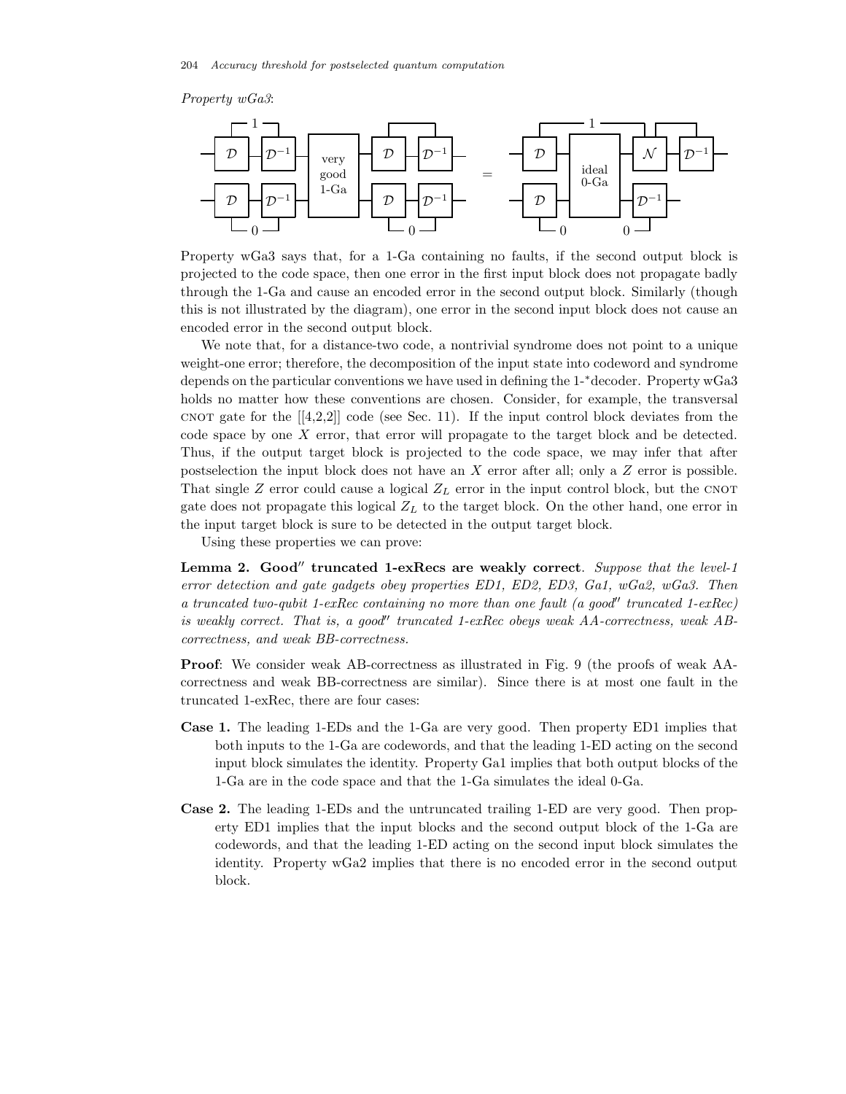# *Property wGa3*:



Property wGa3 says that, for a 1-Ga containing no faults, if the second output block is projected to the code space, then one error in the first input block does not propagate badly through the 1-Ga and cause an encoded error in the second output block. Similarly (though this is not illustrated by the diagram), one error in the second input block does not cause an encoded error in the second output block.

We note that, for a distance-two code, a nontrivial syndrome does not point to a unique weight-one error; therefore, the decomposition of the input state into codeword and syndrome depends on the particular conventions we have used in defining the 1-∗decoder. Property wGa3 holds no matter how these conventions are chosen. Consider, for example, the transversal cnot gate for the  $[4,2,2]$  code (see Sec. 11). If the input control block deviates from the code space by one X error, that error will propagate to the target block and be detected. Thus, if the output target block is projected to the code space, we may infer that after postselection the input block does not have an X error after all; only a  $Z$  error is possible. That single  $Z$  error could cause a logical  $Z_L$  error in the input control block, but the CNOT gate does not propagate this logical  $Z_L$  to the target block. On the other hand, one error in the input target block is sure to be detected in the output target block.

Using these properties we can prove:

Lemma 2. Good" truncated 1-exRecs are weakly correct. *Suppose that the level-1 error detection and gate gadgets obey properties ED1, ED2, ED3, Ga1, wGa2, wGa3. Then a truncated two-qubit 1-exRec containing no more than one fault (a good'' truncated 1-exRec) is weakly correct. That is, a good*" truncated 1-exRec obeys weak AA-correctness, weak AB*correctness, and weak BB-correctness.*

**Proof**: We consider weak AB-correctness as illustrated in Fig. 9 (the proofs of weak AAcorrectness and weak BB-correctness are similar). Since there is at most one fault in the truncated 1-exRec, there are four cases:

- **Case 1.** The leading 1-EDs and the 1-Ga are very good. Then property ED1 implies that both inputs to the 1-Ga are codewords, and that the leading 1-ED acting on the second input block simulates the identity. Property Ga1 implies that both output blocks of the 1-Ga are in the code space and that the 1-Ga simulates the ideal 0-Ga.
- **Case 2.** The leading 1-EDs and the untruncated trailing 1-ED are very good. Then property ED1 implies that the input blocks and the second output block of the 1-Ga are codewords, and that the leading 1-ED acting on the second input block simulates the identity. Property wGa2 implies that there is no encoded error in the second output block.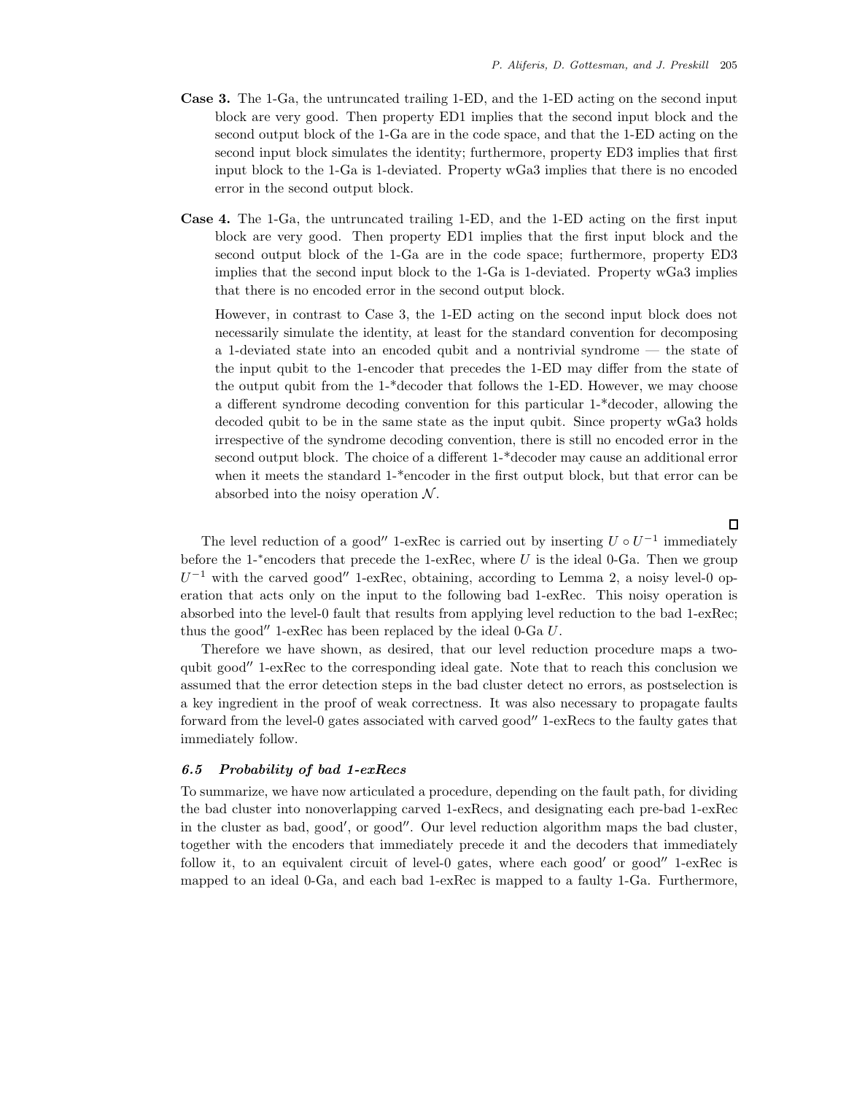- **Case 3.** The 1-Ga, the untruncated trailing 1-ED, and the 1-ED acting on the second input block are very good. Then property ED1 implies that the second input block and the second output block of the 1-Ga are in the code space, and that the 1-ED acting on the second input block simulates the identity; furthermore, property ED3 implies that first input block to the 1-Ga is 1-deviated. Property wGa3 implies that there is no encoded error in the second output block.
- **Case 4.** The 1-Ga, the untruncated trailing 1-ED, and the 1-ED acting on the first input block are very good. Then property ED1 implies that the first input block and the second output block of the 1-Ga are in the code space; furthermore, property ED3 implies that the second input block to the 1-Ga is 1-deviated. Property wGa3 implies that there is no encoded error in the second output block.

However, in contrast to Case 3, the 1-ED acting on the second input block does not necessarily simulate the identity, at least for the standard convention for decomposing a 1-deviated state into an encoded qubit and a nontrivial syndrome — the state of the input qubit to the 1-encoder that precedes the 1-ED may differ from the state of the output qubit from the 1-\*decoder that follows the 1-ED. However, we may choose a different syndrome decoding convention for this particular 1-\*decoder, allowing the decoded qubit to be in the same state as the input qubit. Since property wGa3 holds irrespective of the syndrome decoding convention, there is still no encoded error in the second output block. The choice of a different 1-\*decoder may cause an additional error when it meets the standard 1-\*encoder in the first output block, but that error can be absorbed into the noisy operation  $\mathcal N$ .

 $\Box$ 

The level reduction of a good" 1-exRec is carried out by inserting  $U \circ U^{-1}$  immediately before the 1-<sup>∗</sup>encoders that precede the 1-exRec, where  $U$  is the ideal 0-Ga. Then we group  $U^{-1}$  with the carved good" 1-exRec, obtaining, according to Lemma 2, a noisy level-0 operation that acts only on the input to the following bad 1-exRec. This noisy operation is absorbed into the level-0 fault that results from applying level reduction to the bad 1-exRec; thus the good" 1-exRec has been replaced by the ideal  $0$ -Ga  $U$ .

Therefore we have shown, as desired, that our level reduction procedure maps a twoqubit good"  $1$ -exRec to the corresponding ideal gate. Note that to reach this conclusion we assumed that the error detection steps in the bad cluster detect no errors, as postselection is a key ingredient in the proof of weak correctness. It was also necessary to propagate faults forward from the level-0 gates associated with carved good" 1-exRecs to the faulty gates that immediately follow.

### *6.5 Probability of bad 1-exRecs*

To summarize, we have now articulated a procedure, depending on the fault path, for dividing the bad cluster into nonoverlapping carved 1-exRecs, and designating each pre-bad 1-exRec in the cluster as bad, good', or good''. Our level reduction algorithm maps the bad cluster, together with the encoders that immediately precede it and the decoders that immediately follow it, to an equivalent circuit of level-0 gates, where each good' or good'  $1$ -exRec is mapped to an ideal 0-Ga, and each bad 1-exRec is mapped to a faulty 1-Ga. Furthermore,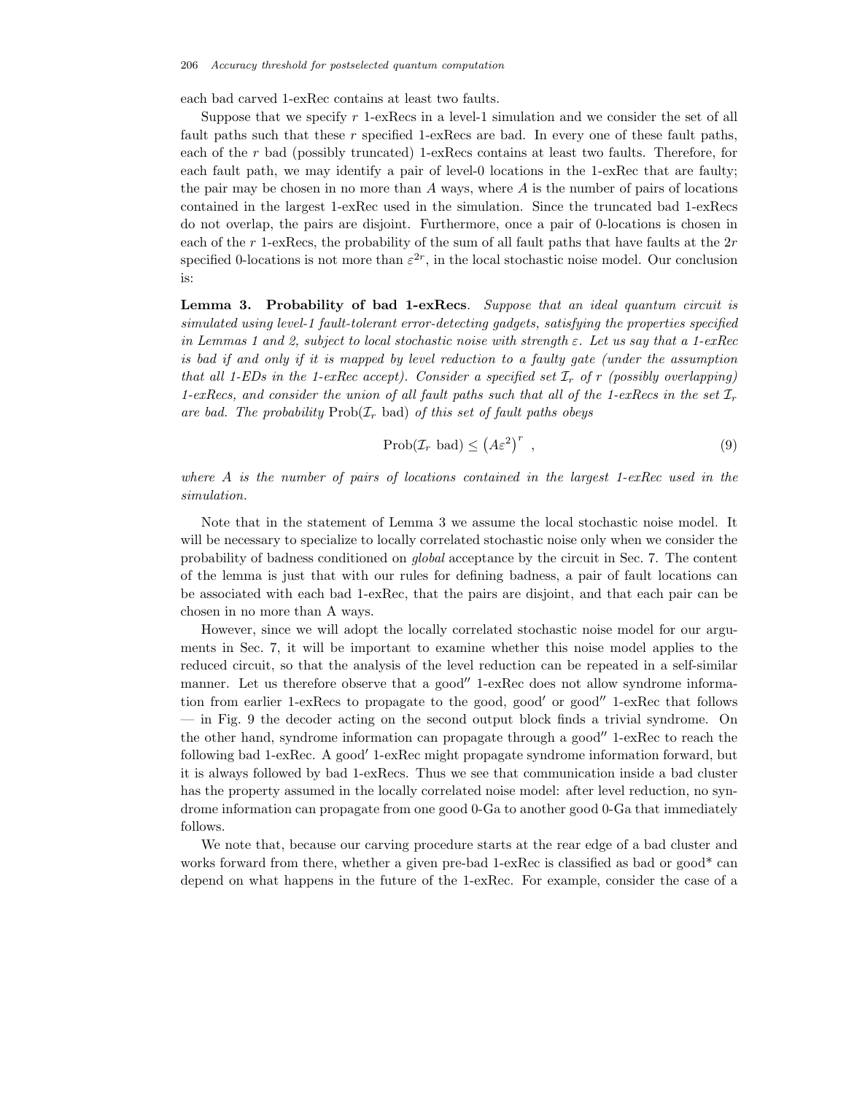each bad carved 1-exRec contains at least two faults.

Suppose that we specify  $r$  1-exRecs in a level-1 simulation and we consider the set of all fault paths such that these  $r$  specified 1-exRecs are bad. In every one of these fault paths, each of the r bad (possibly truncated) 1-exRecs contains at least two faults. Therefore, for each fault path, we may identify a pair of level-0 locations in the 1-exRec that are faulty; the pair may be chosen in no more than  $A$  ways, where  $A$  is the number of pairs of locations contained in the largest 1-exRec used in the simulation. Since the truncated bad 1-exRecs do not overlap, the pairs are disjoint. Furthermore, once a pair of 0-locations is chosen in each of the r 1-exRecs, the probability of the sum of all fault paths that have faults at the  $2r$ specified 0-locations is not more than  $\varepsilon^{2r}$ , in the local stochastic noise model. Our conclusion is:

**Lemma 3. Probability of bad 1-exRecs**. *Suppose that an ideal quantum circuit is simulated using level-1 fault-tolerant error-detecting gadgets, satisfying the properties specified in Lemmas 1 and 2, subject to local stochastic noise with strength* ε*. Let us say that a 1-exRec is bad if and only if it is mapped by level reduction to a faulty gate (under the assumption that all 1-EDs in the 1-exRec accept). Consider a specified set*  $I_r$  *of* r *(possibly overlapping) 1-exRecs, and consider the union of all fault paths such that all of the 1-exRecs in the set*  $\mathcal{I}_r$ are bad. The probability  $\text{Prob}(\mathcal{I}_r)$  bad) of this set of fault paths obeys

$$
\text{Prob}(\mathcal{I}_r \text{ bad}) \leq \left(A\varepsilon^2\right)^r ,\tag{9}
$$

*where* A *is the number of pairs of locations contained in the largest 1-exRec used in the simulation.*

Note that in the statement of Lemma 3 we assume the local stochastic noise model. It will be necessary to specialize to locally correlated stochastic noise only when we consider the probability of badness conditioned on *global* acceptance by the circuit in Sec. 7. The content of the lemma is just that with our rules for defining badness, a pair of fault locations can be associated with each bad 1-exRec, that the pairs are disjoint, and that each pair can be chosen in no more than A ways.

However, since we will adopt the locally correlated stochastic noise model for our arguments in Sec. 7, it will be important to examine whether this noise model applies to the reduced circuit, so that the analysis of the level reduction can be repeated in a self-similar manner. Let us therefore observe that a good" 1-exRec does not allow syndrome information from earlier 1-exRecs to propagate to the good, good' or good" 1-exRec that follows — in Fig. 9 the decoder acting on the second output block finds a trivial syndrome. On the other hand, syndrome information can propagate through a good"  $1$ -exRec to reach the following bad 1-exRec. A good' 1-exRec might propagate syndrome information forward, but it is always followed by bad 1-exRecs. Thus we see that communication inside a bad cluster has the property assumed in the locally correlated noise model: after level reduction, no syndrome information can propagate from one good 0-Ga to another good 0-Ga that immediately follows.

We note that, because our carving procedure starts at the rear edge of a bad cluster and works forward from there, whether a given pre-bad 1-exRec is classified as bad or good\* can depend on what happens in the future of the 1-exRec. For example, consider the case of a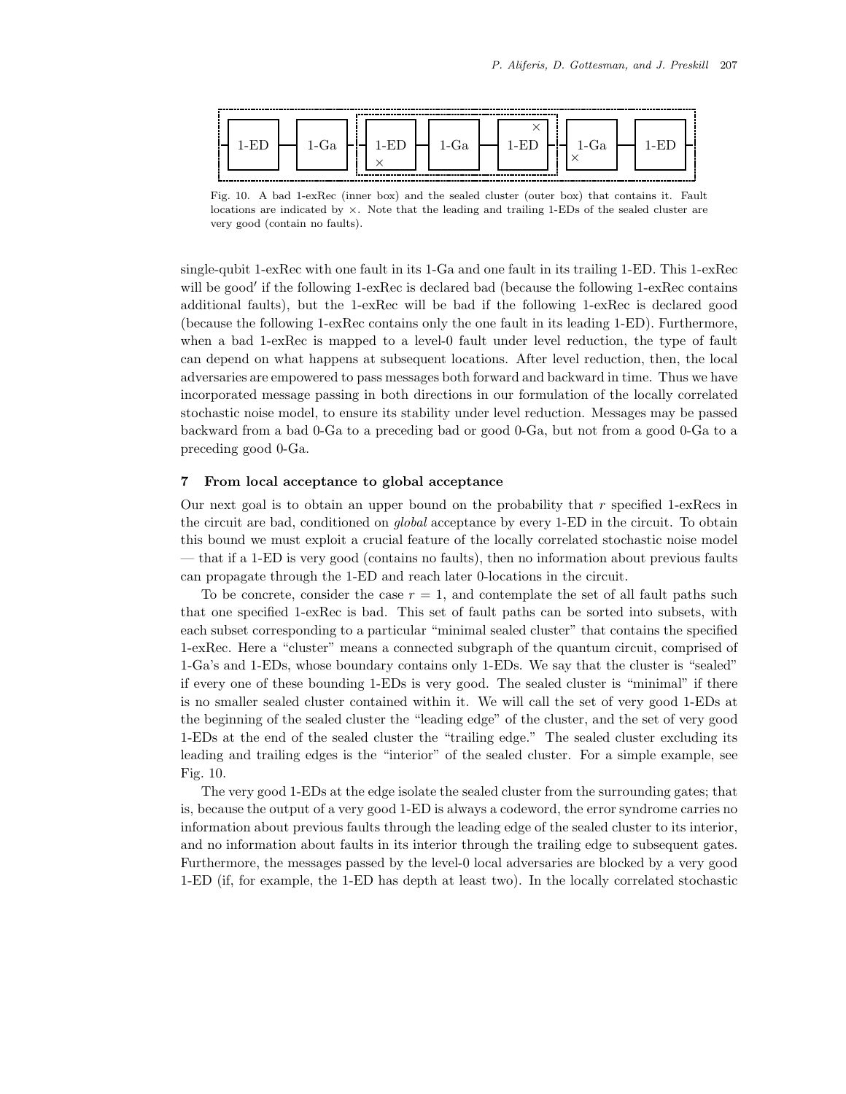

Fig. 10. A bad 1-exRec (inner box) and the sealed cluster (outer box) that contains it. Fault locations are indicated by ×. Note that the leading and trailing 1-EDs of the sealed cluster are very good (contain no faults).

single-qubit 1-exRec with one fault in its 1-Ga and one fault in its trailing 1-ED. This 1-exRec will be good' if the following 1-exRec is declared bad (because the following 1-exRec contains additional faults), but the 1-exRec will be bad if the following 1-exRec is declared good (because the following 1-exRec contains only the one fault in its leading 1-ED). Furthermore, when a bad 1-exRec is mapped to a level-0 fault under level reduction, the type of fault can depend on what happens at subsequent locations. After level reduction, then, the local adversaries are empowered to pass messages both forward and backward in time. Thus we have incorporated message passing in both directions in our formulation of the locally correlated stochastic noise model, to ensure its stability under level reduction. Messages may be passed backward from a bad 0-Ga to a preceding bad or good 0-Ga, but not from a good 0-Ga to a preceding good 0-Ga.

### **7 From local acceptance to global acceptance**

Our next goal is to obtain an upper bound on the probability that  $r$  specified 1-exRecs in the circuit are bad, conditioned on *global* acceptance by every 1-ED in the circuit. To obtain this bound we must exploit a crucial feature of the locally correlated stochastic noise model — that if a 1-ED is very good (contains no faults), then no information about previous faults can propagate through the 1-ED and reach later 0-locations in the circuit.

To be concrete, consider the case  $r = 1$ , and contemplate the set of all fault paths such that one specified 1-exRec is bad. This set of fault paths can be sorted into subsets, with each subset corresponding to a particular "minimal sealed cluster" that contains the specified 1-exRec. Here a "cluster" means a connected subgraph of the quantum circuit, comprised of 1-Ga's and 1-EDs, whose boundary contains only 1-EDs. We say that the cluster is "sealed" if every one of these bounding 1-EDs is very good. The sealed cluster is "minimal" if there is no smaller sealed cluster contained within it. We will call the set of very good 1-EDs at the beginning of the sealed cluster the "leading edge" of the cluster, and the set of very good 1-EDs at the end of the sealed cluster the "trailing edge." The sealed cluster excluding its leading and trailing edges is the "interior" of the sealed cluster. For a simple example, see Fig. 10.

The very good 1-EDs at the edge isolate the sealed cluster from the surrounding gates; that is, because the output of a very good 1-ED is always a codeword, the error syndrome carries no information about previous faults through the leading edge of the sealed cluster to its interior, and no information about faults in its interior through the trailing edge to subsequent gates. Furthermore, the messages passed by the level-0 local adversaries are blocked by a very good 1-ED (if, for example, the 1-ED has depth at least two). In the locally correlated stochastic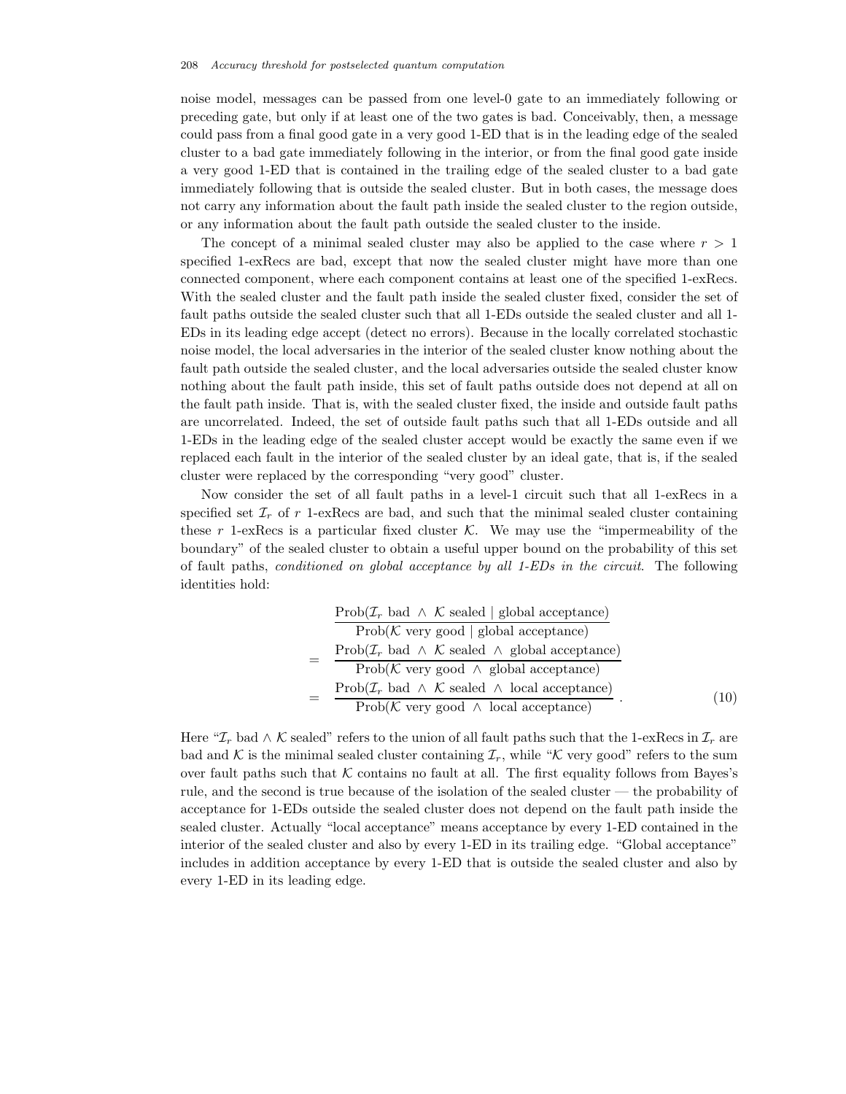noise model, messages can be passed from one level-0 gate to an immediately following or preceding gate, but only if at least one of the two gates is bad. Conceivably, then, a message could pass from a final good gate in a very good 1-ED that is in the leading edge of the sealed cluster to a bad gate immediately following in the interior, or from the final good gate inside a very good 1-ED that is contained in the trailing edge of the sealed cluster to a bad gate immediately following that is outside the sealed cluster. But in both cases, the message does not carry any information about the fault path inside the sealed cluster to the region outside, or any information about the fault path outside the sealed cluster to the inside.

The concept of a minimal sealed cluster may also be applied to the case where  $r > 1$ specified 1-exRecs are bad, except that now the sealed cluster might have more than one connected component, where each component contains at least one of the specified 1-exRecs. With the sealed cluster and the fault path inside the sealed cluster fixed, consider the set of fault paths outside the sealed cluster such that all 1-EDs outside the sealed cluster and all 1- EDs in its leading edge accept (detect no errors). Because in the locally correlated stochastic noise model, the local adversaries in the interior of the sealed cluster know nothing about the fault path outside the sealed cluster, and the local adversaries outside the sealed cluster know nothing about the fault path inside, this set of fault paths outside does not depend at all on the fault path inside. That is, with the sealed cluster fixed, the inside and outside fault paths are uncorrelated. Indeed, the set of outside fault paths such that all 1-EDs outside and all 1-EDs in the leading edge of the sealed cluster accept would be exactly the same even if we replaced each fault in the interior of the sealed cluster by an ideal gate, that is, if the sealed cluster were replaced by the corresponding "very good" cluster.

Now consider the set of all fault paths in a level-1 circuit such that all 1-exRecs in a specified set  $\mathcal{I}_r$  of r 1-exRecs are bad, and such that the minimal sealed cluster containing these  $r$  1-exRecs is a particular fixed cluster  $K$ . We may use the "impermeability of the boundary" of the sealed cluster to obtain a useful upper bound on the probability of this set of fault paths, *conditioned on global acceptance by all 1-EDs in the circuit*. The following identities hold:

|  | $\mathrm{Prob}(\mathcal{I}_r \text{ bad } \wedge \mathcal{K} \text{ sealed }   \text{ global acceptance})$     |      |
|--|----------------------------------------------------------------------------------------------------------------|------|
|  | $Prob(K \text{ very good}   global acceptance)$                                                                |      |
|  | Prob( $\mathcal{I}_r$ bad $\wedge \mathcal{K}$ sealed $\wedge$ global acceptance)                              |      |
|  | Prob( $K$ very good $\land$ global acceptance)                                                                 |      |
|  | $\mathrm{Prob}(\mathcal{I}_r \text{ bad } \wedge \mathcal{K} \text{ sealed } \wedge \text{ local acceptance})$ | (10) |
|  | Prob( $K$ very good $\land$ local acceptance)                                                                  |      |

Here " $\mathcal{I}_r$  bad ∧ K sealed" refers to the union of all fault paths such that the 1-exRecs in  $\mathcal{I}_r$  are bad and K is the minimal sealed cluster containing  $\mathcal{I}_r$ , while "K very good" refers to the sum over fault paths such that  $K$  contains no fault at all. The first equality follows from Bayes's rule, and the second is true because of the isolation of the sealed cluster — the probability of acceptance for 1-EDs outside the sealed cluster does not depend on the fault path inside the sealed cluster. Actually "local acceptance" means acceptance by every 1-ED contained in the interior of the sealed cluster and also by every 1-ED in its trailing edge. "Global acceptance" includes in addition acceptance by every 1-ED that is outside the sealed cluster and also by every 1-ED in its leading edge.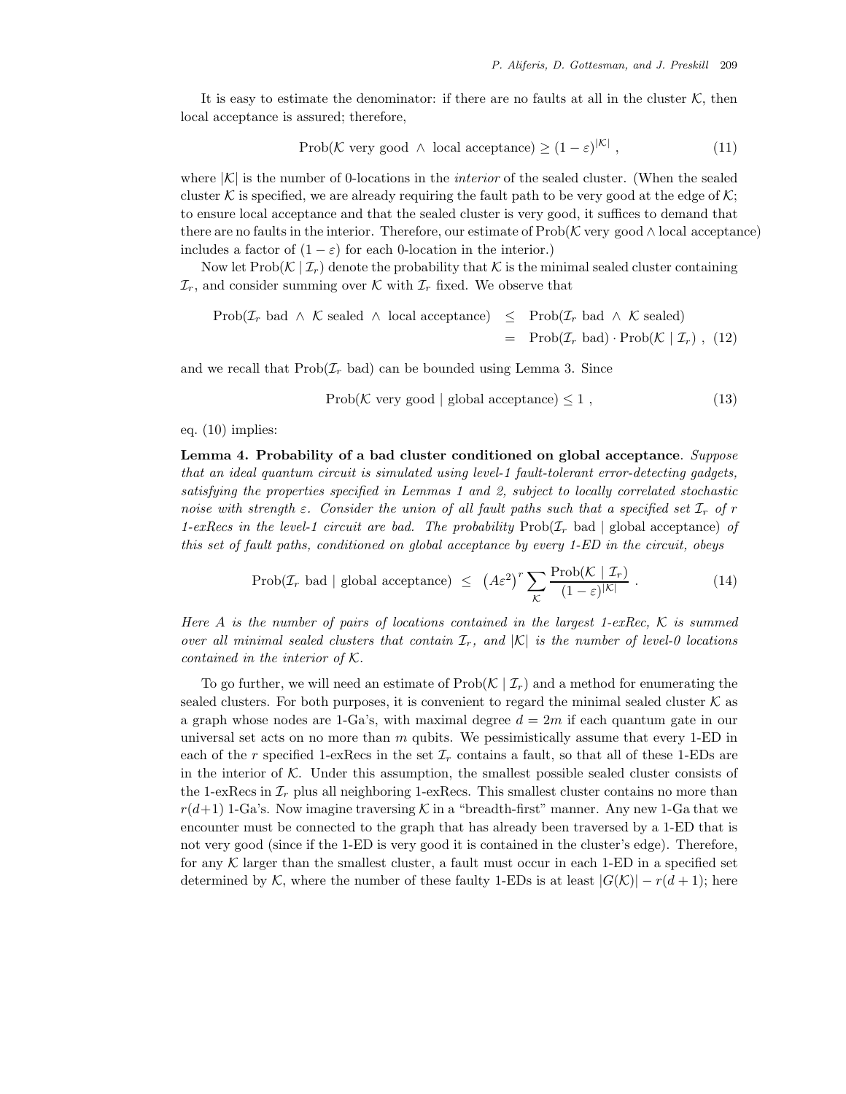It is easy to estimate the denominator: if there are no faults at all in the cluster  $K$ , then local acceptance is assured; therefore,

$$
Prob(\mathcal{K} \text{ very good } \wedge \text{ local acceptance}) \ge (1 - \varepsilon)^{|\mathcal{K}|}, \tag{11}
$$

where  $|K|$  is the number of 0-locations in the *interior* of the sealed cluster. (When the sealed cluster K is specified, we are already requiring the fault path to be very good at the edge of  $K$ ; to ensure local acceptance and that the sealed cluster is very good, it suffices to demand that there are no faults in the interior. Therefore, our estimate of  $\text{Prob}(\mathcal{K}$  very good  $\wedge$  local acceptance) includes a factor of  $(1 - \varepsilon)$  for each 0-location in the interior.)

Now let  $\text{Prob}(\mathcal{K} | \mathcal{I}_r)$  denote the probability that  $\mathcal K$  is the minimal sealed cluster containing  $\mathcal{I}_r$ , and consider summing over K with  $\mathcal{I}_r$  fixed. We observe that

$$
\begin{array}{rcl}\n\text{Prob}(\mathcal{I}_r \text{ bad } \wedge \mathcal{K} \text{ sealed } \wedge \text{ local acceptance}) & \leq & \text{Prob}(\mathcal{I}_r \text{ bad } \wedge \mathcal{K} \text{ sealed}) \\
& = & \text{Prob}(\mathcal{I}_r \text{ bad } \wedge \mathcal{K} \text{sealed}) \\
& = & \text{Prob}(\mathcal{I}_r \text{ bad } \wedge \mathcal{K} \text{ b.} \mid \mathcal{I}_r) \text{ and } \text{Prob}(\mathcal{K} \mid \mathcal{I}_r) \\
\end{array}
$$

and we recall that  $\text{Prob}(\mathcal{I}_r \text{ bad})$  can be bounded using Lemma 3. Since

Prob( $K$  very good | global acceptance)  $\leq 1$ , (13)

#### eq. (10) implies:

**Lemma 4. Probability of a bad cluster conditioned on global acceptance**. *Suppose that an ideal quantum circuit is simulated using level-1 fault-tolerant error-detecting gadgets, satisfying the properties specified in Lemmas 1 and 2, subject to locally correlated stochastic noise with strength*  $\varepsilon$ . Consider the union of all fault paths such that a specified set  $\mathcal{I}_r$  of r *1-exRecs in the level-1 circuit are bad. The probability*  $\text{Prob}(\mathcal{I}_r)$  bad | global acceptance) *of this set of fault paths, conditioned on global acceptance by every 1-ED in the circuit, obeys*

$$
\text{Prob}(\mathcal{I}_r \text{ bad} \mid \text{global acceptance}) \leq (A\varepsilon^2)^r \sum_{\mathcal{K}} \frac{\text{Prob}(\mathcal{K} \mid \mathcal{I}_r)}{(1-\varepsilon)^{|\mathcal{K}|}}. \tag{14}
$$

*Here* A *is the number of pairs of locations contained in the largest 1-exRec,* K *is summed over all minimal sealed clusters that contain*  $\mathcal{I}_r$ , and  $|K|$  *is the number of level-0 locations contained in the interior of* K*.*

To go further, we will need an estimate of  $\text{Prob}(\mathcal{K} | \mathcal{I}_r)$  and a method for enumerating the sealed clusters. For both purposes, it is convenient to regard the minimal sealed cluster  $K$  as a graph whose nodes are 1-Ga's, with maximal degree  $d = 2m$  if each quantum gate in our universal set acts on no more than  $m$  qubits. We pessimistically assume that every 1-ED in each of the r specified 1-exRecs in the set  $\mathcal{I}_r$  contains a fault, so that all of these 1-EDs are in the interior of  $K$ . Under this assumption, the smallest possible sealed cluster consists of the 1-exRecs in  $\mathcal{I}_r$  plus all neighboring 1-exRecs. This smallest cluster contains no more than  $r(d+1)$  1-Ga's. Now imagine traversing K in a "breadth-first" manner. Any new 1-Ga that we encounter must be connected to the graph that has already been traversed by a 1-ED that is not very good (since if the 1-ED is very good it is contained in the cluster's edge). Therefore, for any  $K$  larger than the smallest cluster, a fault must occur in each 1-ED in a specified set determined by K, where the number of these faulty 1-EDs is at least  $|G(\mathcal{K})| - r(d+1)$ ; here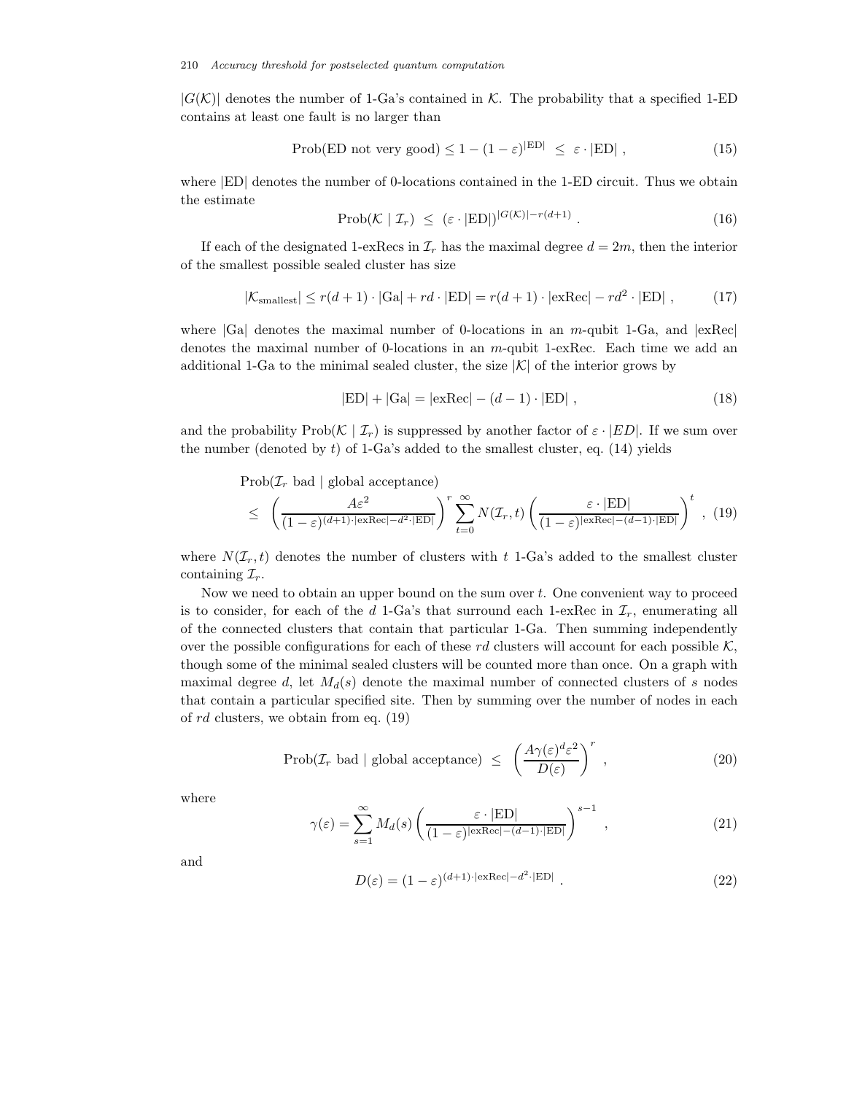$|G(K)|$  denotes the number of 1-Ga's contained in K. The probability that a specified 1-ED contains at least one fault is no larger than

$$
\text{Prob(ED not very good}) \le 1 - (1 - \varepsilon)^{|\text{ED}|} \le \varepsilon \cdot |\text{ED}| \,,\tag{15}
$$

where |ED| denotes the number of 0-locations contained in the 1-ED circuit. Thus we obtain the estimate

$$
\text{Prob}(\mathcal{K} \mid \mathcal{I}_r) \leq (\varepsilon \cdot |\mathbf{ED}|)^{|G(\mathcal{K})|-r(d+1)} \,. \tag{16}
$$

If each of the designated 1-exRecs in  $\mathcal{I}_r$  has the maximal degree  $d = 2m$ , then the interior of the smallest possible sealed cluster has size

$$
|\mathcal{K}_{\text{smallest}}| \le r(d+1) \cdot |\text{Ga}| + rd \cdot |\text{ED}| = r(d+1) \cdot |\text{exRec}| - rd^2 \cdot |\text{ED}| \,,\tag{17}
$$

where  $|Ga|$  denotes the maximal number of 0-locations in an m-qubit 1-Ga, and  $|exRec|$ denotes the maximal number of 0-locations in an m-qubit 1-exRec. Each time we add an additional 1-Ga to the minimal sealed cluster, the size  $|\mathcal{K}|$  of the interior grows by

$$
|\mathbf{ED}| + |\mathbf{Ga}| = |\mathbf{exRec}| - (d - 1) \cdot |\mathbf{ED}| \tag{18}
$$

and the probability Prob( $K|\mathcal{I}_r$ ) is suppressed by another factor of  $\varepsilon \cdot |ED|$ . If we sum over the number (denoted by  $t$ ) of 1-Ga's added to the smallest cluster, eq. (14) yields

 $Prob(\mathcal{I}_r)$  bad | global acceptance)

$$
\leq \left(\frac{A\varepsilon^2}{(1-\varepsilon)^{(d+1)\cdot|\exp(-d^2\cdot|ED|}}\right)^r \sum_{t=0}^{\infty} N(\mathcal{I}_r, t) \left(\frac{\varepsilon \cdot |ED|}{(1-\varepsilon)^{|\exp(-(d-1)\cdot|ED|}}\right)^t , (19)
$$

where  $N(\mathcal{I}_r, t)$  denotes the number of clusters with t 1-Ga's added to the smallest cluster containing  $\mathcal{I}_r$ .

Now we need to obtain an upper bound on the sum over t. One convenient way to proceed is to consider, for each of the d 1-Ga's that surround each 1-exRec in  $\mathcal{I}_r$ , enumerating all of the connected clusters that contain that particular 1-Ga. Then summing independently over the possible configurations for each of these rd clusters will account for each possible  $K$ , though some of the minimal sealed clusters will be counted more than once. On a graph with maximal degree d, let  $M_d(s)$  denote the maximal number of connected clusters of s nodes that contain a particular specified site. Then by summing over the number of nodes in each of rd clusters, we obtain from eq. (19)

$$
\text{Prob}(\mathcal{I}_r \text{ bad} \mid \text{global acceptance}) \leq \left(\frac{A\gamma(\varepsilon)^d \varepsilon^2}{D(\varepsilon)}\right)^r, \tag{20}
$$

where

$$
\gamma(\varepsilon) = \sum_{s=1}^{\infty} M_d(s) \left( \frac{\varepsilon \cdot |\mathbf{ED}|}{(1 - \varepsilon)^{|\mathbf{exRec}| - (d - 1) \cdot |\mathbf{ED}|}} \right)^{s-1},\tag{21}
$$

and

$$
D(\varepsilon) = (1 - \varepsilon)^{(d+1)\cdot|\exp(-d^2 \cdot |ED|)}.
$$
\n(22)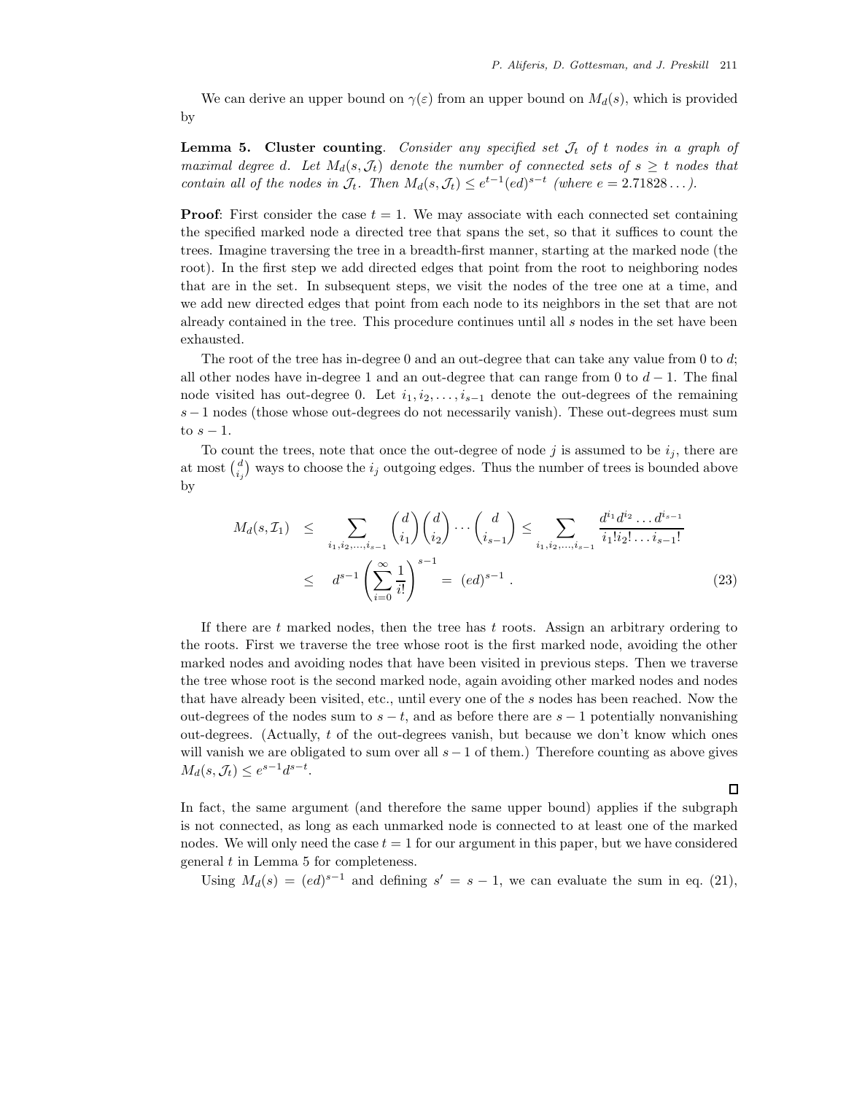$\Box$ 

We can derive an upper bound on  $\gamma(\varepsilon)$  from an upper bound on  $M_d(s)$ , which is provided by

**Lemma 5. Cluster counting**. *Consider any specified set*  $J_t$  of t nodes in a graph of *maximal degree d. Let*  $M_d(s, \mathcal{J}_t)$  *denote the number of connected sets of*  $s \geq t$  *nodes that contain all of the nodes in*  $\mathcal{J}_t$ *. Then*  $M_d(s, \mathcal{J}_t) \leq e^{t-1} (ed)^{s-t}$  *(where*  $e = 2.71828...$  *).* 

**Proof**: First consider the case  $t = 1$ . We may associate with each connected set containing the specified marked node a directed tree that spans the set, so that it suffices to count the trees. Imagine traversing the tree in a breadth-first manner, starting at the marked node (the root). In the first step we add directed edges that point from the root to neighboring nodes that are in the set. In subsequent steps, we visit the nodes of the tree one at a time, and we add new directed edges that point from each node to its neighbors in the set that are not already contained in the tree. This procedure continues until all  $s$  nodes in the set have been exhausted.

The root of the tree has in-degree 0 and an out-degree that can take any value from 0 to d; all other nodes have in-degree 1 and an out-degree that can range from 0 to  $d-1$ . The final node visited has out-degree 0. Let  $i_1, i_2, \ldots, i_{s-1}$  denote the out-degrees of the remaining s−1 nodes (those whose out-degrees do not necessarily vanish). These out-degrees must sum to  $s - 1$ .

To count the trees, note that once the out-degree of node j is assumed to be  $i_j$ , there are at most  $\binom{d}{i_j}$  ways to choose the  $i_j$  outgoing edges. Thus the number of trees is bounded above by

$$
M_d(s, \mathcal{I}_1) \leq \sum_{i_1, i_2, \dots, i_{s-1}} \binom{d}{i_1} \binom{d}{i_2} \cdots \binom{d}{i_{s-1}} \leq \sum_{i_1, i_2, \dots, i_{s-1}} \frac{d^{i_1} d^{i_2} \dots d^{i_{s-1}}}{i_1! i_2! \dots i_{s-1}!} \leq d^{s-1} \left( \sum_{i=0}^{\infty} \frac{1}{i!} \right)^{s-1} = (ed)^{s-1} .
$$
\n
$$
(23)
$$

If there are t marked nodes, then the tree has t roots. Assign an arbitrary ordering to the roots. First we traverse the tree whose root is the first marked node, avoiding the other marked nodes and avoiding nodes that have been visited in previous steps. Then we traverse the tree whose root is the second marked node, again avoiding other marked nodes and nodes that have already been visited, etc., until every one of the s nodes has been reached. Now the out-degrees of the nodes sum to  $s - t$ , and as before there are  $s - 1$  potentially nonvanishing out-degrees. (Actually, t of the out-degrees vanish, but because we don't know which ones will vanish we are obligated to sum over all  $s - 1$  of them.) Therefore counting as above gives  $M_d(s, \mathcal{J}_t) \leq e^{s-1}d^{s-t}.$ 

In fact, the same argument (and therefore the same upper bound) applies if the subgraph is not connected, as long as each unmarked node is connected to at least one of the marked nodes. We will only need the case  $t = 1$  for our argument in this paper, but we have considered general  $t$  in Lemma 5 for completeness.

Using  $M_d(s)=(ed)^{s-1}$  and defining  $s' = s - 1$ , we can evaluate the sum in eq. (21),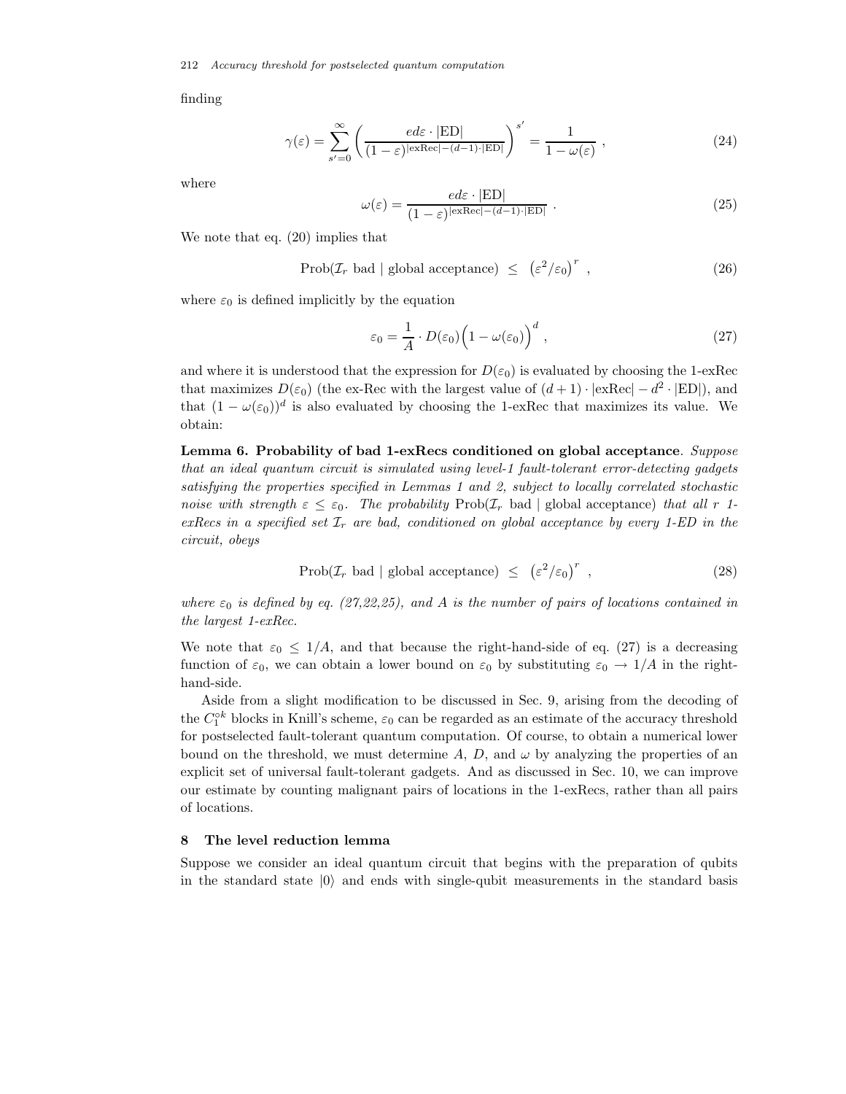finding

$$
\gamma(\varepsilon) = \sum_{s'=0}^{\infty} \left( \frac{ed\varepsilon \cdot |\mathrm{ED}|}{(1-\varepsilon)^{|\mathrm{exRec}| - (d-1) \cdot |\mathrm{ED}|}} \right)^{s'} = \frac{1}{1 - \omega(\varepsilon)},
$$
\n(24)

where

$$
\omega(\varepsilon) = \frac{ed\varepsilon \cdot |\text{ED}|}{(1 - \varepsilon)^{|\text{exRec}| - (d - 1) \cdot |\text{ED}|}} \ . \tag{25}
$$

We note that eq. (20) implies that

$$
Prob(\mathcal{I}_r \text{ bad } | \text{ global acceptance}) \leq (\varepsilon^2/\varepsilon_0)^r , \qquad (26)
$$

where  $\varepsilon_0$  is defined implicitly by the equation

$$
\varepsilon_0 = \frac{1}{A} \cdot D(\varepsilon_0) \Big( 1 - \omega(\varepsilon_0) \Big)^d \tag{27}
$$

and where it is understood that the expression for  $D(\varepsilon_0)$  is evaluated by choosing the 1-exRec that maximizes  $D(\varepsilon_0)$  (the ex-Rec with the largest value of  $(d+1) \cdot |\text{exRec}| - d^2 \cdot |\text{ED}|$ ), and that  $(1 - \omega(\varepsilon_0))^d$  is also evaluated by choosing the 1-exRec that maximizes its value. We obtain:

**Lemma 6. Probability of bad 1-exRecs conditioned on global acceptance**. *Suppose that an ideal quantum circuit is simulated using level-1 fault-tolerant error-detecting gadgets satisfying the properties specified in Lemmas 1 and 2, subject to locally correlated stochastic noise with strength*  $\varepsilon \leq \varepsilon_0$ . The probability Prob( $\mathcal{I}_r$  bad | global acceptance) *that all* r 1 $exRecs$  in a specified set  $\mathcal{I}_r$  are bad, conditioned on global acceptance by every 1-ED in the *circuit, obeys*

$$
Prob(\mathcal{I}_r \text{ bad } | \text{ global acceptance}) \leq ( \varepsilon^2 / \varepsilon_0 )^r , \qquad (28)
$$

*where*  $\varepsilon_0$  *is defined by eq. (27,22,25), and A is the number of pairs of locations contained in the largest 1-exRec.*

We note that  $\varepsilon_0 \leq 1/A$ , and that because the right-hand-side of eq. (27) is a decreasing function of  $\varepsilon_0$ , we can obtain a lower bound on  $\varepsilon_0$  by substituting  $\varepsilon_0 \to 1/A$  in the righthand-side.

Aside from a slight modification to be discussed in Sec. 9, arising from the decoding of the  $C_1^{\circ k}$  blocks in Knill's scheme,  $\varepsilon_0$  can be regarded as an estimate of the accuracy threshold for postselected fault-tolerant quantum computation. Of course, to obtain a numerical lower bound on the threshold, we must determine A, D, and  $\omega$  by analyzing the properties of an explicit set of universal fault-tolerant gadgets. And as discussed in Sec. 10, we can improve our estimate by counting malignant pairs of locations in the 1-exRecs, rather than all pairs of locations.

#### **8 The level reduction lemma**

Suppose we consider an ideal quantum circuit that begins with the preparation of qubits in the standard state  $|0\rangle$  and ends with single-qubit measurements in the standard basis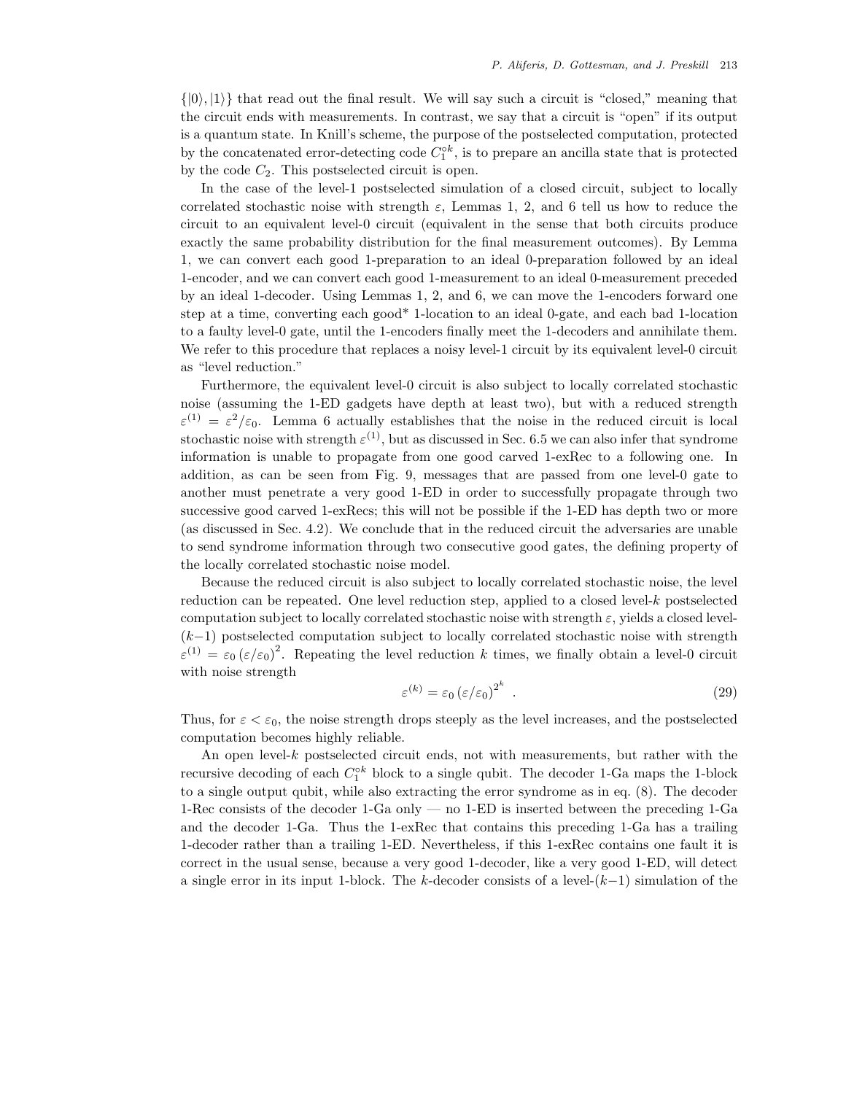$\{|0\rangle, |1\rangle\}$  that read out the final result. We will say such a circuit is "closed," meaning that the circuit ends with measurements. In contrast, we say that a circuit is "open" if its output is a quantum state. In Knill's scheme, the purpose of the postselected computation, protected by the concatenated error-detecting code  $C_1^{\circ k}$ , is to prepare an ancilla state that is protected by the code  $C_2$ . This postselected circuit is open.

In the case of the level-1 postselected simulation of a closed circuit, subject to locally correlated stochastic noise with strength  $\varepsilon$ , Lemmas 1, 2, and 6 tell us how to reduce the circuit to an equivalent level-0 circuit (equivalent in the sense that both circuits produce exactly the same probability distribution for the final measurement outcomes). By Lemma 1, we can convert each good 1-preparation to an ideal 0-preparation followed by an ideal 1-encoder, and we can convert each good 1-measurement to an ideal 0-measurement preceded by an ideal 1-decoder. Using Lemmas 1, 2, and 6, we can move the 1-encoders forward one step at a time, converting each good\* 1-location to an ideal 0-gate, and each bad 1-location to a faulty level-0 gate, until the 1-encoders finally meet the 1-decoders and annihilate them. We refer to this procedure that replaces a noisy level-1 circuit by its equivalent level-0 circuit as "level reduction."

Furthermore, the equivalent level-0 circuit is also subject to locally correlated stochastic noise (assuming the 1-ED gadgets have depth at least two), but with a reduced strength  $\varepsilon^{(1)} = \varepsilon^2/\varepsilon_0$ . Lemma 6 actually establishes that the noise in the reduced circuit is local stochastic noise with strength  $\varepsilon^{(1)}$ , but as discussed in Sec. 6.5 we can also infer that syndrome information is unable to propagate from one good carved 1-exRec to a following one. In addition, as can be seen from Fig. 9, messages that are passed from one level-0 gate to another must penetrate a very good 1-ED in order to successfully propagate through two successive good carved 1-exRecs; this will not be possible if the 1-ED has depth two or more (as discussed in Sec. 4.2). We conclude that in the reduced circuit the adversaries are unable to send syndrome information through two consecutive good gates, the defining property of the locally correlated stochastic noise model.

Because the reduced circuit is also subject to locally correlated stochastic noise, the level reduction can be repeated. One level reduction step, applied to a closed level-k postselected computation subject to locally correlated stochastic noise with strength  $\varepsilon$ , yields a closed level-(k−1) postselected computation subject to locally correlated stochastic noise with strength  $\varepsilon^{(1)} = \varepsilon_0 (\varepsilon/\varepsilon_0)^2$ . Repeating the level reduction k times, we finally obtain a level-0 circuit with noise strength

$$
\varepsilon^{(k)} = \varepsilon_0 \left(\varepsilon/\varepsilon_0\right)^{2^k} \tag{29}
$$

Thus, for  $\varepsilon < \varepsilon_0$ , the noise strength drops steeply as the level increases, and the postselected computation becomes highly reliable.

An open level-k postselected circuit ends, not with measurements, but rather with the recursive decoding of each  $C_1^{\circ k}$  block to a single qubit. The decoder 1-Ga maps the 1-block to a single output qubit, while also extracting the error syndrome as in eq. (8). The decoder 1-Rec consists of the decoder 1-Ga only — no 1-ED is inserted between the preceding 1-Ga and the decoder 1-Ga. Thus the 1-exRec that contains this preceding 1-Ga has a trailing 1-decoder rather than a trailing 1-ED. Nevertheless, if this 1-exRec contains one fault it is correct in the usual sense, because a very good 1-decoder, like a very good 1-ED, will detect a single error in its input 1-block. The k-decoder consists of a level- $(k-1)$  simulation of the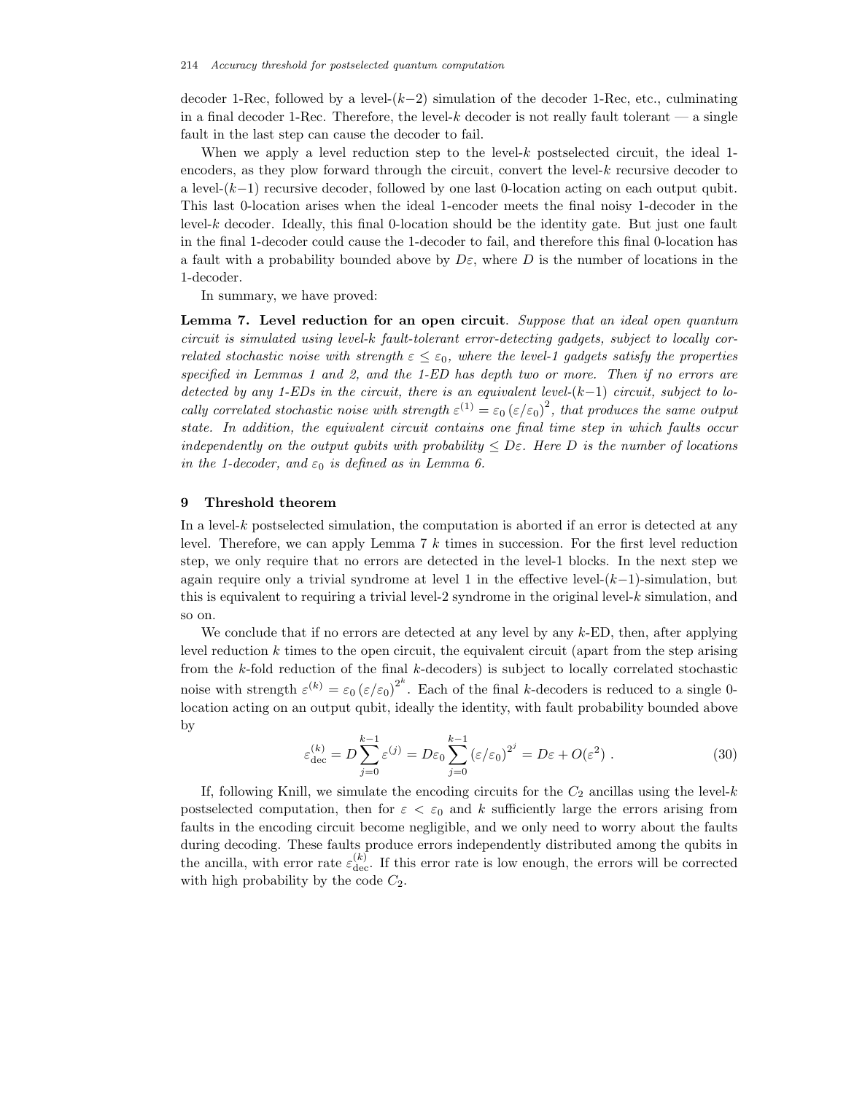decoder 1-Rec, followed by a level- $(k-2)$  simulation of the decoder 1-Rec, etc., culminating in a final decoder 1-Rec. Therefore, the level-k decoder is not really fault tolerant  $\sim$  a single fault in the last step can cause the decoder to fail.

When we apply a level reduction step to the level- $k$  postselected circuit, the ideal 1encoders, as they plow forward through the circuit, convert the level-k recursive decoder to a level-(k−1) recursive decoder, followed by one last 0-location acting on each output qubit. This last 0-location arises when the ideal 1-encoder meets the final noisy 1-decoder in the level-k decoder. Ideally, this final 0-location should be the identity gate. But just one fault in the final 1-decoder could cause the 1-decoder to fail, and therefore this final 0-location has a fault with a probability bounded above by  $D\varepsilon$ , where D is the number of locations in the 1-decoder.

In summary, we have proved:

**Lemma 7. Level reduction for an open circuit**. *Suppose that an ideal open quantum circuit is simulated using level-*k *fault-tolerant error-detecting gadgets, subject to locally correlated stochastic noise with strength*  $\epsilon \leq \epsilon_0$ , where the level-1 gadgets satisfy the properties *specified in Lemmas 1 and 2, and the 1-ED has depth two or more. Then if no errors are detected by any 1-EDs in the circuit, there is an equivalent level-*(k−1) *circuit, subject to locally correlated stochastic noise with strength*  $\varepsilon^{(1)} = \varepsilon_0 (\varepsilon/\varepsilon_0)^2$ , that produces the same output *state. In addition, the equivalent circuit contains one final time step in which faults occur independently on the output qubits with probability*  $\leq D\varepsilon$ . Here D is the number of locations *in the 1-decoder, and*  $\varepsilon_0$  *is defined as in Lemma 6.* 

### **9 Threshold theorem**

In a level-k postselected simulation, the computation is aborted if an error is detected at any level. Therefore, we can apply Lemma 7 k times in succession. For the first level reduction step, we only require that no errors are detected in the level-1 blocks. In the next step we again require only a trivial syndrome at level 1 in the effective level- $(k-1)$ -simulation, but this is equivalent to requiring a trivial level-2 syndrome in the original level- $k$  simulation, and so on.

We conclude that if no errors are detected at any level by any  $k$ -ED, then, after applying level reduction  $k$  times to the open circuit, the equivalent circuit (apart from the step arising from the  $k$ -fold reduction of the final  $k$ -decoders) is subject to locally correlated stochastic noise with strength  $\varepsilon^{(k)} = \varepsilon_0 (\varepsilon/\varepsilon_0)^{2^k}$ . Each of the final k-decoders is reduced to a single 0location acting on an output qubit, ideally the identity, with fault probability bounded above by

$$
\varepsilon_{\text{dec}}^{(k)} = D \sum_{j=0}^{k-1} \varepsilon^{(j)} = D \varepsilon_0 \sum_{j=0}^{k-1} (\varepsilon/\varepsilon_0)^{2^j} = D \varepsilon + O(\varepsilon^2) . \tag{30}
$$

If, following Knill, we simulate the encoding circuits for the  $C_2$  ancillas using the level-k postselected computation, then for  $\varepsilon < \varepsilon_0$  and k sufficiently large the errors arising from faults in the encoding circuit become negligible, and we only need to worry about the faults during decoding. These faults produce errors independently distributed among the qubits in the ancilla, with error rate  $\varepsilon_{\text{dec}}^{(k)}$ . If this error rate is low enough, the errors will be corrected with high probability by the code  $C_2$ .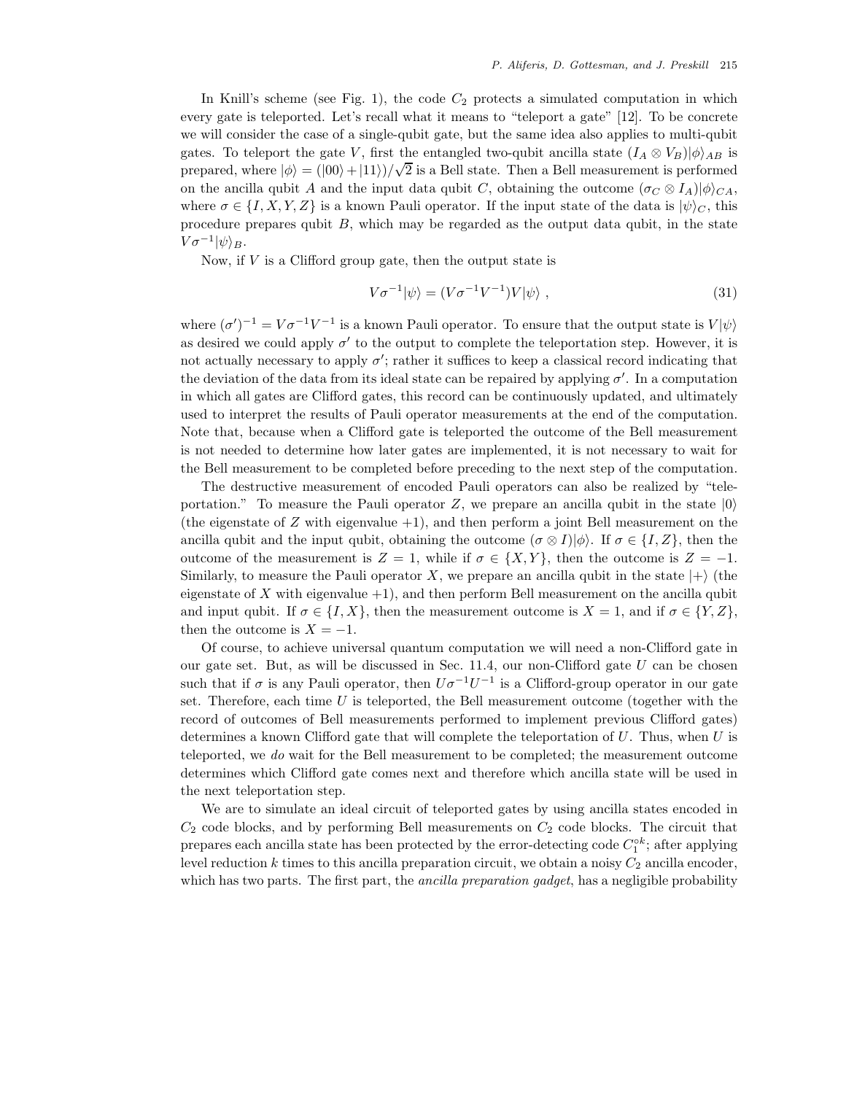In Knill's scheme (see Fig. 1), the code  $C_2$  protects a simulated computation in which every gate is teleported. Let's recall what it means to "teleport a gate" [12]. To be concrete we will consider the case of a single-qubit gate, but the same idea also applies to multi-qubit gates. To teleport the gate V, first the entangled two-qubit ancilla state  $(I_A \otimes V_B)|\phi\rangle_{AB}$  is prepared, where  $|\phi\rangle = (|00\rangle + |11\rangle)/\sqrt{2}$  is a Bell state. Then a Bell measurement is performed on the ancilla qubit A and the input data qubit C, obtaining the outcome  $(\sigma_C \otimes I_A)|\phi\rangle_{CA}$ , where  $\sigma \in \{I, X, Y, Z\}$  is a known Pauli operator. If the input state of the data is  $|\psi\rangle_C$ , this procedure prepares qubit  $B$ , which may be regarded as the output data qubit, in the state  $V\sigma^{-1}|\psi\rangle_B.$ 

Now, if  $V$  is a Clifford group gate, then the output state is

$$
V\sigma^{-1}|\psi\rangle = (V\sigma^{-1}V^{-1})V|\psi\rangle , \qquad (31)
$$

where  $(\sigma')^{-1} = V \sigma^{-1} V^{-1}$  is a known Pauli operator. To ensure that the output state is  $V|\psi\rangle$ as desired we could apply  $\sigma'$  to the output to complete the teleportation step. However, it is not actually necessary to apply  $\sigma'$ ; rather it suffices to keep a classical record indicating that the deviation of the data from its ideal state can be repaired by applying  $\sigma'$ . In a computation in which all gates are Clifford gates, this record can be continuously updated, and ultimately used to interpret the results of Pauli operator measurements at the end of the computation. Note that, because when a Clifford gate is teleported the outcome of the Bell measurement is not needed to determine how later gates are implemented, it is not necessary to wait for the Bell measurement to be completed before preceding to the next step of the computation.

The destructive measurement of encoded Pauli operators can also be realized by "teleportation." To measure the Pauli operator  $Z$ , we prepare an ancilla qubit in the state  $|0\rangle$ (the eigenstate of  $Z$  with eigenvalue  $+1$ ), and then perform a joint Bell measurement on the ancilla qubit and the input qubit, obtaining the outcome  $(\sigma \otimes I)|\phi\rangle$ . If  $\sigma \in \{I, Z\}$ , then the outcome of the measurement is  $Z = 1$ , while if  $\sigma \in \{X, Y\}$ , then the outcome is  $Z = -1$ . Similarly, to measure the Pauli operator X, we prepare an ancilla qubit in the state  $|+\rangle$  (the eigenstate of X with eigenvalue  $+1$ ), and then perform Bell measurement on the ancilla qubit and input qubit. If  $\sigma \in \{I, X\}$ , then the measurement outcome is  $X = 1$ , and if  $\sigma \in \{Y, Z\}$ , then the outcome is  $X = -1$ .

Of course, to achieve universal quantum computation we will need a non-Clifford gate in our gate set. But, as will be discussed in Sec.  $11.4$ , our non-Clifford gate U can be chosen such that if  $\sigma$  is any Pauli operator, then  $U\sigma^{-1}U^{-1}$  is a Clifford-group operator in our gate set. Therefore, each time  $U$  is teleported, the Bell measurement outcome (together with the record of outcomes of Bell measurements performed to implement previous Clifford gates) determines a known Clifford gate that will complete the teleportation of  $U$ . Thus, when  $U$  is teleported, we *do* wait for the Bell measurement to be completed; the measurement outcome determines which Clifford gate comes next and therefore which ancilla state will be used in the next teleportation step.

We are to simulate an ideal circuit of teleported gates by using ancilla states encoded in  $C_2$  code blocks, and by performing Bell measurements on  $C_2$  code blocks. The circuit that prepares each ancilla state has been protected by the error-detecting code  $C_1^{\circ k}$ ; after applying level reduction k times to this ancilla preparation circuit, we obtain a noisy  $C_2$  ancilla encoder, which has two parts. The first part, the *ancilla preparation gadget*, has a negligible probability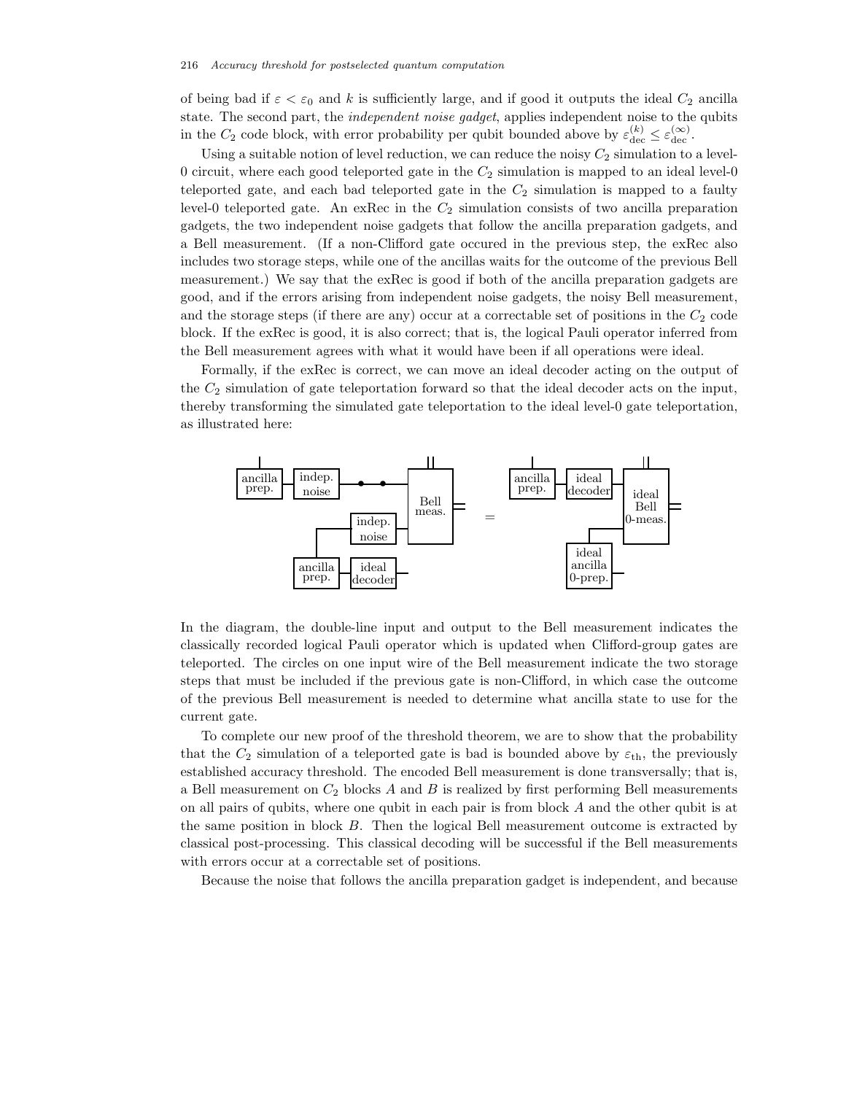of being bad if  $\varepsilon < \varepsilon_0$  and k is sufficiently large, and if good it outputs the ideal  $C_2$  ancilla state. The second part, the *independent noise gadget*, applies independent noise to the qubits in the  $C_2$  code block, with error probability per qubit bounded above by  $\varepsilon_{\text{dec}}^{(k)} \leq \varepsilon_{\text{dec}}^{(\infty)}$ .

Using a suitable notion of level reduction, we can reduce the noisy  $C_2$  simulation to a level-0 circuit, where each good teleported gate in the  $C_2$  simulation is mapped to an ideal level-0 teleported gate, and each bad teleported gate in the  $C_2$  simulation is mapped to a faulty level-0 teleported gate. An exRec in the  $C_2$  simulation consists of two ancilla preparation gadgets, the two independent noise gadgets that follow the ancilla preparation gadgets, and a Bell measurement. (If a non-Clifford gate occured in the previous step, the exRec also includes two storage steps, while one of the ancillas waits for the outcome of the previous Bell measurement.) We say that the exRec is good if both of the ancilla preparation gadgets are good, and if the errors arising from independent noise gadgets, the noisy Bell measurement, and the storage steps (if there are any) occur at a correctable set of positions in the  $C_2$  code block. If the exRec is good, it is also correct; that is, the logical Pauli operator inferred from the Bell measurement agrees with what it would have been if all operations were ideal.

Formally, if the exRec is correct, we can move an ideal decoder acting on the output of the  $C_2$  simulation of gate teleportation forward so that the ideal decoder acts on the input, thereby transforming the simulated gate teleportation to the ideal level-0 gate teleportation, as illustrated here:



In the diagram, the double-line input and output to the Bell measurement indicates the classically recorded logical Pauli operator which is updated when Clifford-group gates are teleported. The circles on one input wire of the Bell measurement indicate the two storage steps that must be included if the previous gate is non-Clifford, in which case the outcome of the previous Bell measurement is needed to determine what ancilla state to use for the current gate.

To complete our new proof of the threshold theorem, we are to show that the probability that the  $C_2$  simulation of a teleported gate is bad is bounded above by  $\varepsilon_{\text{th}}$ , the previously established accuracy threshold. The encoded Bell measurement is done transversally; that is, a Bell measurement on  $C_2$  blocks A and B is realized by first performing Bell measurements on all pairs of qubits, where one qubit in each pair is from block A and the other qubit is at the same position in block B. Then the logical Bell measurement outcome is extracted by classical post-processing. This classical decoding will be successful if the Bell measurements with errors occur at a correctable set of positions.

Because the noise that follows the ancilla preparation gadget is independent, and because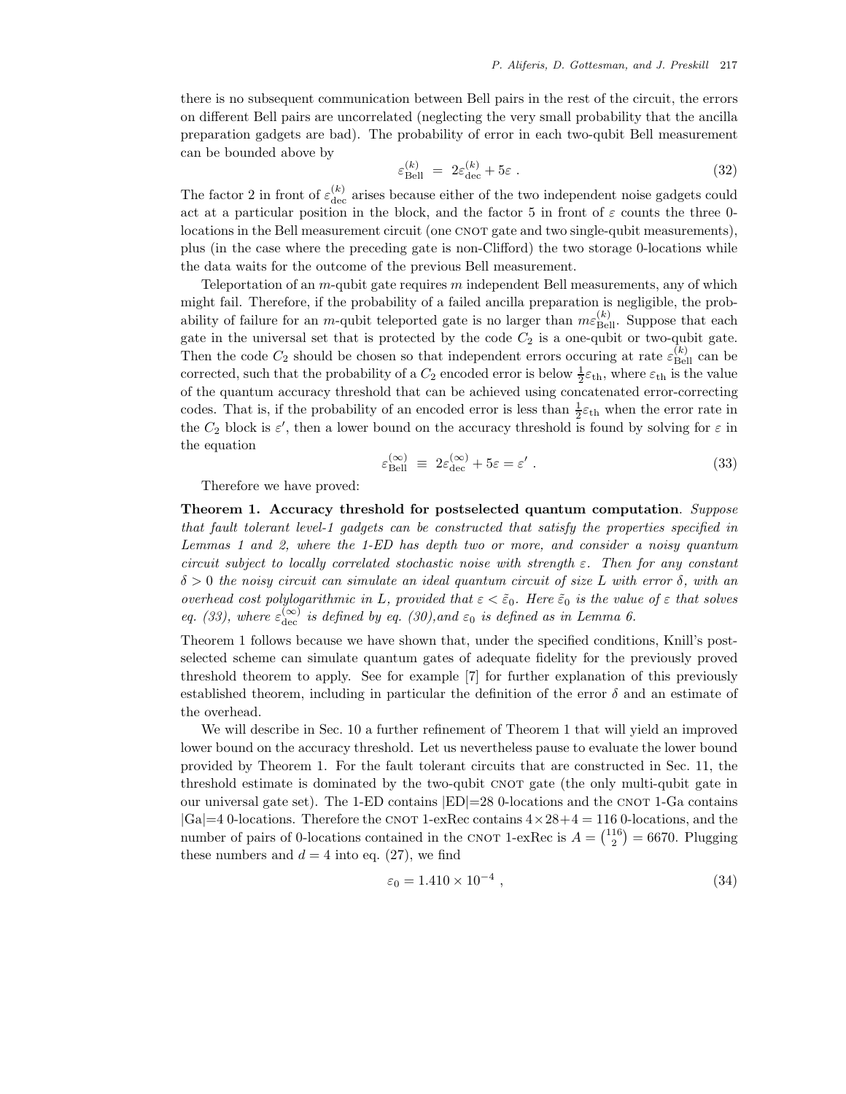there is no subsequent communication between Bell pairs in the rest of the circuit, the errors on different Bell pairs are uncorrelated (neglecting the very small probability that the ancilla preparation gadgets are bad). The probability of error in each two-qubit Bell measurement can be bounded above by

$$
\varepsilon_{\text{Bell}}^{(k)} = 2\varepsilon_{\text{dec}}^{(k)} + 5\varepsilon \,. \tag{32}
$$

The factor 2 in front of  $\varepsilon_{\text{dec}}^{(k)}$  arises because either of the two independent noise gadgets could act at a particular position in the block, and the factor 5 in front of  $\varepsilon$  counts the three 0locations in the Bell measurement circuit (one CNOT gate and two single-qubit measurements), plus (in the case where the preceding gate is non-Clifford) the two storage 0-locations while the data waits for the outcome of the previous Bell measurement.

Teleportation of an  $m$ -qubit gate requires  $m$  independent Bell measurements, any of which might fail. Therefore, if the probability of a failed ancilla preparation is negligible, the probability of failure for an *m*-qubit teleported gate is no larger than  $m\varepsilon_{\text{Bell}}^{(k)}$ . Suppose that each gate in the universal set that is protected by the code  $C_2$  is a one-qubit or two-qubit gate. Then the code  $C_2$  should be chosen so that independent errors occuring at rate  $\varepsilon_{\text{Bell}}^{(k)}$  can be corrected, such that the probability of a  $C_2$  encoded error is below  $\frac{1}{2}\varepsilon_{\text{th}}$ , where  $\varepsilon_{\text{th}}$  is the value of the quantum accuracy threshold that can be achieved using concatenated error-correcting codes. That is, if the probability of an encoded error is less than  $\frac{1}{2}\varepsilon_{\text{th}}$  when the error rate in the  $C_2$  block is  $\varepsilon'$ , then a lower bound on the accuracy threshold is found by solving for  $\varepsilon$  in the equation

$$
\varepsilon_{\text{Bell}}^{(\infty)} \equiv 2\varepsilon_{\text{dec}}^{(\infty)} + 5\varepsilon = \varepsilon' \,. \tag{33}
$$

Therefore we have proved:

**Theorem 1. Accuracy threshold for postselected quantum computation**. *Suppose that fault tolerant level-1 gadgets can be constructed that satisfy the properties specified in Lemmas 1 and 2, where the 1-ED has depth two or more, and consider a noisy quantum circuit subject to locally correlated stochastic noise with strength* ε*. Then for any constant* δ > 0 *the noisy circuit can simulate an ideal quantum circuit of size* L *with error* δ*, with an overhead cost polylogarithmic in* L, provided that  $\varepsilon < \tilde{\varepsilon}_0$ . Here  $\tilde{\varepsilon}_0$  is the value of  $\varepsilon$  that solves *eq.* (33), where  $\varepsilon_{\text{dec}}^{(\infty)}$  is defined by eq. (30), and  $\varepsilon_0$  is defined as in Lemma 6.

Theorem 1 follows because we have shown that, under the specified conditions, Knill's postselected scheme can simulate quantum gates of adequate fidelity for the previously proved threshold theorem to apply. See for example [7] for further explanation of this previously established theorem, including in particular the definition of the error  $\delta$  and an estimate of the overhead.

We will describe in Sec. 10 a further refinement of Theorem 1 that will yield an improved lower bound on the accuracy threshold. Let us nevertheless pause to evaluate the lower bound provided by Theorem 1. For the fault tolerant circuits that are constructed in Sec. 11, the threshold estimate is dominated by the two-qubit CNOT gate (the only multi-qubit gate in our universal gate set). The 1-ED contains  $|ED|=28$  0-locations and the CNOT 1-Ga contains  $|Ga|=4$  0-locations. Therefore the CNOT 1-exRec contains  $4 \times 28+4 = 116$  0-locations, and the number of pairs of 0-locations contained in the CNOT 1-exRec is  $A = \binom{116}{2} = 6670$ . Plugging these numbers and  $d = 4$  into eq. (27), we find

$$
\varepsilon_0 = 1.410 \times 10^{-4} \tag{34}
$$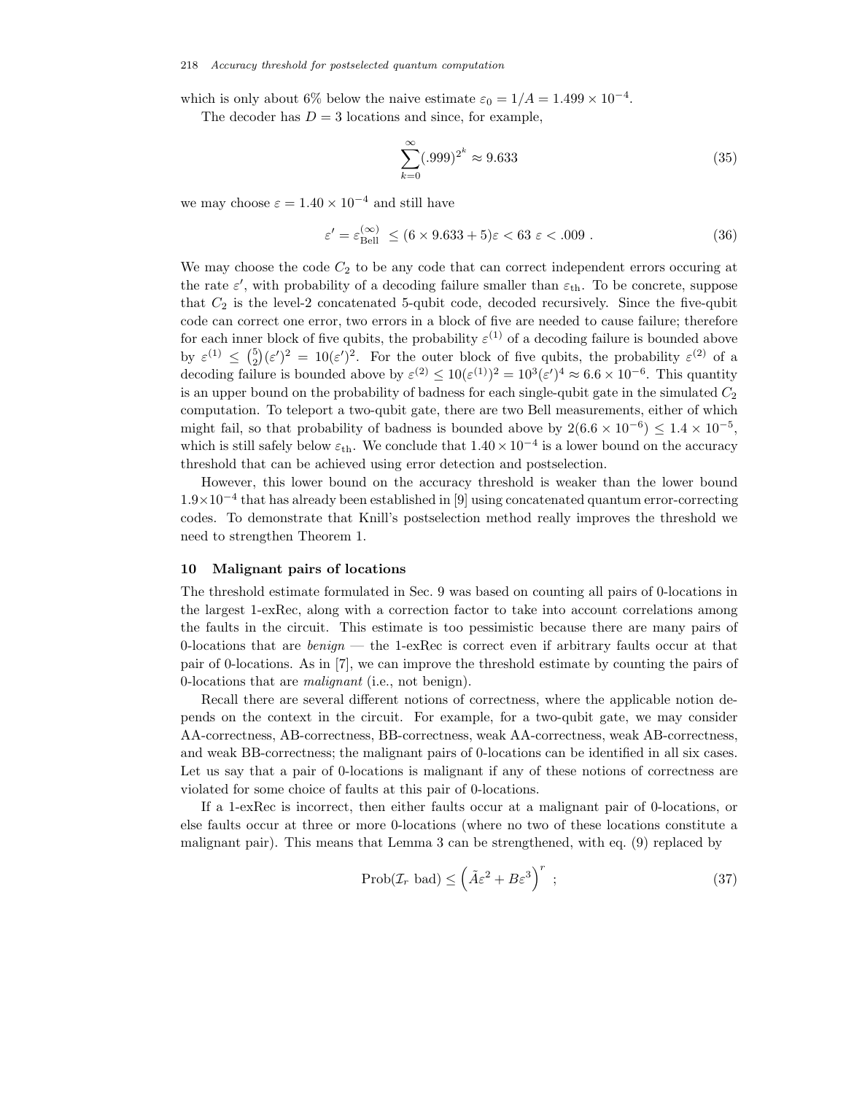which is only about 6% below the naive estimate  $\varepsilon_0 = 1/A = 1.499 \times 10^{-4}$ .

The decoder has  $D = 3$  locations and since, for example,

$$
\sum_{k=0}^{\infty} (.999)^{2^k} \approx 9.633\tag{35}
$$

we may choose  $\varepsilon = 1.40 \times 10^{-4}$  and still have

$$
\varepsilon' = \varepsilon_{\text{Bell}}^{(\infty)} \le (6 \times 9.633 + 5)\varepsilon < 63 \varepsilon < .009 \,. \tag{36}
$$

We may choose the code  $C_2$  to be any code that can correct independent errors occuring at the rate  $\varepsilon'$ , with probability of a decoding failure smaller than  $\varepsilon_{\text{th}}$ . To be concrete, suppose that  $C_2$  is the level-2 concatenated 5-qubit code, decoded recursively. Since the five-qubit code can correct one error, two errors in a block of five are needed to cause failure; therefore for each inner block of five qubits, the probability  $\varepsilon^{(1)}$  of a decoding failure is bounded above by  $\varepsilon^{(1)} \leq {5 \choose 2} (\varepsilon')^2 = 10(\varepsilon')^2$ . For the outer block of five qubits, the probability  $\varepsilon^{(2)}$  of a decoding failure is bounded above by  $\varepsilon^{(2)} \le 10(\varepsilon^{(1)})^2 = 10^3(\varepsilon')^4 \approx 6.6 \times 10^{-6}$ . This quantity is an upper bound on the probability of badness for each single-qubit gate in the simulated  $C_2$ computation. To teleport a two-qubit gate, there are two Bell measurements, either of which might fail, so that probability of badness is bounded above by  $2(6.6 \times 10^{-6}) \le 1.4 \times 10^{-5}$ , which is still safely below  $\varepsilon_{\text{th}}$ . We conclude that  $1.40 \times 10^{-4}$  is a lower bound on the accuracy threshold that can be achieved using error detection and postselection.

However, this lower bound on the accuracy threshold is weaker than the lower bound 1.9×10−<sup>4</sup> that has already been established in [9] using concatenated quantum error-correcting codes. To demonstrate that Knill's postselection method really improves the threshold we need to strengthen Theorem 1.

#### **10 Malignant pairs of locations**

The threshold estimate formulated in Sec. 9 was based on counting all pairs of 0-locations in the largest 1-exRec, along with a correction factor to take into account correlations among the faults in the circuit. This estimate is too pessimistic because there are many pairs of 0-locations that are *benign* — the 1-exRec is correct even if arbitrary faults occur at that pair of 0-locations. As in [7], we can improve the threshold estimate by counting the pairs of 0-locations that are *malignant* (i.e., not benign).

Recall there are several different notions of correctness, where the applicable notion depends on the context in the circuit. For example, for a two-qubit gate, we may consider AA-correctness, AB-correctness, BB-correctness, weak AA-correctness, weak AB-correctness, and weak BB-correctness; the malignant pairs of 0-locations can be identified in all six cases. Let us say that a pair of 0-locations is malignant if any of these notions of correctness are violated for some choice of faults at this pair of 0-locations.

If a 1-exRec is incorrect, then either faults occur at a malignant pair of 0-locations, or else faults occur at three or more 0-locations (where no two of these locations constitute a malignant pair). This means that Lemma 3 can be strengthened, with eq. (9) replaced by

$$
\text{Prob}(\mathcal{I}_r \text{ bad}) \le \left(\tilde{A}\varepsilon^2 + B\varepsilon^3\right)^r ;\tag{37}
$$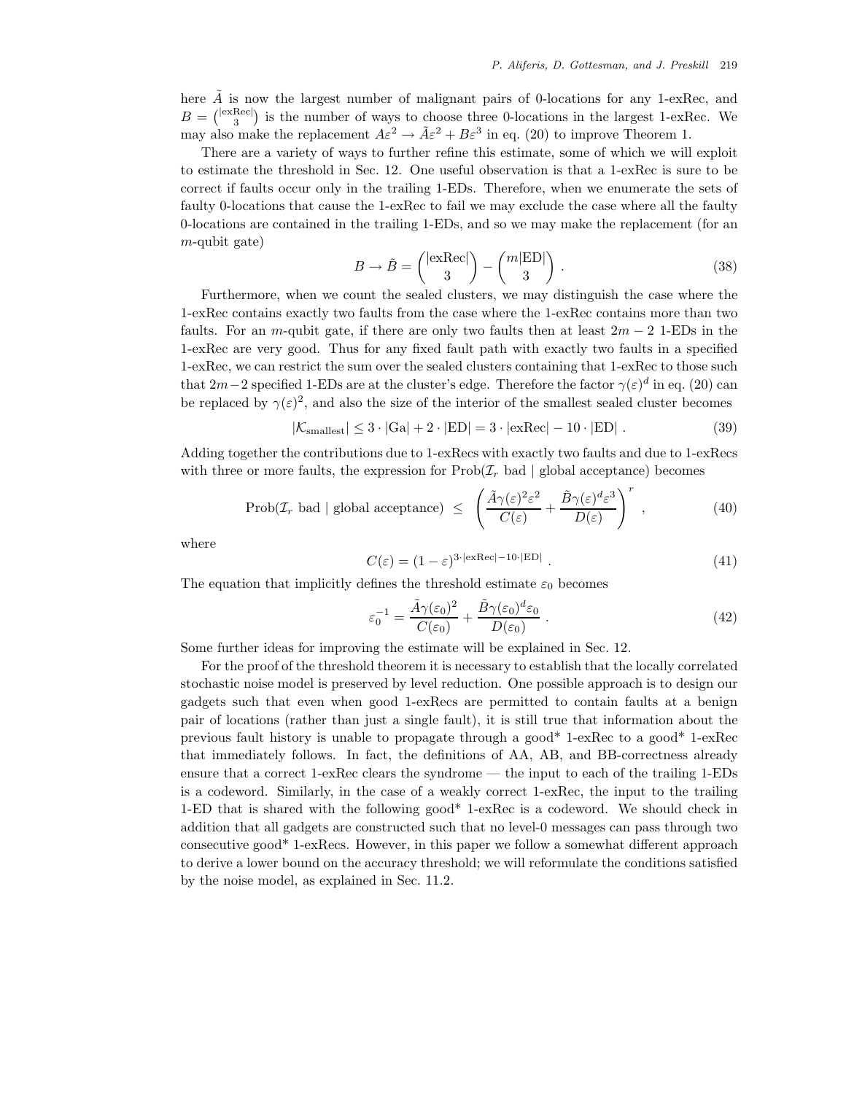here  $\tilde{A}$  is now the largest number of malignant pairs of 0-locations for any 1-exRec, and  $B = \binom{|\text{exRec}|}{3}$  is the number of ways to choose three 0-locations in the largest 1-exRec. We may also make the replacement  $A\varepsilon^2 \to \tilde{A}\varepsilon^2 + B\varepsilon^3$  in eq. (20) to improve Theorem 1.

There are a variety of ways to further refine this estimate, some of which we will exploit to estimate the threshold in Sec. 12. One useful observation is that a 1-exRec is sure to be correct if faults occur only in the trailing 1-EDs. Therefore, when we enumerate the sets of faulty 0-locations that cause the 1-exRec to fail we may exclude the case where all the faulty 0-locations are contained in the trailing 1-EDs, and so we may make the replacement (for an  $m$ -qubit gate)

$$
B \to \tilde{B} = \begin{pmatrix} |\text{exRec}| \\ 3 \end{pmatrix} - \begin{pmatrix} m|\text{ED}| \\ 3 \end{pmatrix} . \tag{38}
$$

Furthermore, when we count the sealed clusters, we may distinguish the case where the 1-exRec contains exactly two faults from the case where the 1-exRec contains more than two faults. For an m-qubit gate, if there are only two faults then at least  $2m - 2$  1-EDs in the 1-exRec are very good. Thus for any fixed fault path with exactly two faults in a specified 1-exRec, we can restrict the sum over the sealed clusters containing that 1-exRec to those such that  $2m-2$  specified 1-EDs are at the cluster's edge. Therefore the factor  $\gamma(\varepsilon)^d$  in eq. (20) can be replaced by  $\gamma(\varepsilon)^2$ , and also the size of the interior of the smallest sealed cluster becomes

$$
|\mathcal{K}_{\text{smallest}}| \leq 3 \cdot |\text{Ga}| + 2 \cdot |\text{ED}| = 3 \cdot |\text{exRec}| - 10 \cdot |\text{ED}| \tag{39}
$$

Adding together the contributions due to 1-exRecs with exactly two faults and due to 1-exRecs with three or more faults, the expression for  $\text{Prob}(\mathcal{I}_r)$  bad | global acceptance) becomes

$$
\text{Prob}(\mathcal{I}_r \text{ bad} \mid \text{global acceptance}) \leq \left( \frac{\tilde{A}\gamma(\varepsilon)^2 \varepsilon^2}{C(\varepsilon)} + \frac{\tilde{B}\gamma(\varepsilon)^d \varepsilon^3}{D(\varepsilon)} \right)^r , \tag{40}
$$

where

$$
C(\varepsilon) = (1 - \varepsilon)^{3 \cdot |\text{exRec}| - 10 \cdot |\text{ED}|} \tag{41}
$$

The equation that implicitly defines the threshold estimate  $\varepsilon_0$  becomes

$$
\varepsilon_0^{-1} = \frac{\tilde{A}\gamma(\varepsilon_0)^2}{C(\varepsilon_0)} + \frac{\tilde{B}\gamma(\varepsilon_0)^d \varepsilon_0}{D(\varepsilon_0)}\,. \tag{42}
$$

Some further ideas for improving the estimate will be explained in Sec. 12.

For the proof of the threshold theorem it is necessary to establish that the locally correlated stochastic noise model is preserved by level reduction. One possible approach is to design our gadgets such that even when good 1-exRecs are permitted to contain faults at a benign pair of locations (rather than just a single fault), it is still true that information about the previous fault history is unable to propagate through a good\* 1-exRec to a good\* 1-exRec that immediately follows. In fact, the definitions of AA, AB, and BB-correctness already ensure that a correct 1-exRec clears the syndrome — the input to each of the trailing 1-EDs is a codeword. Similarly, in the case of a weakly correct 1-exRec, the input to the trailing 1-ED that is shared with the following good\* 1-exRec is a codeword. We should check in addition that all gadgets are constructed such that no level-0 messages can pass through two consecutive good\* 1-exRecs. However, in this paper we follow a somewhat different approach to derive a lower bound on the accuracy threshold; we will reformulate the conditions satisfied by the noise model, as explained in Sec. 11.2.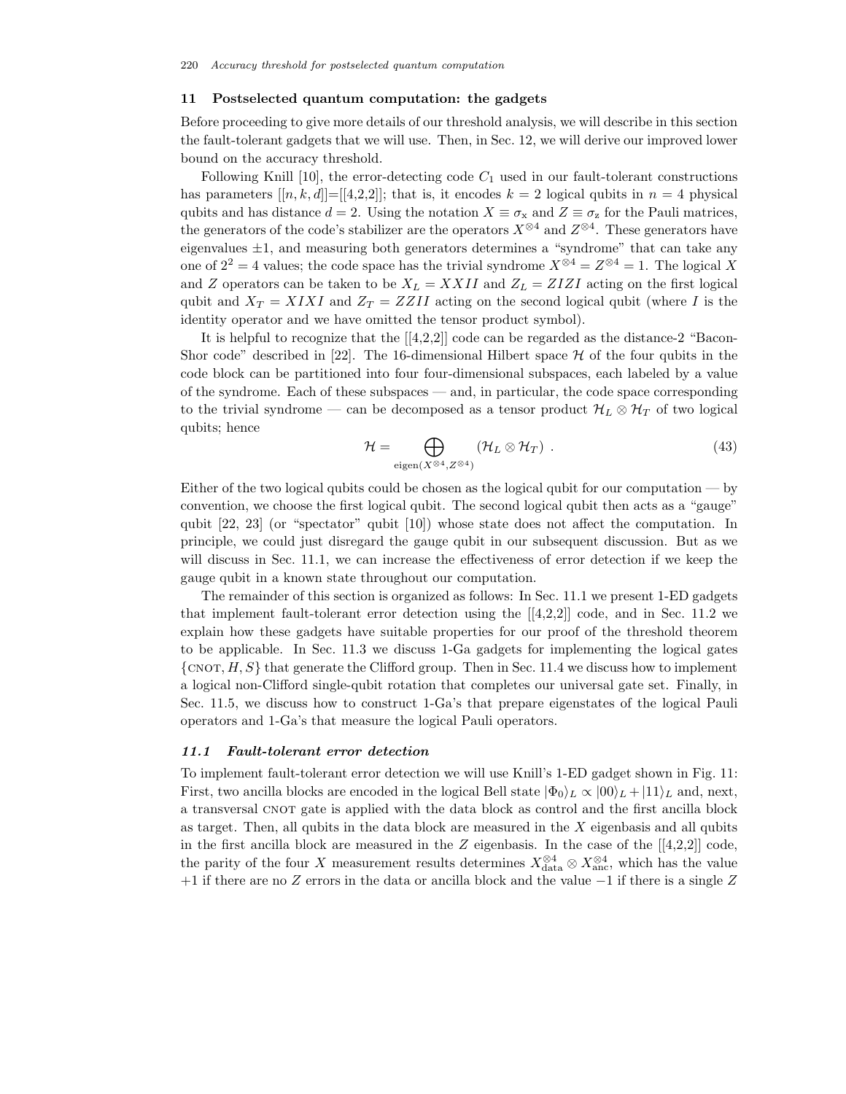### **11 Postselected quantum computation: the gadgets**

Before proceeding to give more details of our threshold analysis, we will describe in this section the fault-tolerant gadgets that we will use. Then, in Sec. 12, we will derive our improved lower bound on the accuracy threshold.

Following Knill  $[10]$ , the error-detecting code  $C_1$  used in our fault-tolerant constructions has parameters  $[[n, k, d]] = [[4,2,2]]$ ; that is, it encodes  $k = 2$  logical qubits in  $n = 4$  physical qubits and has distance  $d = 2$ . Using the notation  $X \equiv \sigma_x$  and  $Z \equiv \sigma_z$  for the Pauli matrices, the generators of the code's stabilizer are the operators  $X^{\otimes 4}$  and  $Z^{\otimes 4}$ . These generators have eigenvalues  $\pm 1$ , and measuring both generators determines a "syndrome" that can take any one of  $2^2 = 4$  values; the code space has the trivial syndrome  $X^{\otimes 4} = Z^{\otimes 4} = 1$ . The logical X and Z operators can be taken to be  $X_L = XXII$  and  $Z_L = ZIZI$  acting on the first logical qubit and  $X_T = XIXI$  and  $Z_T = ZZII$  acting on the second logical qubit (where I is the identity operator and we have omitted the tensor product symbol).

It is helpful to recognize that the  $[[4,2,2]]$  code can be regarded as the distance-2 "Bacon-Shor code" described in [22]. The 16-dimensional Hilbert space  $H$  of the four qubits in the code block can be partitioned into four four-dimensional subspaces, each labeled by a value of the syndrome. Each of these subspaces — and, in particular, the code space corresponding to the trivial syndrome — can be decomposed as a tensor product  $\mathcal{H}_L \otimes \mathcal{H}_T$  of two logical qubits; hence

$$
\mathcal{H} = \bigoplus_{\text{eigen}(X^{\otimes 4}, Z^{\otimes 4})} (\mathcal{H}_L \otimes \mathcal{H}_T) . \tag{43}
$$

Either of the two logical qubits could be chosen as the logical qubit for our computation — by convention, we choose the first logical qubit. The second logical qubit then acts as a "gauge" qubit [22, 23] (or "spectator" qubit [10]) whose state does not affect the computation. In principle, we could just disregard the gauge qubit in our subsequent discussion. But as we will discuss in Sec. 11.1, we can increase the effectiveness of error detection if we keep the gauge qubit in a known state throughout our computation.

The remainder of this section is organized as follows: In Sec. 11.1 we present 1-ED gadgets that implement fault-tolerant error detection using the [[4,2,2]] code, and in Sec. 11.2 we explain how these gadgets have suitable properties for our proof of the threshold theorem to be applicable. In Sec. 11.3 we discuss 1-Ga gadgets for implementing the logical gates  $\{\text{CNOT}, H, S\}$  that generate the Clifford group. Then in Sec. 11.4 we discuss how to implement a logical non-Clifford single-qubit rotation that completes our universal gate set. Finally, in Sec. 11.5, we discuss how to construct 1-Ga's that prepare eigenstates of the logical Pauli operators and 1-Ga's that measure the logical Pauli operators.

### *11.1 Fault-tolerant error detection*

To implement fault-tolerant error detection we will use Knill's 1-ED gadget shown in Fig. 11: First, two ancilla blocks are encoded in the logical Bell state  $|\Phi_0\rangle_L \propto |00\rangle_L + |11\rangle_L$  and, next, a transversal CNOT gate is applied with the data block as control and the first ancilla block as target. Then, all qubits in the data block are measured in the  $X$  eigenbasis and all qubits in the first ancilla block are measured in the Z eigenbasis. In the case of the  $[[4,2,2]]$  code, the parity of the four X measurement results determines  $X_{data}^{\otimes 4} \otimes X_{anc}^{\otimes 4}$ , which has the value +1 if there are no Z errors in the data or ancilla block and the value −1 if there is a single Z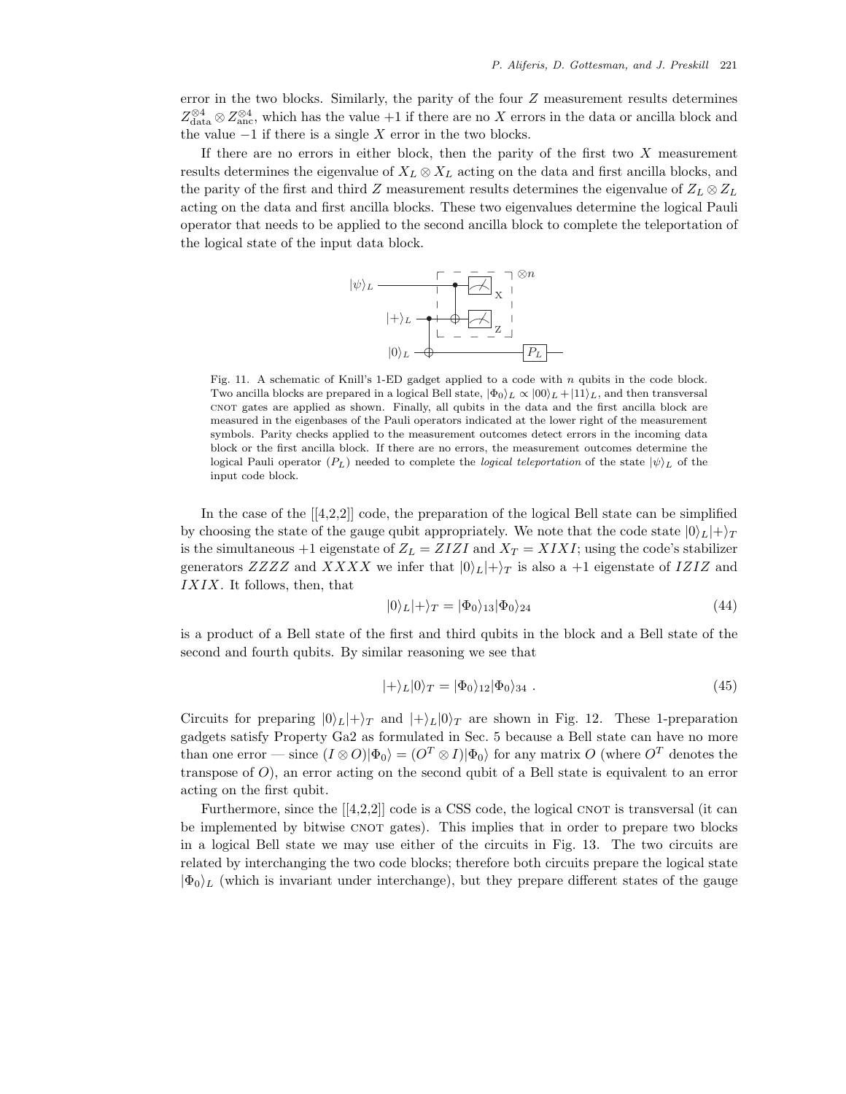error in the two blocks. Similarly, the parity of the four Z measurement results determines  $Z_{data}^{\otimes 4} \otimes Z_{anc}^{\otimes 4}$ , which has the value +1 if there are no X errors in the data or ancilla block and the value  $-1$  if there is a single X error in the two blocks.

If there are no errors in either block, then the parity of the first two  $X$  measurement results determines the eigenvalue of  $X_L \otimes X_L$  acting on the data and first ancilla blocks, and the parity of the first and third Z measurement results determines the eigenvalue of  $Z_L \otimes Z_L$ acting on the data and first ancilla blocks. These two eigenvalues determine the logical Pauli operator that needs to be applied to the second ancilla block to complete the teleportation of the logical state of the input data block.



Fig. 11. A schematic of Knill's 1-ED gadget applied to a code with n qubits in the code block. Two ancilla blocks are prepared in a logical Bell state,  $|\Phi_0\rangle_L \propto |00\rangle_L + |11\rangle_L$ , and then transversal cnot gates are applied as shown. Finally, all qubits in the data and the first ancilla block are measured in the eigenbases of the Pauli operators indicated at the lower right of the measurement symbols. Parity checks applied to the measurement outcomes detect errors in the incoming data block or the first ancilla block. If there are no errors, the measurement outcomes determine the logical Pauli operator  $(P_L)$  needed to complete the *logical teleportation* of the state  $|\psi\rangle_L$  of the input code block.

In the case of the [[4,2,2]] code, the preparation of the logical Bell state can be simplified by choosing the state of the gauge qubit appropriately. We note that the code state  $|0\rangle_L|+\rangle_T$ is the simultaneous +1 eigenstate of  $Z_L = ZIZI$  and  $X_T = XIXI$ ; using the code's stabilizer generators ZZZZ and XXXX we infer that  $|0\rangle_L|+\rangle_T$  is also a +1 eigenstate of IZIZ and IXIX. It follows, then, that

$$
|0\rangle_L|+\rangle_T = |\Phi_0\rangle_{13}|\Phi_0\rangle_{24} \tag{44}
$$

is a product of a Bell state of the first and third qubits in the block and a Bell state of the second and fourth qubits. By similar reasoning we see that

$$
|+\rangle_L|0\rangle_T = |\Phi_0\rangle_{12}|\Phi_0\rangle_{34} . \qquad (45)
$$

Circuits for preparing  $|0\rangle_L|+\rangle_T$  and  $|+\rangle_L|0\rangle_T$  are shown in Fig. 12. These 1-preparation gadgets satisfy Property Ga2 as formulated in Sec. 5 because a Bell state can have no more than one error — since  $(I \otimes O)|\Phi_0\rangle = (O^T \otimes I)|\Phi_0\rangle$  for any matrix O (where  $O^T$  denotes the transpose of  $O$ ), an error acting on the second qubit of a Bell state is equivalent to an error acting on the first qubit.

Furthermore, since the  $[[4,2,2]]$  code is a CSS code, the logical CNOT is transversal (it can be implemented by bitwise CNOT gates). This implies that in order to prepare two blocks in a logical Bell state we may use either of the circuits in Fig. 13. The two circuits are related by interchanging the two code blocks; therefore both circuits prepare the logical state  $|\Phi_0\rangle_L$  (which is invariant under interchange), but they prepare different states of the gauge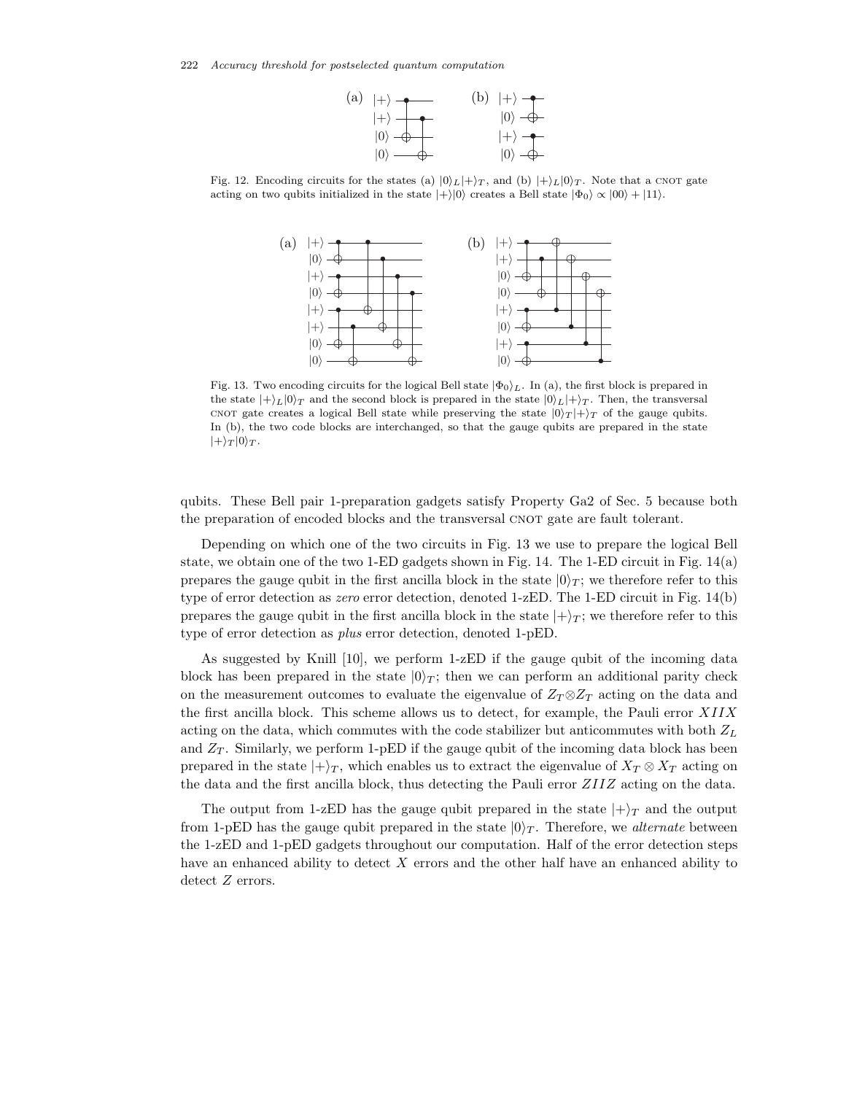

Fig. 12. Encoding circuits for the states (a)  $|0\rangle_L|+\rangle_T$ , and (b)  $|+\rangle_L|0\rangle_T$ . Note that a CNOT gate acting on two qubits initialized in the state  $|+\rangle|0\rangle$  creates a Bell state  $|\Phi_0\rangle \propto |00\rangle + |11\rangle$ .



Fig. 13. Two encoding circuits for the logical Bell state  $|\Phi_0\rangle_L$ . In (a), the first block is prepared in the state  $|+\rangle_L|0\rangle_T$  and the second block is prepared in the state  $|0\rangle_L|+\rangle_T$ . Then, the transversal cnot gate creates a logical Bell state while preserving the state  $|0\rangle_T|+\rangle_T$  of the gauge qubits. In (b), the two code blocks are interchanged, so that the gauge qubits are prepared in the state  $|+\rangle_T |0\rangle_T$ .

qubits. These Bell pair 1-preparation gadgets satisfy Property Ga2 of Sec. 5 because both the preparation of encoded blocks and the transversal CNOT gate are fault tolerant.

Depending on which one of the two circuits in Fig. 13 we use to prepare the logical Bell state, we obtain one of the two 1-ED gadgets shown in Fig. 14. The 1-ED circuit in Fig. 14(a) prepares the gauge qubit in the first ancilla block in the state  $|0\rangle_T$ ; we therefore refer to this type of error detection as *zero* error detection, denoted 1-zED. The 1-ED circuit in Fig. 14(b) prepares the gauge qubit in the first ancilla block in the state  $|+\rangle_T$ ; we therefore refer to this type of error detection as *plus* error detection, denoted 1-pED.

As suggested by Knill [10], we perform 1-zED if the gauge qubit of the incoming data block has been prepared in the state  $|0\rangle_T$ ; then we can perform an additional parity check on the measurement outcomes to evaluate the eigenvalue of  $Z_T \otimes Z_T$  acting on the data and the first ancilla block. This scheme allows us to detect, for example, the Pauli error XIIX acting on the data, which commutes with the code stabilizer but anticommutes with both  $Z_L$ and  $Z_T$ . Similarly, we perform 1-pED if the gauge qubit of the incoming data block has been prepared in the state  $|+\rangle_T$ , which enables us to extract the eigenvalue of  $X_T \otimes X_T$  acting on the data and the first ancilla block, thus detecting the Pauli error ZIIZ acting on the data.

The output from 1-zED has the gauge qubit prepared in the state  $|+\rangle_T$  and the output from 1-pED has the gauge qubit prepared in the state  $|0\rangle_T$ . Therefore, we *alternate* between the 1-zED and 1-pED gadgets throughout our computation. Half of the error detection steps have an enhanced ability to detect X errors and the other half have an enhanced ability to detect  $Z$  errors.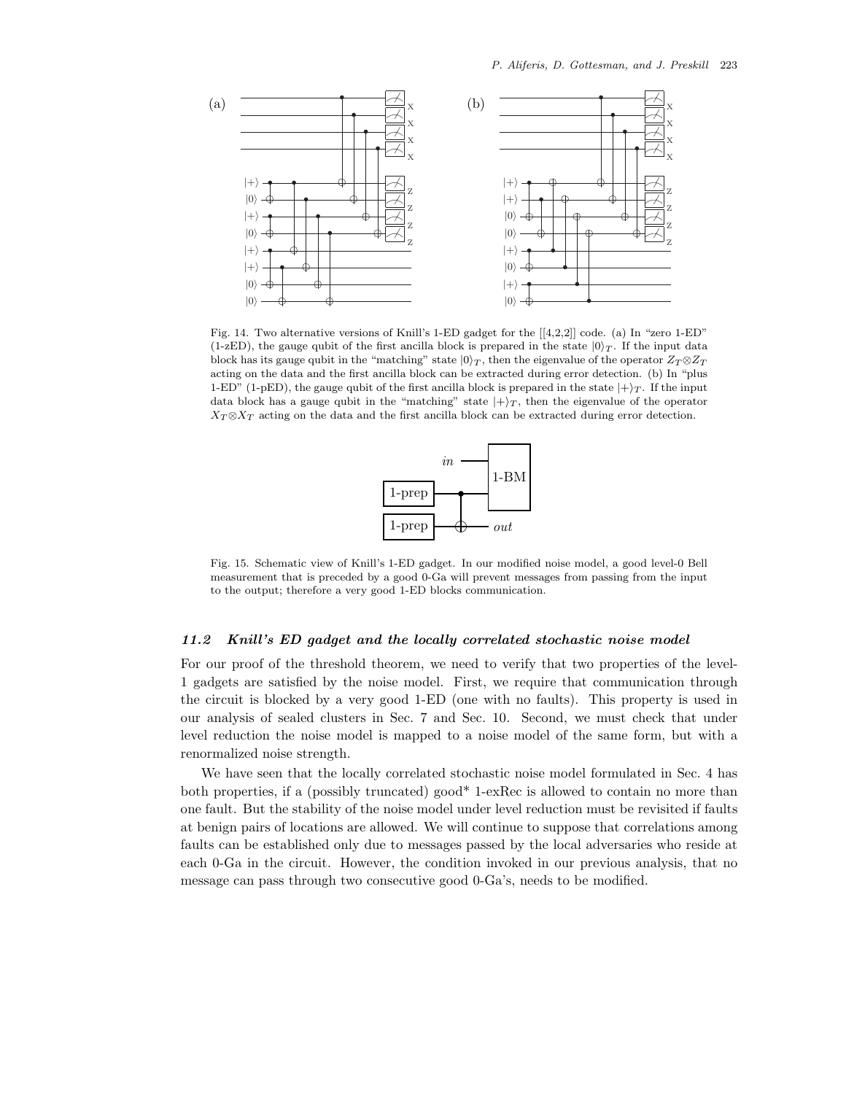

Fig. 14. Two alternative versions of Knill's 1-ED gadget for the [[4,2,2]] code. (a) In "zero 1-ED" (1-zED), the gauge qubit of the first ancilla block is prepared in the state  $|0\rangle_T$ . If the input data block has its gauge qubit in the "matching" state  $|0\rangle_T$ , then the eigenvalue of the operator  $Z_T \otimes Z_T$ acting on the data and the first ancilla block can be extracted during error detection. (b) In "plus 1-ED" (1-pED), the gauge qubit of the first ancilla block is prepared in the state  $|+\rangle_T$ . If the input data block has a gauge qubit in the "matching" state  $|+\rangle_T$ , then the eigenvalue of the operator  $X_T \otimes X_T$  acting on the data and the first ancilla block can be extracted during error detection.



Fig. 15. Schematic view of Knill's 1-ED gadget. In our modified noise model, a good level-0 Bell measurement that is preceded by a good 0-Ga will prevent messages from passing from the input to the output; therefore a very good 1-ED blocks communication.

#### *11.2 Knill's ED gadget and the locally correlated stochastic noise model*

For our proof of the threshold theorem, we need to verify that two properties of the level-1 gadgets are satisfied by the noise model. First, we require that communication through the circuit is blocked by a very good 1-ED (one with no faults). This property is used in our analysis of sealed clusters in Sec. 7 and Sec. 10. Second, we must check that under level reduction the noise model is mapped to a noise model of the same form, but with a renormalized noise strength.

We have seen that the locally correlated stochastic noise model formulated in Sec. 4 has both properties, if a (possibly truncated) good\* 1-exRec is allowed to contain no more than one fault. But the stability of the noise model under level reduction must be revisited if faults at benign pairs of locations are allowed. We will continue to suppose that correlations among faults can be established only due to messages passed by the local adversaries who reside at each 0-Ga in the circuit. However, the condition invoked in our previous analysis, that no message can pass through two consecutive good 0-Ga's, needs to be modified.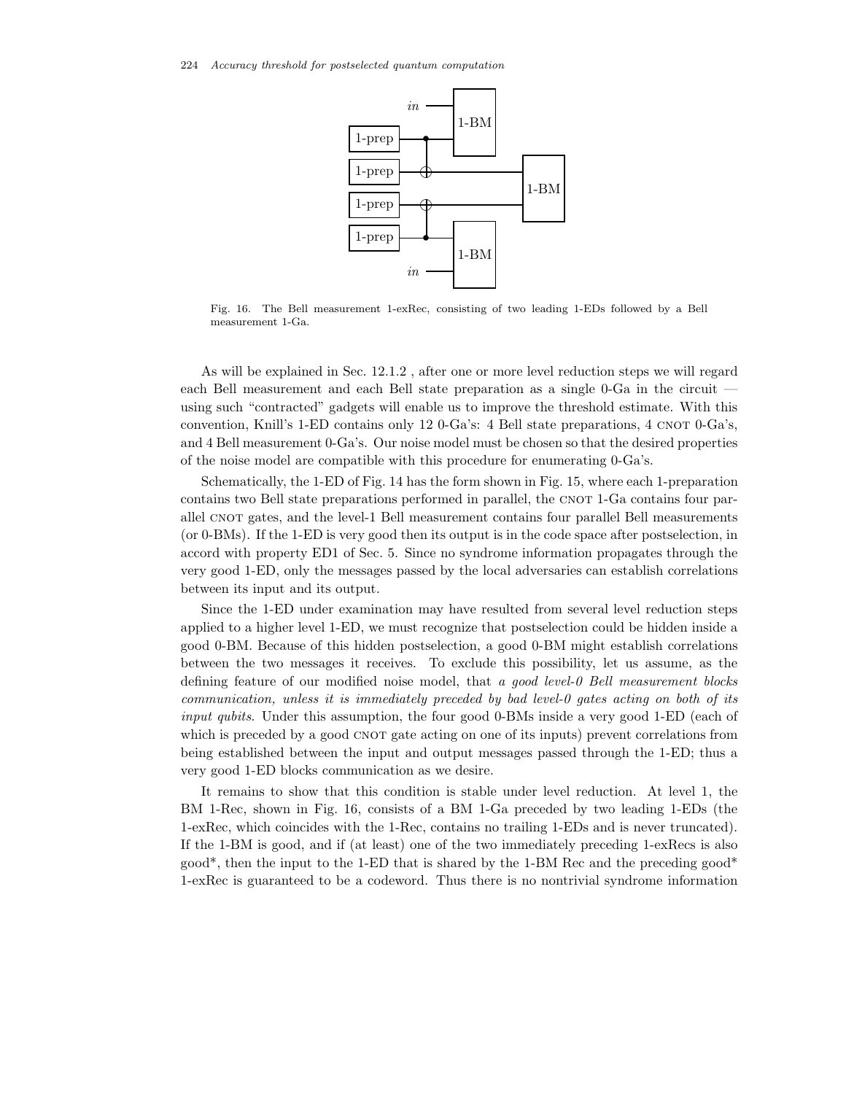

Fig. 16. The Bell measurement 1-exRec, consisting of two leading 1-EDs followed by a Bell measurement 1-Ga.

As will be explained in Sec. 12.1.2 , after one or more level reduction steps we will regard each Bell measurement and each Bell state preparation as a single 0-Ga in the circuit using such "contracted" gadgets will enable us to improve the threshold estimate. With this convention, Knill's 1-ED contains only 12 0-Ga's: 4 Bell state preparations, 4 CNOT 0-Ga's, and 4 Bell measurement 0-Ga's. Our noise model must be chosen so that the desired properties of the noise model are compatible with this procedure for enumerating 0-Ga's.

Schematically, the 1-ED of Fig. 14 has the form shown in Fig. 15, where each 1-preparation contains two Bell state preparations performed in parallel, the CNOT 1-Ga contains four parallel CNOT gates, and the level-1 Bell measurement contains four parallel Bell measurements (or 0-BMs). If the 1-ED is very good then its output is in the code space after postselection, in accord with property ED1 of Sec. 5. Since no syndrome information propagates through the very good 1-ED, only the messages passed by the local adversaries can establish correlations between its input and its output.

Since the 1-ED under examination may have resulted from several level reduction steps applied to a higher level 1-ED, we must recognize that postselection could be hidden inside a good 0-BM. Because of this hidden postselection, a good 0-BM might establish correlations between the two messages it receives. To exclude this possibility, let us assume, as the defining feature of our modified noise model, that *a good level-0 Bell measurement blocks communication, unless it is immediately preceded by bad level-0 gates acting on both of its input qubits*. Under this assumption, the four good 0-BMs inside a very good 1-ED (each of which is preceded by a good CNOT gate acting on one of its inputs) prevent correlations from being established between the input and output messages passed through the 1-ED; thus a very good 1-ED blocks communication as we desire.

It remains to show that this condition is stable under level reduction. At level 1, the BM 1-Rec, shown in Fig. 16, consists of a BM 1-Ga preceded by two leading 1-EDs (the 1-exRec, which coincides with the 1-Rec, contains no trailing 1-EDs and is never truncated). If the 1-BM is good, and if (at least) one of the two immediately preceding 1-exRecs is also good<sup>\*</sup>, then the input to the 1-ED that is shared by the 1-BM Rec and the preceding good<sup>\*</sup> 1-exRec is guaranteed to be a codeword. Thus there is no nontrivial syndrome information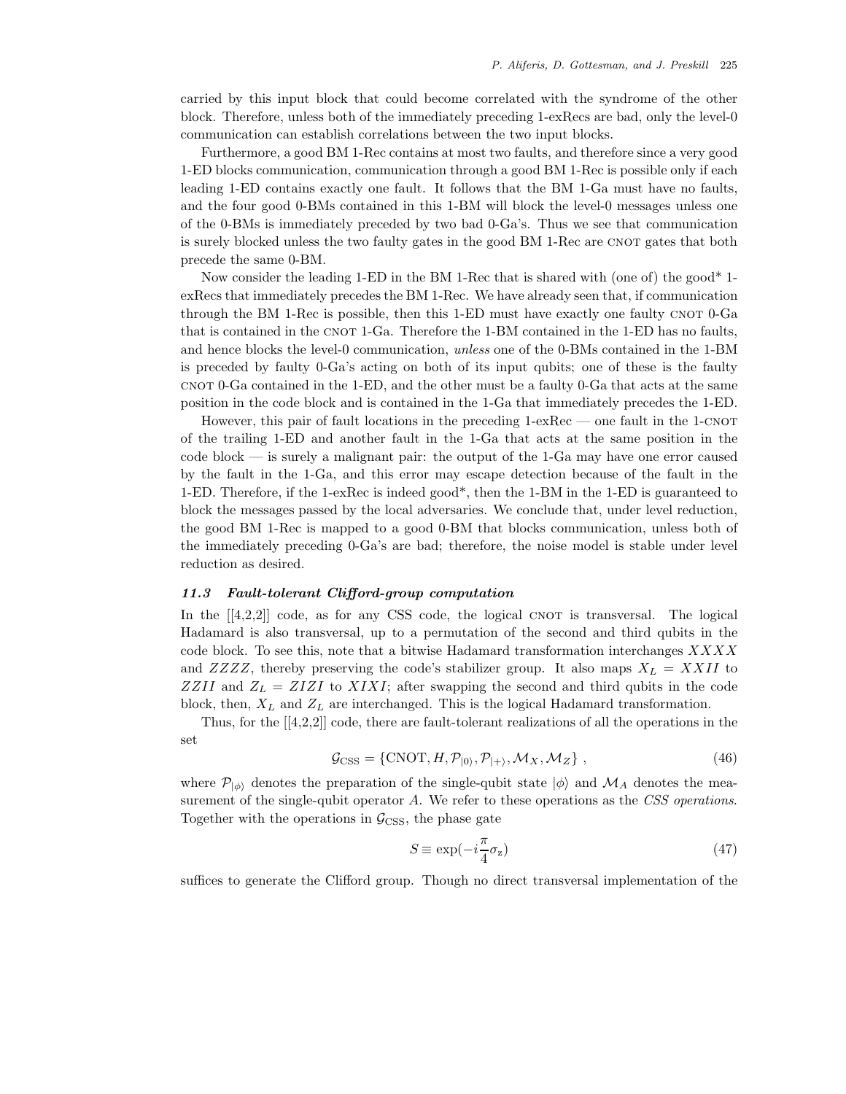carried by this input block that could become correlated with the syndrome of the other block. Therefore, unless both of the immediately preceding 1-exRecs are bad, only the level-0 communication can establish correlations between the two input blocks.

Furthermore, a good BM 1-Rec contains at most two faults, and therefore since a very good 1-ED blocks communication, communication through a good BM 1-Rec is possible only if each leading 1-ED contains exactly one fault. It follows that the BM 1-Ga must have no faults, and the four good 0-BMs contained in this 1-BM will block the level-0 messages unless one of the 0-BMs is immediately preceded by two bad 0-Ga's. Thus we see that communication is surely blocked unless the two faulty gates in the good BM 1-Rec are CNOT gates that both precede the same 0-BM.

Now consider the leading 1-ED in the BM 1-Rec that is shared with (one of) the good\* 1 exRecs that immediately precedes the BM 1-Rec. We have already seen that, if communication through the BM 1-Rec is possible, then this 1-ED must have exactly one faulty CNOT  $0$ -Ga that is contained in the CNOT 1-Ga. Therefore the 1-BM contained in the 1-ED has no faults, and hence blocks the level-0 communication, *unless* one of the 0-BMs contained in the 1-BM is preceded by faulty 0-Ga's acting on both of its input qubits; one of these is the faulty cnot 0-Ga contained in the 1-ED, and the other must be a faulty 0-Ga that acts at the same position in the code block and is contained in the 1-Ga that immediately precedes the 1-ED.

However, this pair of fault locations in the preceding 1-exRec — one fault in the 1-CNOT of the trailing 1-ED and another fault in the 1-Ga that acts at the same position in the code block — is surely a malignant pair: the output of the 1-Ga may have one error caused by the fault in the 1-Ga, and this error may escape detection because of the fault in the 1-ED. Therefore, if the 1-exRec is indeed good\*, then the 1-BM in the 1-ED is guaranteed to block the messages passed by the local adversaries. We conclude that, under level reduction, the good BM 1-Rec is mapped to a good 0-BM that blocks communication, unless both of the immediately preceding 0-Ga's are bad; therefore, the noise model is stable under level reduction as desired.

#### *11.3 Fault-tolerant Clifford-group computation*

In the  $[[4,2,2]]$  code, as for any CSS code, the logical CNOT is transversal. The logical Hadamard is also transversal, up to a permutation of the second and third qubits in the code block. To see this, note that a bitwise Hadamard transformation interchanges  $XXXX$ and  $ZZZZ$ , thereby preserving the code's stabilizer group. It also maps  $X_L = XXII$  to ZZII and  $Z_L = ZIZI$  to XIXI; after swapping the second and third qubits in the code block, then,  $X_L$  and  $Z_L$  are interchanged. This is the logical Hadamard transformation.

Thus, for the  $[[4,2,2]]$  code, there are fault-tolerant realizations of all the operations in the set

$$
\mathcal{G}_{\text{CSS}} = \{ \text{CNOT}, H, \mathcal{P}_{|0\rangle}, \mathcal{P}_{|+\rangle}, \mathcal{M}_X, \mathcal{M}_Z \},
$$
\n(46)

where  $\mathcal{P}_{\ket{\phi}}$  denotes the preparation of the single-qubit state  $|\phi\rangle$  and  $\mathcal{M}_A$  denotes the measurement of the single-qubit operator A. We refer to these operations as the *CSS operations*. Together with the operations in  $\mathcal{G}_{CSS}$ , the phase gate

$$
S \equiv \exp(-i\frac{\pi}{4}\sigma_z) \tag{47}
$$

suffices to generate the Clifford group. Though no direct transversal implementation of the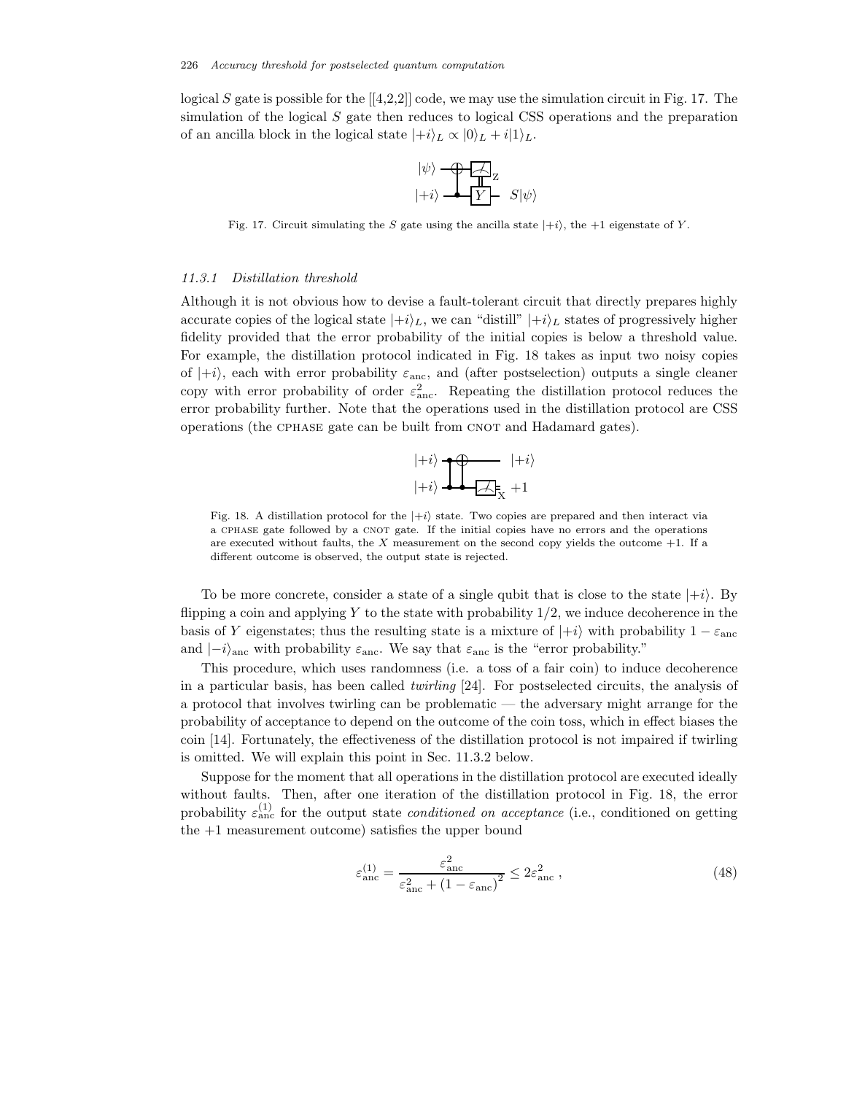logical S gate is possible for the  $(4,2,2]$  code, we may use the simulation circuit in Fig. 17. The simulation of the logical S gate then reduces to logical CSS operations and the preparation of an ancilla block in the logical state  $|+i\rangle_L \propto |0\rangle_L + i|1\rangle_L$ .

$$
\begin{matrix} |\psi\rangle-\bigoplus\overline{A}\\ |+i\rangle-\overline{Y}-\ S|\psi\rangle \end{matrix}
$$

Fig. 17. Circuit simulating the S gate using the ancilla state  $|+i\rangle$ , the +1 eigenstate of Y.

#### *11.3.1 Distillation threshold*

Although it is not obvious how to devise a fault-tolerant circuit that directly prepares highly accurate copies of the logical state  $|+i\rangle_L$ , we can "distill"  $|+i\rangle_L$  states of progressively higher fidelity provided that the error probability of the initial copies is below a threshold value. For example, the distillation protocol indicated in Fig. 18 takes as input two noisy copies of  $|+i\rangle$ , each with error probability  $\varepsilon_{\text{anc}}$ , and (after postselection) outputs a single cleaner copy with error probability of order  $\varepsilon_{\text{anc}}^2$ . Repeating the distillation protocol reduces the error probability further. Note that the operations used in the distillation protocol are CSS operations (the CPHASE gate can be built from CNOT and Hadamard gates).



Fig. 18. A distillation protocol for the  $|+i\rangle$  state. Two copies are prepared and then interact via a CPHASE gate followed by a CNOT gate. If the initial copies have no errors and the operations are executed without faults, the X measurement on the second copy yields the outcome  $+1$ . If a different outcome is observed, the output state is rejected.

To be more concrete, consider a state of a single qubit that is close to the state  $|+i\rangle$ . By flipping a coin and applying Y to the state with probability  $1/2$ , we induce decoherence in the basis of Y eigenstates; thus the resulting state is a mixture of  $|+i\rangle$  with probability  $1 - \varepsilon_{\text{anc}}$ and  $\vert -i \rangle_{\text{anc}}$  with probability  $\varepsilon_{\text{anc}}$ . We say that  $\varepsilon_{\text{anc}}$  is the "error probability."

This procedure, which uses randomness (i.e. a toss of a fair coin) to induce decoherence in a particular basis, has been called *twirling* [24]. For postselected circuits, the analysis of a protocol that involves twirling can be problematic — the adversary might arrange for the probability of acceptance to depend on the outcome of the coin toss, which in effect biases the coin [14]. Fortunately, the effectiveness of the distillation protocol is not impaired if twirling is omitted. We will explain this point in Sec. 11.3.2 below.

Suppose for the moment that all operations in the distillation protocol are executed ideally without faults. Then, after one iteration of the distillation protocol in Fig. 18, the error probability  $\varepsilon_{\text{anc}}^{(1)}$  for the output state *conditioned on acceptance* (i.e., conditioned on getting the  $+1$  measurement outcome) satisfies the upper bound

$$
\varepsilon_{\rm anc}^{(1)} = \frac{\varepsilon_{\rm anc}^2}{\varepsilon_{\rm anc}^2 + (1 - \varepsilon_{\rm anc})^2} \le 2\varepsilon_{\rm anc}^2 \,,\tag{48}
$$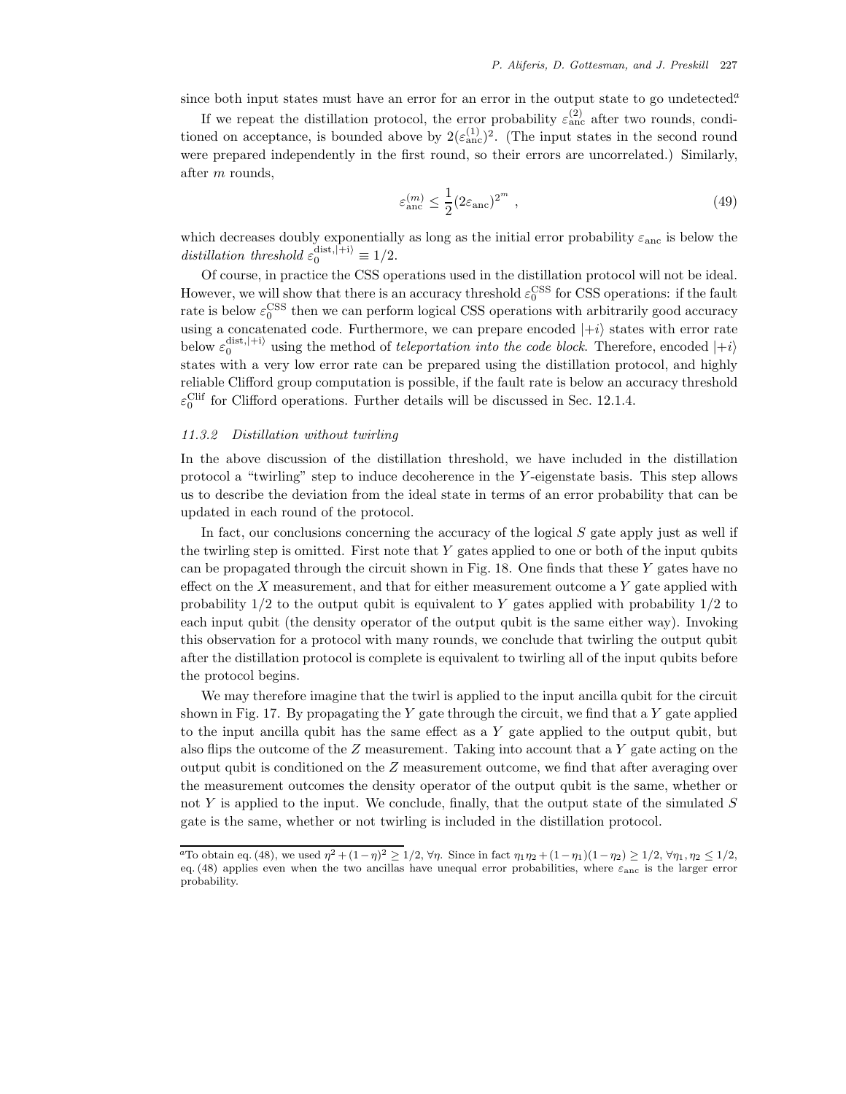since both input states must have an error for an error in the output state to go undetected.<sup>2</sup>

If we repeat the distillation protocol, the error probability  $\varepsilon_{\text{anc}}^{(2)}$  after two rounds, conditioned on acceptance, is bounded above by  $2(\varepsilon_{\text{anc}}^{(1)})^2$ . (The input states in the second round were prepared independently in the first round, so their errors are uncorrelated.) Similarly, after m rounds,

$$
\varepsilon_{\rm anc}^{(m)} \le \frac{1}{2} (2\varepsilon_{\rm anc})^{2^m} \tag{49}
$$

which decreases doubly exponentially as long as the initial error probability  $\varepsilon_{\text{anc}}$  is below the distillation threshold  $\varepsilon_0^{\text{dist},\vert +\text{i}\rangle} \equiv 1/2$ .

Of course, in practice the CSS operations used in the distillation protocol will not be ideal. However, we will show that there is an accuracy threshold  $\varepsilon_0^{\text{CSS}}$  for CSS operations: if the fault rate is below  $\varepsilon_0^{\rm CSS}$  then we can perform logical CSS operations with arbitrarily good accuracy using a concatenated code. Furthermore, we can prepare encoded  $|+i\rangle$  states with error rate below  $\varepsilon_0^{\text{dist},(+i)}$  using the method of *teleportation into the code block*. Therefore, encoded  $|+i\rangle$ states with a very low error rate can be prepared using the distillation protocol, and highly reliable Clifford group computation is possible, if the fault rate is below an accuracy threshold  $\varepsilon_0^{\text{Cliff}}$  for Clifford operations. Further details will be discussed in Sec. 12.1.4.

# *11.3.2 Distillation without twirling*

In the above discussion of the distillation threshold, we have included in the distillation protocol a "twirling" step to induce decoherence in the Y -eigenstate basis. This step allows us to describe the deviation from the ideal state in terms of an error probability that can be updated in each round of the protocol.

In fact, our conclusions concerning the accuracy of the logical  $S$  gate apply just as well if the twirling step is omitted. First note that  $Y$  gates applied to one or both of the input qubits can be propagated through the circuit shown in Fig. 18. One finds that these  $Y$  gates have no effect on the  $X$  measurement, and that for either measurement outcome a  $Y$  gate applied with probability  $1/2$  to the output qubit is equivalent to Y gates applied with probability  $1/2$  to each input qubit (the density operator of the output qubit is the same either way). Invoking this observation for a protocol with many rounds, we conclude that twirling the output qubit after the distillation protocol is complete is equivalent to twirling all of the input qubits before the protocol begins.

We may therefore imagine that the twirl is applied to the input ancilla qubit for the circuit shown in Fig. 17. By propagating the Y gate through the circuit, we find that a Y gate applied to the input ancilla qubit has the same effect as a  $Y$  gate applied to the output qubit, but also flips the outcome of the  $Z$  measurement. Taking into account that a  $Y$  gate acting on the output qubit is conditioned on the  $Z$  measurement outcome, we find that after averaging over the measurement outcomes the density operator of the output qubit is the same, whether or not  $Y$  is applied to the input. We conclude, finally, that the output state of the simulated  $S$ gate is the same, whether or not twirling is included in the distillation protocol.

<sup>&</sup>lt;sup>a</sup>To obtain eq. (48), we used  $\eta^2 + (1-\eta)^2 \ge 1/2$ ,  $\forall \eta$ . Since in fact  $\eta_1 \eta_2 + (1-\eta_1)(1-\eta_2) \ge 1/2$ ,  $\forall \eta_1, \eta_2 \le 1/2$ , eq. (48) applies even when the two ancillas have unequal error probabilities, where  $\varepsilon_{\text{anc}}$  is the larger error probability.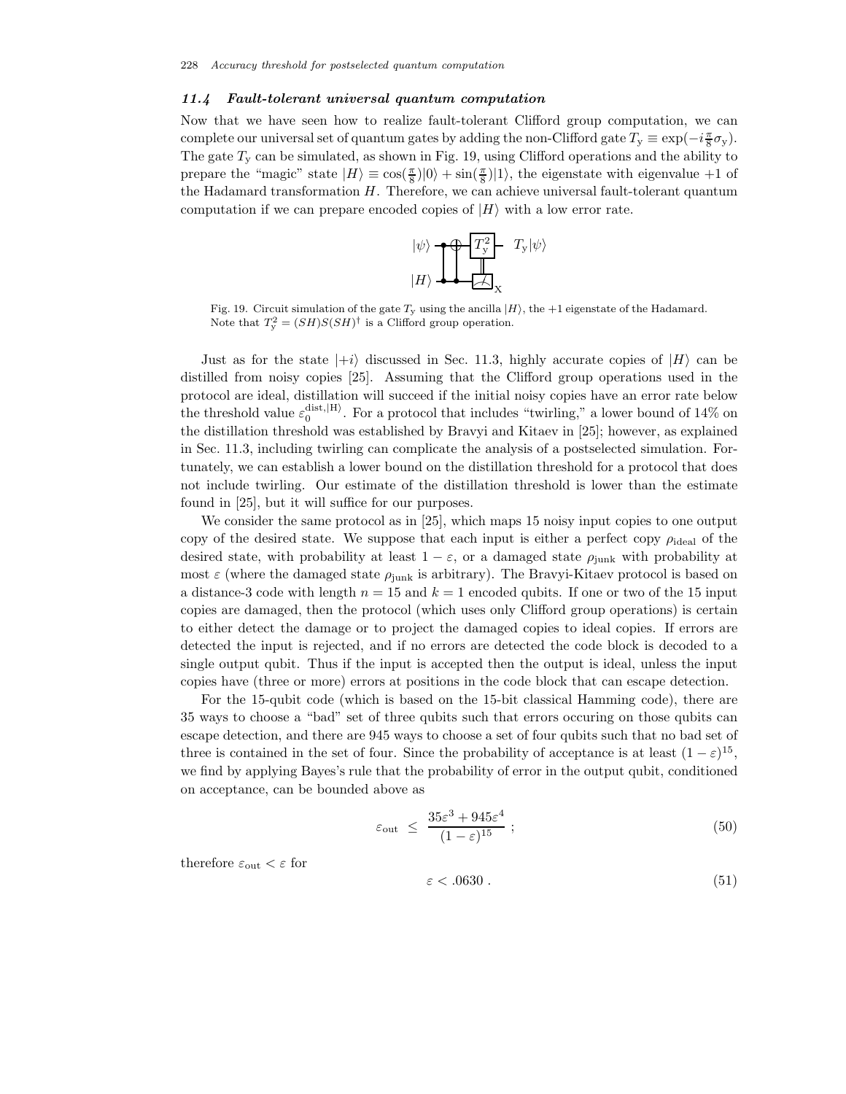# *11.4 Fault-tolerant universal quantum computation*

Now that we have seen how to realize fault-tolerant Clifford group computation, we can complete our universal set of quantum gates by adding the non-Clifford gate  $T_y \equiv \exp(-i\frac{\pi}{8}\sigma_y)$ . The gate  $T<sub>y</sub>$  can be simulated, as shown in Fig. 19, using Clifford operations and the ability to prepare the "magic" state  $|H\rangle \equiv \cos(\frac{\pi}{8})|0\rangle + \sin(\frac{\pi}{8})|1\rangle$ , the eigenstate with eigenvalue +1 of the Hadamard transformation  $H$ . Therefore, we can achieve universal fault-tolerant quantum computation if we can prepare encoded copies of  $|H\rangle$  with a low error rate.



Fig. 19. Circuit simulation of the gate  $T_y$  using the ancilla  $|H\rangle$ , the  $+1$  eigenstate of the Hadamard.<br>Note that  $T_y^2 = (SH)S(SH)^{\dagger}$  is a Clifford group operation.

Just as for the state  $|+i\rangle$  discussed in Sec. 11.3, highly accurate copies of  $|H\rangle$  can be distilled from noisy copies [25]. Assuming that the Clifford group operations used in the protocol are ideal, distillation will succeed if the initial noisy copies have an error rate below the threshold value  $\varepsilon_0^{\text{dist},\vert H}$ . For a protocol that includes "twirling," a lower bound of 14% on the distillation threshold was established by Bravyi and Kitaev in [25]; however, as explained in Sec. 11.3, including twirling can complicate the analysis of a postselected simulation. Fortunately, we can establish a lower bound on the distillation threshold for a protocol that does not include twirling. Our estimate of the distillation threshold is lower than the estimate found in [25], but it will suffice for our purposes.

We consider the same protocol as in [25], which maps 15 noisy input copies to one output copy of the desired state. We suppose that each input is either a perfect copy  $\rho_{\text{ideal}}$  of the desired state, with probability at least  $1 - \varepsilon$ , or a damaged state  $\rho_{\text{iunk}}$  with probability at most  $\varepsilon$  (where the damaged state  $\rho_{\text{junk}}$  is arbitrary). The Bravyi-Kitaev protocol is based on a distance-3 code with length  $n = 15$  and  $k = 1$  encoded qubits. If one or two of the 15 input copies are damaged, then the protocol (which uses only Clifford group operations) is certain to either detect the damage or to project the damaged copies to ideal copies. If errors are detected the input is rejected, and if no errors are detected the code block is decoded to a single output qubit. Thus if the input is accepted then the output is ideal, unless the input copies have (three or more) errors at positions in the code block that can escape detection.

For the 15-qubit code (which is based on the 15-bit classical Hamming code), there are 35 ways to choose a "bad" set of three qubits such that errors occuring on those qubits can escape detection, and there are 945 ways to choose a set of four qubits such that no bad set of three is contained in the set of four. Since the probability of acceptance is at least  $(1 - \varepsilon)^{15}$ , we find by applying Bayes's rule that the probability of error in the output qubit, conditioned on acceptance, can be bounded above as

$$
\varepsilon_{\text{out}} \le \frac{35\varepsilon^3 + 945\varepsilon^4}{(1-\varepsilon)^{15}} \; ; \tag{50}
$$

therefore  $\varepsilon_{\text{out}} < \varepsilon$  for

$$
\varepsilon < .0630 \tag{51}
$$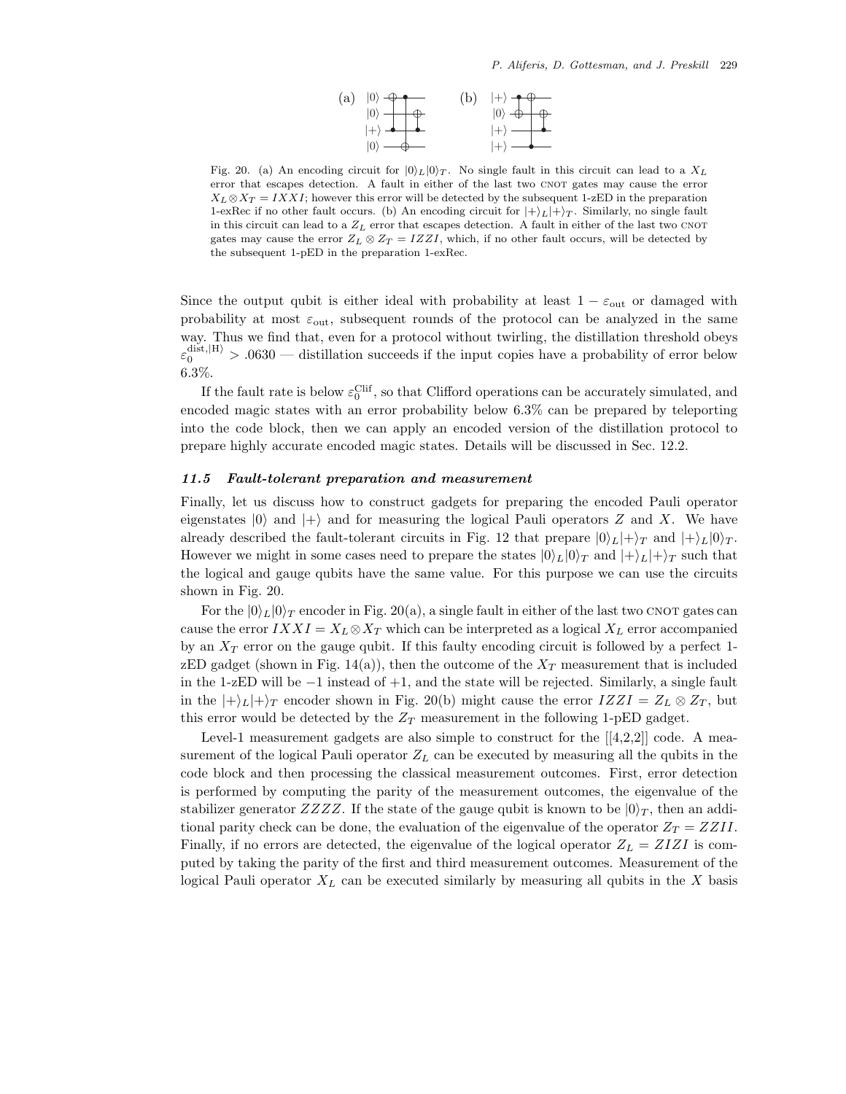

Fig. 20. (a) An encoding circuit for  $|0\rangle_L|0\rangle_T$ . No single fault in this circuit can lead to a  $X_L$ error that escapes detection. A fault in either of the last two CNOT gates may cause the error  $X_L \otimes X_T = IXXI$ ; however this error will be detected by the subsequent 1-zED in the preparation 1-exRec if no other fault occurs. (b) An encoding circuit for  $|+\rangle_L|+\rangle_T$ . Similarly, no single fault in this circuit can lead to a  $Z_L$  error that escapes detection. A fault in either of the last two CNOT gates may cause the error  $Z_L \otimes Z_T = IZZI$ , which, if no other fault occurs, will be detected by the subsequent 1-pED in the preparation 1-exRec.

Since the output qubit is either ideal with probability at least  $1 - \varepsilon_{\text{out}}$  or damaged with probability at most  $\varepsilon_{\text{out}}$ , subsequent rounds of the protocol can be analyzed in the same way. Thus we find that, even for a protocol without twirling, the distillation threshold obeys  $\varepsilon_0^{\text{dist},\vert H}$  > .0630 — distillation succeeds if the input copies have a probability of error below 6.3%.

If the fault rate is below  $\varepsilon_0^{\text{Clif}}$ , so that Clifford operations can be accurately simulated, and encoded magic states with an error probability below 6.3% can be prepared by teleporting into the code block, then we can apply an encoded version of the distillation protocol to prepare highly accurate encoded magic states. Details will be discussed in Sec. 12.2.

# *11.5 Fault-tolerant preparation and measurement*

Finally, let us discuss how to construct gadgets for preparing the encoded Pauli operator eigenstates  $|0\rangle$  and  $|+\rangle$  and for measuring the logical Pauli operators Z and X. We have already described the fault-tolerant circuits in Fig. 12 that prepare  $|0\rangle_L|+\rangle_T$  and  $|+\rangle_L|0\rangle_T$ . However we might in some cases need to prepare the states  $|0\rangle_L|0\rangle_T$  and  $|+\rangle_L|+\rangle_T$  such that the logical and gauge qubits have the same value. For this purpose we can use the circuits shown in Fig. 20.

For the  $|0\rangle_L|0\rangle_T$  encoder in Fig. 20(a), a single fault in either of the last two CNOT gates can cause the error  $IXXI = X_L \otimes X_T$  which can be interpreted as a logical  $X_L$  error accompanied by an  $X_T$  error on the gauge qubit. If this faulty encoding circuit is followed by a perfect 1zED gadget (shown in Fig. 14(a)), then the outcome of the  $X_T$  measurement that is included in the 1-zED will be −1 instead of +1, and the state will be rejected. Similarly, a single fault in the  $|+\rangle_L|+\rangle_T$  encoder shown in Fig. 20(b) might cause the error  $IZZI = Z_L \otimes Z_T$ , but this error would be detected by the  $Z_T$  measurement in the following 1-pED gadget.

Level-1 measurement gadgets are also simple to construct for the  $[[4,2,2]]$  code. A measurement of the logical Pauli operator  $Z_L$  can be executed by measuring all the qubits in the code block and then processing the classical measurement outcomes. First, error detection is performed by computing the parity of the measurement outcomes, the eigenvalue of the stabilizer generator  $ZZZZ$ . If the state of the gauge qubit is known to be  $|0\rangle_T$ , then an additional parity check can be done, the evaluation of the eigenvalue of the operator  $Z_T = ZZII$ . Finally, if no errors are detected, the eigenvalue of the logical operator  $Z_L = ZIZI$  is computed by taking the parity of the first and third measurement outcomes. Measurement of the logical Pauli operator  $X_L$  can be executed similarly by measuring all qubits in the X basis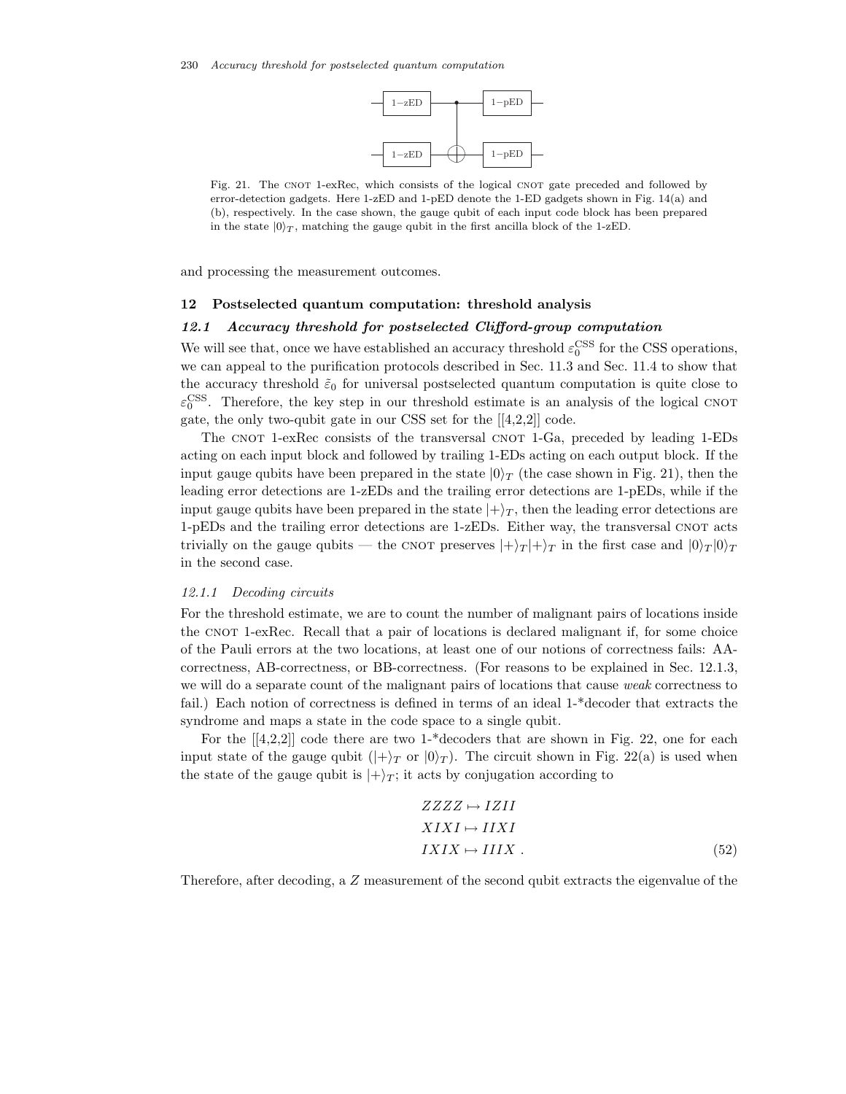

Fig. 21. The CNOT 1-exRec, which consists of the logical CNOT gate preceded and followed by error-detection gadgets. Here 1-zED and 1-pED denote the 1-ED gadgets shown in Fig. 14(a) and (b), respectively. In the case shown, the gauge qubit of each input code block has been prepared in the state  $|0\rangle_T$ , matching the gauge qubit in the first ancilla block of the 1-zED.

and processing the measurement outcomes.

## **12 Postselected quantum computation: threshold analysis**

#### *12.1 Accuracy threshold for postselected Clifford-group computation*

We will see that, once we have established an accuracy threshold  $\varepsilon_0^{\text{CSS}}$  for the CSS operations, we can appeal to the purification protocols described in Sec. 11.3 and Sec. 11.4 to show that the accuracy threshold  $\tilde{\varepsilon}_0$  for universal postselected quantum computation is quite close to  $\varepsilon_0^{\text{CSS}}$ . Therefore, the key step in our threshold estimate is an analysis of the logical CNOT gate, the only two-qubit gate in our CSS set for the [[4,2,2]] code.

The CNOT 1-exRec consists of the transversal CNOT 1-Ga, preceded by leading 1-EDs acting on each input block and followed by trailing 1-EDs acting on each output block. If the input gauge qubits have been prepared in the state  $|0\rangle_T$  (the case shown in Fig. 21), then the leading error detections are 1-zEDs and the trailing error detections are 1-pEDs, while if the input gauge qubits have been prepared in the state  $|+\rangle_T$ , then the leading error detections are  $1-pEDs$  and the trailing error detections are  $1-zEDs$ . Either way, the transversal CNOT acts trivially on the gauge qubits — the CNOT preserves  $|+\rangle_T |+\rangle_T$  in the first case and  $|0\rangle_T |0\rangle_T$ in the second case.

# *12.1.1 Decoding circuits*

For the threshold estimate, we are to count the number of malignant pairs of locations inside the CNOT 1-exRec. Recall that a pair of locations is declared malignant if, for some choice of the Pauli errors at the two locations, at least one of our notions of correctness fails: AAcorrectness, AB-correctness, or BB-correctness. (For reasons to be explained in Sec. 12.1.3, we will do a separate count of the malignant pairs of locations that cause *weak* correctness to fail.) Each notion of correctness is defined in terms of an ideal 1-\*decoder that extracts the syndrome and maps a state in the code space to a single qubit.

For the  $[4,2,2]$  code there are two 1-\*decoders that are shown in Fig. 22, one for each input state of the gauge qubit  $(|+\rangle_T$  or  $|0\rangle_T$ ). The circuit shown in Fig. 22(a) is used when the state of the gauge qubit is  $|+\rangle_T$ ; it acts by conjugation according to

$$
ZZZZ \mapsto IZII
$$
  
\n
$$
XIXI \mapsto IIXI
$$
  
\n
$$
IXIX \mapsto IIIX .
$$
\n(52)

Therefore, after decoding, a Z measurement of the second qubit extracts the eigenvalue of the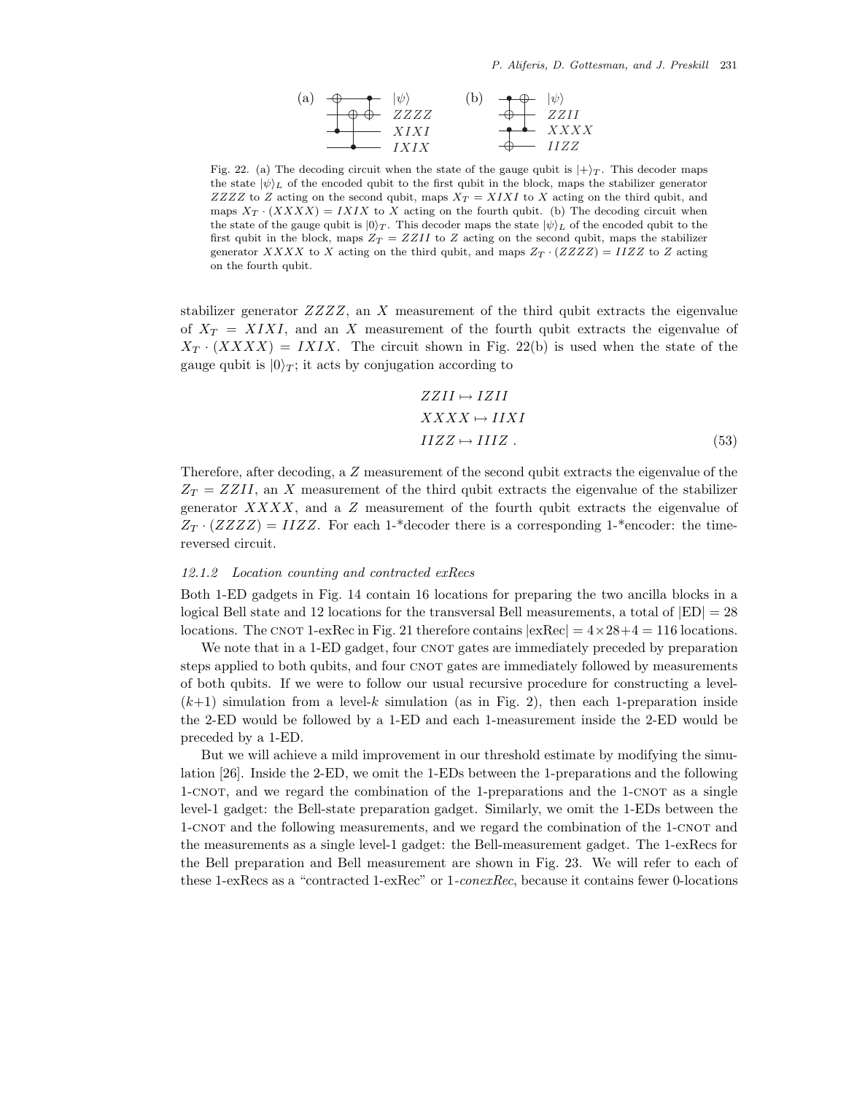

Fig. 22. (a) The decoding circuit when the state of the gauge qubit is  $|+\rangle_T$ . This decoder maps the state  $|\psi\rangle_L$  of the encoded qubit to the first qubit in the block, maps the stabilizer generator ZZZZ to Z acting on the second qubit, maps  $X_T = XIXI$  to X acting on the third qubit, and maps  $X_T \cdot (XXXX) = IXIX$  to X acting on the fourth qubit. (b) The decoding circuit when the state of the gauge qubit is  $|0\rangle_T$ . This decoder maps the state  $|\psi\rangle_L$  of the encoded qubit to the first qubit in the block, maps  $Z_T = ZZII$  to Z acting on the second qubit, maps the stabilizer generator XXXX to X acting on the third qubit, and maps  $Z_T \cdot (ZZZZ) = IIZZ$  to Z acting on the fourth qubit.

stabilizer generator  $ZZZZ$ , an X measurement of the third qubit extracts the eigenvalue of  $X_T = XIXI$ , and an X measurement of the fourth qubit extracts the eigenvalue of  $X_T \cdot (XXXX) = IXIX$ . The circuit shown in Fig. 22(b) is used when the state of the gauge qubit is  $|0\rangle_T$ ; it acts by conjugation according to

$$
ZZII \mapsto IZII
$$
  
\n
$$
XXXX \mapsto IIXI
$$
  
\n
$$
IIZZ \mapsto IIIZ .
$$
\n(53)

Therefore, after decoding, a Z measurement of the second qubit extracts the eigenvalue of the  $Z_T = ZZII$ , an X measurement of the third qubit extracts the eigenvalue of the stabilizer generator  $XXXX$ , and a  $Z$  measurement of the fourth qubit extracts the eigenvalue of  $Z_T \cdot (ZZZZ) = IIZZ$ . For each 1-\*decoder there is a corresponding 1-\*encoder: the timereversed circuit.

#### *12.1.2 Location counting and contracted exRecs*

Both 1-ED gadgets in Fig. 14 contain 16 locations for preparing the two ancilla blocks in a logical Bell state and 12 locations for the transversal Bell measurements, a total of  $|ED| = 28$ locations. The CNOT 1-exRec in Fig. 21 therefore contains  $\exp\left(-4 \times 28 + 4\right) = 116$  locations.

We note that in a 1-ED gadget, four CNOT gates are immediately preceded by preparation steps applied to both qubits, and four CNOT gates are immediately followed by measurements of both qubits. If we were to follow our usual recursive procedure for constructing a level-  $(k+1)$  simulation from a level-k simulation (as in Fig. 2), then each 1-preparation inside the 2-ED would be followed by a 1-ED and each 1-measurement inside the 2-ED would be preceded by a 1-ED.

But we will achieve a mild improvement in our threshold estimate by modifying the simulation [26]. Inside the 2-ED, we omit the 1-EDs between the 1-preparations and the following 1-CNOT, and we regard the combination of the 1-preparations and the 1-CNOT as a single level-1 gadget: the Bell-state preparation gadget. Similarly, we omit the 1-EDs between the 1-CNOT and the following measurements, and we regard the combination of the 1-CNOT and the measurements as a single level-1 gadget: the Bell-measurement gadget. The 1-exRecs for the Bell preparation and Bell measurement are shown in Fig. 23. We will refer to each of these 1-exRecs as a "contracted 1-exRec" or 1*-conexRec*, because it contains fewer 0-locations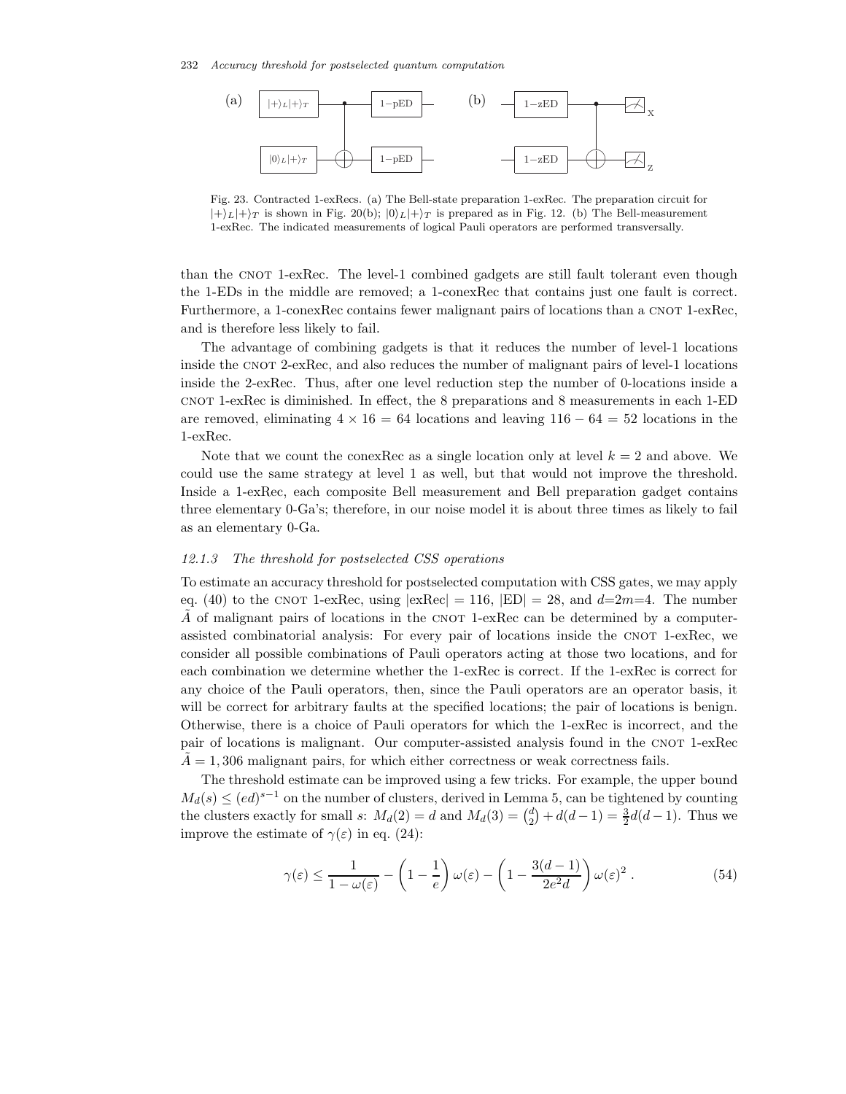

Fig. 23. Contracted 1-exRecs. (a) The Bell-state preparation 1-exRec. The preparation circuit for  $|+\rangle_L|+\rangle_T$  is shown in Fig. 20(b);  $|0\rangle_L|+\rangle_T$  is prepared as in Fig. 12. (b) The Bell-measurement 1-exRec. The indicated measurements of logical Pauli operators are performed transversally.

than the CNOT 1-exRec. The level-1 combined gadgets are still fault tolerant even though the 1-EDs in the middle are removed; a 1-conexRec that contains just one fault is correct. Furthermore, a 1-conexRec contains fewer malignant pairs of locations than a CNOT 1-exRec, and is therefore less likely to fail.

The advantage of combining gadgets is that it reduces the number of level-1 locations inside the CNOT 2-exRec, and also reduces the number of malignant pairs of level-1 locations inside the 2-exRec. Thus, after one level reduction step the number of 0-locations inside a cnot 1-exRec is diminished. In effect, the 8 preparations and 8 measurements in each 1-ED are removed, eliminating  $4 \times 16 = 64$  locations and leaving  $116 - 64 = 52$  locations in the 1-exRec.

Note that we count the conexRec as a single location only at level  $k = 2$  and above. We could use the same strategy at level 1 as well, but that would not improve the threshold. Inside a 1-exRec, each composite Bell measurement and Bell preparation gadget contains three elementary 0-Ga's; therefore, in our noise model it is about three times as likely to fail as an elementary 0-Ga.

#### *12.1.3 The threshold for postselected CSS operations*

To estimate an accuracy threshold for postselected computation with CSS gates, we may apply eq. (40) to the CNOT 1-exRec, using  $|{\rm exRec}| = 116$ ,  $|{\rm ED}| = 28$ , and  $d=2m=4$ . The number A of malignant pairs of locations in the CNOT 1-exRec can be determined by a computerassisted combinatorial analysis: For every pair of locations inside the CNOT 1-exRec, we consider all possible combinations of Pauli operators acting at those two locations, and for each combination we determine whether the 1-exRec is correct. If the 1-exRec is correct for any choice of the Pauli operators, then, since the Pauli operators are an operator basis, it will be correct for arbitrary faults at the specified locations; the pair of locations is benign. Otherwise, there is a choice of Pauli operators for which the 1-exRec is incorrect, and the pair of locations is malignant. Our computer-assisted analysis found in the CNOT 1-exRec  $A = 1,306$  malignant pairs, for which either correctness or weak correctness fails.

The threshold estimate can be improved using a few tricks. For example, the upper bound  $M_d(s) \leq (ed)^{s-1}$  on the number of clusters, derived in Lemma 5, can be tightened by counting the clusters exactly for small s:  $M_d(2) = d$  and  $M_d(3) = \binom{d}{2}$  $a_2^d$  +  $d(d-1) = \frac{3}{2}d(d-1)$ . Thus we improve the estimate of  $\gamma(\varepsilon)$  in eq. (24):

$$
\gamma(\varepsilon) \le \frac{1}{1 - \omega(\varepsilon)} - \left(1 - \frac{1}{e}\right)\omega(\varepsilon) - \left(1 - \frac{3(d - 1)}{2e^2d}\right)\omega(\varepsilon)^2.
$$
\n(54)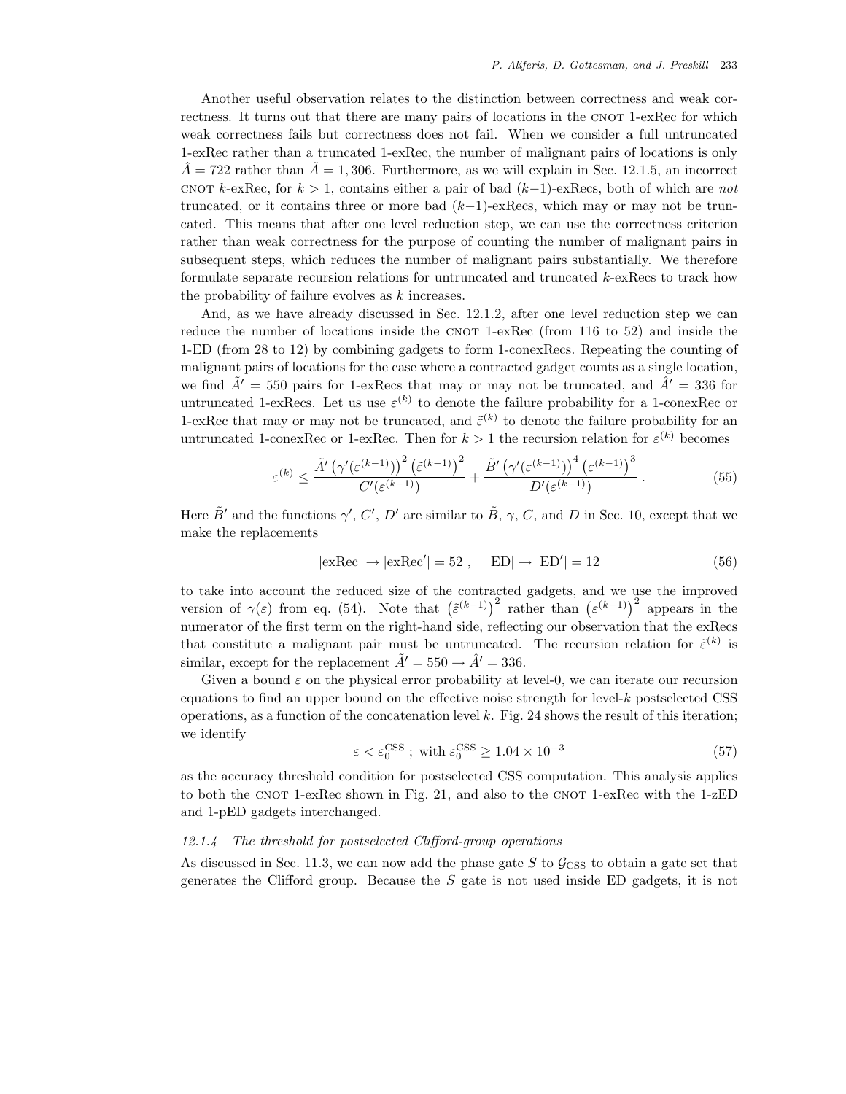Another useful observation relates to the distinction between correctness and weak correctness. It turns out that there are many pairs of locations in the CNOT 1-exRec for which weak correctness fails but correctness does not fail. When we consider a full untruncated 1-exRec rather than a truncated 1-exRec, the number of malignant pairs of locations is only  $\ddot{A}$  = 722 rather than  $A = 1,306$ . Furthermore, as we will explain in Sec. 12.1.5, an incorrect cnot k-exRec, for  $k > 1$ , contains either a pair of bad  $(k-1)$ -exRecs, both of which are *not* truncated, or it contains three or more bad  $(k-1)$ -exRecs, which may or may not be truncated. This means that after one level reduction step, we can use the correctness criterion rather than weak correctness for the purpose of counting the number of malignant pairs in subsequent steps, which reduces the number of malignant pairs substantially. We therefore formulate separate recursion relations for untruncated and truncated k-exRecs to track how the probability of failure evolves as  $k$  increases.

And, as we have already discussed in Sec. 12.1.2, after one level reduction step we can reduce the number of locations inside the CNOT 1-exRec (from  $116$  to  $52$ ) and inside the 1-ED (from 28 to 12) by combining gadgets to form 1-conexRecs. Repeating the counting of malignant pairs of locations for the case where a contracted gadget counts as a single location, we find  $\tilde{A}' = 550$  pairs for 1-exRecs that may or may not be truncated, and  $\tilde{A}' = 336$  for untruncated 1-exRecs. Let us use  $\varepsilon^{(k)}$  to denote the failure probability for a 1-conexRec or 1-exRec that may or may not be truncated, and  $\tilde{\varepsilon}^{(k)}$  to denote the failure probability for an untruncated 1-conexRec or 1-exRec. Then for  $k > 1$  the recursion relation for  $\varepsilon^{(k)}$  becomes

$$
\varepsilon^{(k)} \le \frac{\tilde{A}'\left(\gamma'(\varepsilon^{(k-1)})\right)^2 \left(\tilde{\varepsilon}^{(k-1)}\right)^2}{C'(\varepsilon^{(k-1)})} + \frac{\tilde{B}'\left(\gamma'(\varepsilon^{(k-1)})\right)^4 \left(\varepsilon^{(k-1)}\right)^3}{D'(\varepsilon^{(k-1)})} \,. \tag{55}
$$

Here  $\tilde{B}'$  and the functions  $\gamma', C', D'$  are similar to  $\tilde{B}, \gamma, C$ , and D in Sec. 10, except that we make the replacements

$$
|\text{exRec}| \rightarrow |\text{exRec}'| = 52 , \quad |\text{ED}| \rightarrow |\text{ED}'| = 12 \tag{56}
$$

to take into account the reduced size of the contracted gadgets, and we use the improved version of  $\gamma(\varepsilon)$  from eq. (54). Note that  $(\tilde{\varepsilon}^{(k-1)})^2$  rather than  $(\varepsilon^{(k-1)})^2$  appears in the numerator of the first term on the right-hand side, reflecting our observation that the exRecs that constitute a malignant pair must be untruncated. The recursion relation for  $\tilde{\varepsilon}^{(k)}$  is similar, except for the replacement  $\tilde{A}' = 550 \rightarrow \hat{A}' = 336$ .

Given a bound  $\varepsilon$  on the physical error probability at level-0, we can iterate our recursion equations to find an upper bound on the effective noise strength for level- $k$  postselected CSS operations, as a function of the concatenation level k. Fig. 24 shows the result of this iteration; we identify

$$
\varepsilon < \varepsilon_0^{\mathrm{CSS}} \; ; \; \mathrm{with} \; \varepsilon_0^{\mathrm{CSS}} \ge 1.04 \times 10^{-3} \tag{57}
$$

as the accuracy threshold condition for postselected CSS computation. This analysis applies to both the CNOT 1-exRec shown in Fig. 21, and also to the CNOT 1-exRec with the 1-zED and 1-pED gadgets interchanged.

### *12.1.4 The threshold for postselected Clifford-group operations*

As discussed in Sec. 11.3, we can now add the phase gate S to  $\mathcal{G}_{\text{CSS}}$  to obtain a gate set that generates the Clifford group. Because the  $S$  gate is not used inside ED gadgets, it is not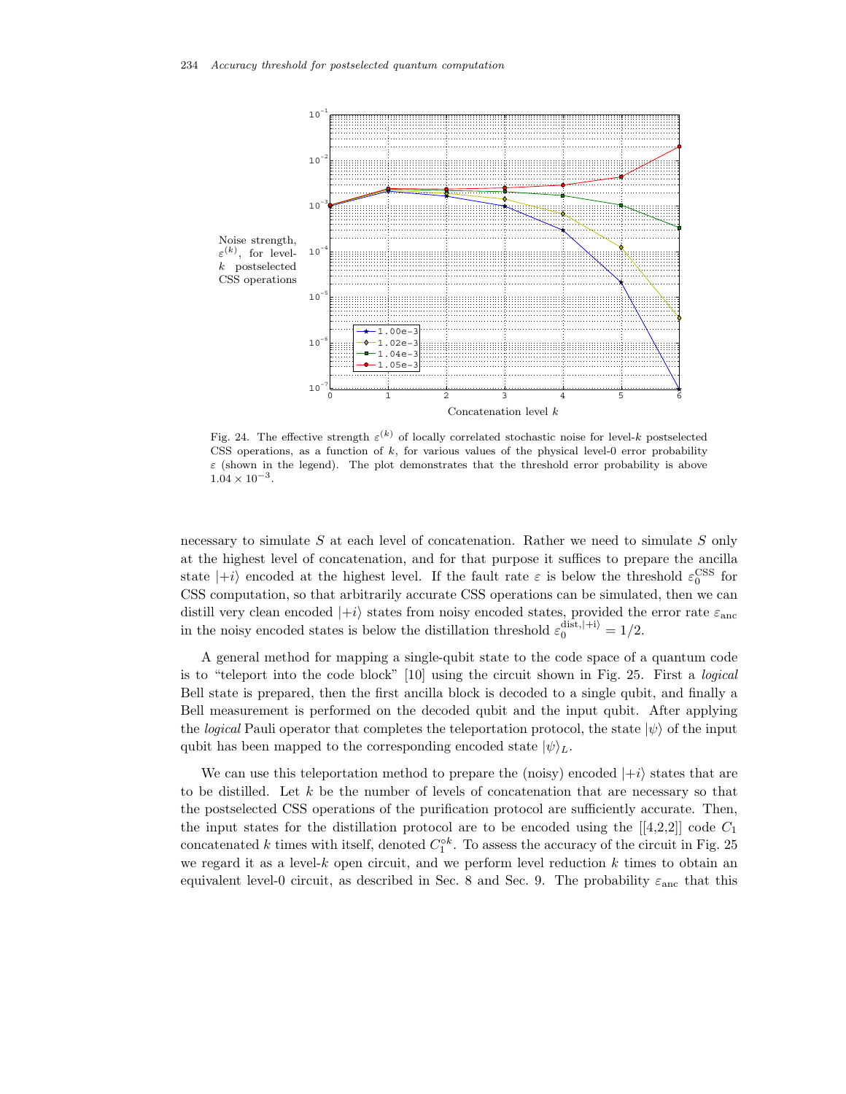

Fig. 24. The effective strength  $\varepsilon^{(k)}$  of locally correlated stochastic noise for level-k postselected CSS operations, as a function of  $k$ , for various values of the physical level-0 error probability  $\varepsilon$  (shown in the legend). The plot demonstrates that the threshold error probability is above  $1.04 \times 10^{-3}$ .

necessary to simulate  $S$  at each level of concatenation. Rather we need to simulate  $S$  only at the highest level of concatenation, and for that purpose it suffices to prepare the ancilla state  $|+i\rangle$  encoded at the highest level. If the fault rate  $\varepsilon$  is below the threshold  $\varepsilon_0^{\text{CSS}}$  for CSS computation, so that arbitrarily accurate CSS operations can be simulated, then we can distill very clean encoded  $|+i\rangle$  states from noisy encoded states, provided the error rate  $\varepsilon_{\text{anc}}$ in the noisy encoded states is below the distillation threshold  $\varepsilon_0^{\text{dist},|+i\rangle} = 1/2$ .

A general method for mapping a single-qubit state to the code space of a quantum code is to "teleport into the code block" [10] using the circuit shown in Fig. 25. First a *logical* Bell state is prepared, then the first ancilla block is decoded to a single qubit, and finally a Bell measurement is performed on the decoded qubit and the input qubit. After applying the *logical* Pauli operator that completes the teleportation protocol, the state  $|\psi\rangle$  of the input qubit has been mapped to the corresponding encoded state  $|\psi\rangle_L$ .

We can use this teleportation method to prepare the (noisy) encoded  $|+i\rangle$  states that are to be distilled. Let  $k$  be the number of levels of concatenation that are necessary so that the postselected CSS operations of the purification protocol are sufficiently accurate. Then, the input states for the distillation protocol are to be encoded using the  $[4,2,2]$ ] code  $C_1$ concatenated k times with itself, denoted  $C_1^{\circ k}$ . To assess the accuracy of the circuit in Fig. 25 we regard it as a level- $k$  open circuit, and we perform level reduction  $k$  times to obtain an equivalent level-0 circuit, as described in Sec. 8 and Sec. 9. The probability  $\varepsilon_{\text{anc}}$  that this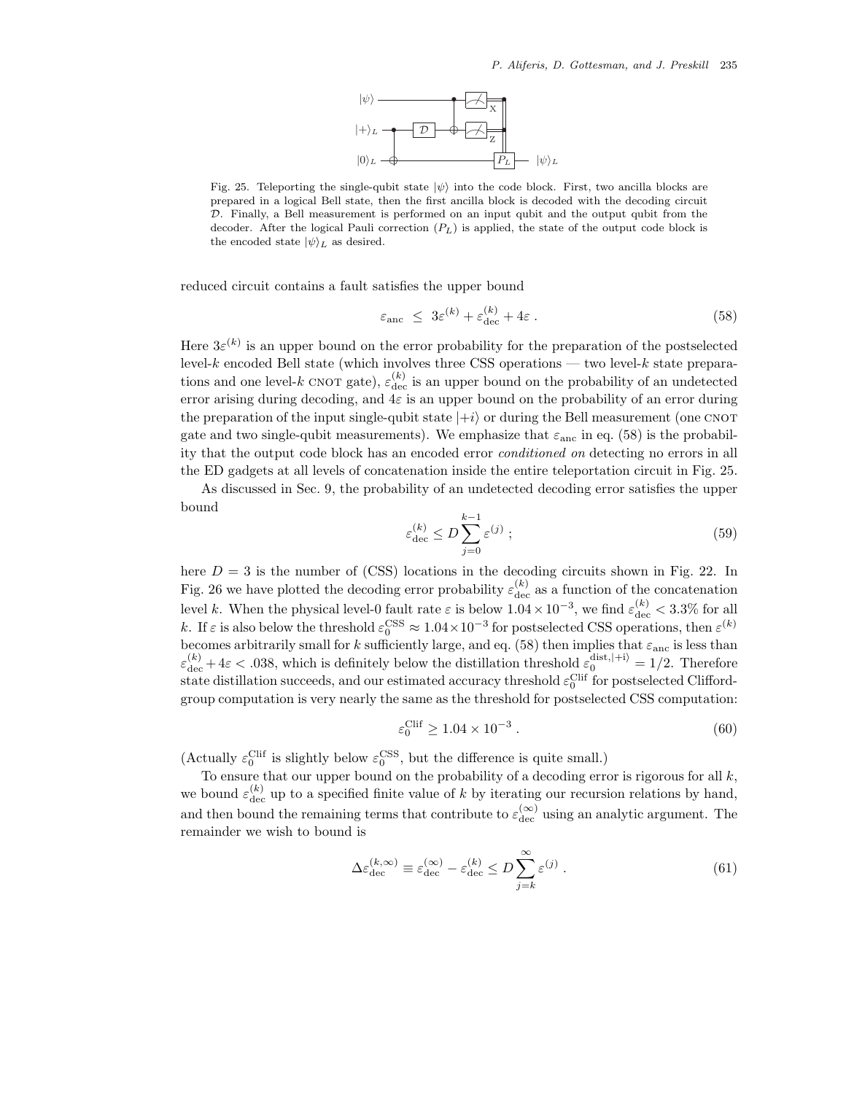

Fig. 25. Teleporting the single-qubit state  $|\psi\rangle$  into the code block. First, two ancilla blocks are prepared in a logical Bell state, then the first ancilla block is decoded with the decoding circuit D. Finally, a Bell measurement is performed on an input qubit and the output qubit from the decoder. After the logical Pauli correction  $(P_L)$  is applied, the state of the output code block is the encoded state  $|\psi\rangle_L$  as desired.

reduced circuit contains a fault satisfies the upper bound

$$
\varepsilon_{\rm anc} \leq 3\varepsilon^{(k)} + \varepsilon_{\rm dec}^{(k)} + 4\varepsilon \,. \tag{58}
$$

Here  $3\varepsilon^{(k)}$  is an upper bound on the error probability for the preparation of the postselected level- $k$  encoded Bell state (which involves three CSS operations — two level- $k$  state preparations and one level-k CNOT gate),  $\varepsilon_{\text{dec}}^{(k)}$  is an upper bound on the probability of an undetected error arising during decoding, and  $4\varepsilon$  is an upper bound on the probability of an error during the preparation of the input single-qubit state  $|+i\rangle$  or during the Bell measurement (one CNOT gate and two single-qubit measurements). We emphasize that  $\varepsilon_{\text{anc}}$  in eq. (58) is the probability that the output code block has an encoded error *conditioned on* detecting no errors in all the ED gadgets at all levels of concatenation inside the entire teleportation circuit in Fig. 25.

As discussed in Sec. 9, the probability of an undetected decoding error satisfies the upper bound

$$
\varepsilon_{\rm dec}^{(k)} \le D \sum_{j=0}^{k-1} \varepsilon^{(j)} \tag{59}
$$

here  $D = 3$  is the number of (CSS) locations in the decoding circuits shown in Fig. 22. In Fig. 26 we have plotted the decoding error probability  $\varepsilon_{\text{dec}}^{(k)}$  as a function of the concatenation level k. When the physical level-0 fault rate  $\varepsilon$  is below  $1.04 \times 10^{-3}$ , we find  $\varepsilon_{\text{dec}}^{(k)} < 3.3\%$  for all k. If  $\varepsilon$  is also below the threshold  $\varepsilon_0^{\text{CSS}} \approx 1.04 \times 10^{-3}$  for postselected CSS operations, then  $\varepsilon^{(k)}$ becomes arbitrarily small for k sufficiently large, and eq. (58) then implies that  $\varepsilon_{\text{anc}}$  is less than  $\varepsilon_{\text{dec}}^{(k)} + 4\varepsilon < .038$ , which is definitely below the distillation threshold  $\varepsilon_0^{\text{dist},(+i)} = 1/2$ . Therefore state distillation succeeds, and our estimated accuracy threshold  $\varepsilon_0^{\text{Clif}}$  for postselected Cliffordgroup computation is very nearly the same as the threshold for postselected CSS computation:

$$
\varepsilon_0^{\text{Clif}} \ge 1.04 \times 10^{-3} \,. \tag{60}
$$

(Actually  $\varepsilon_0^{\text{Clif}}$  is slightly below  $\varepsilon_0^{\text{CSS}},$  but the difference is quite small.)

To ensure that our upper bound on the probability of a decoding error is rigorous for all  $k$ , we bound  $\varepsilon_{\text{dec}}^{(k)}$  up to a specified finite value of k by iterating our recursion relations by hand, and then bound the remaining terms that contribute to  $\varepsilon_{\text{dec}}^{(\infty)}$  using an analytic argument. The remainder we wish to bound is

$$
\Delta \varepsilon_{\text{dec}}^{(k,\infty)} \equiv \varepsilon_{\text{dec}}^{(\infty)} - \varepsilon_{\text{dec}}^{(k)} \le D \sum_{j=k}^{\infty} \varepsilon^{(j)} . \tag{61}
$$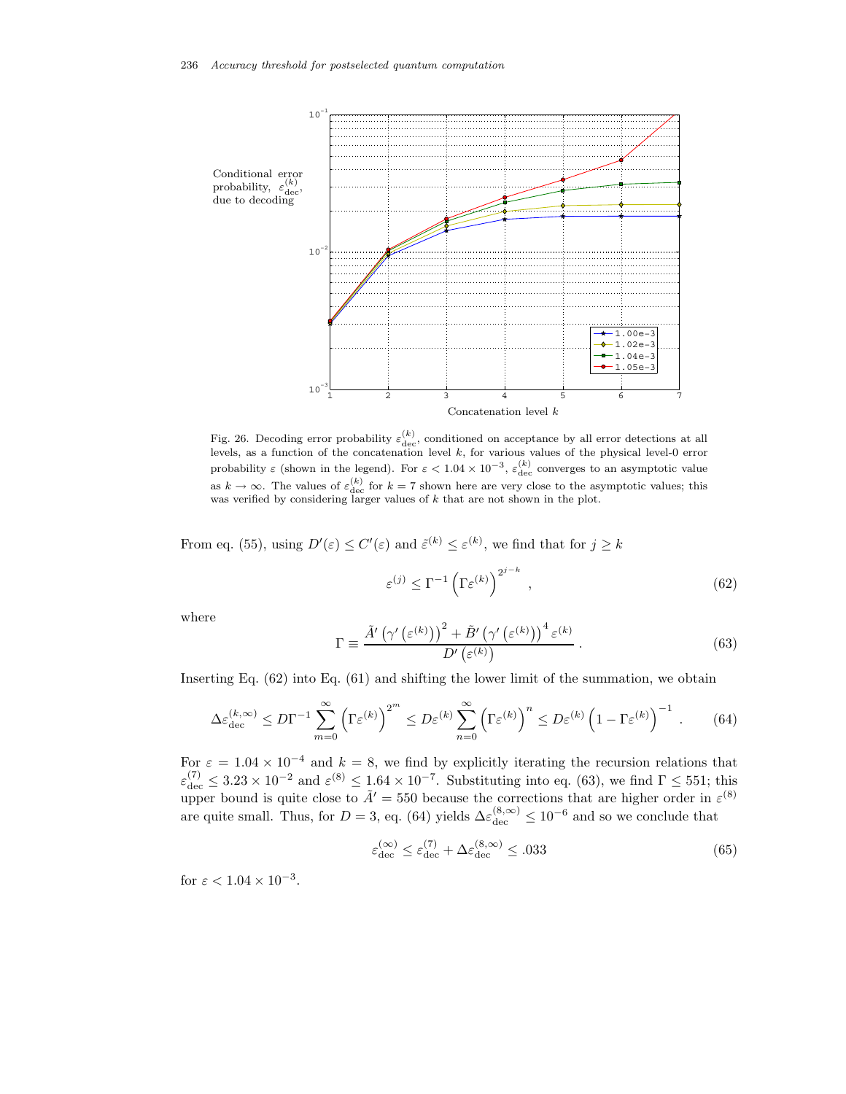

Fig. 26. Decoding error probability  $\varepsilon_{\text{dec}}^{(k)}$ , conditioned on acceptance by all error detections at all levels, as a function of the concatenation level k, for various values of the physical level-0 error probability  $\varepsilon$  (shown in the legend). For  $\varepsilon < 1.04 \times 10^{-3}$ ,  $\varepsilon_{\text{dec}}^{(k)}$  converges to an asymptotic value as  $k \to \infty$ . The values of  $\varepsilon_{\text{dec}}^{(k)}$  for  $k = 7$  shown here are very close to the asymptotic values; this was verified by considering larger values of  $k$  that are not shown in the plot.

From eq. (55), using  $D'(\varepsilon) \leq C'(\varepsilon)$  and  $\tilde{\varepsilon}^{(k)} \leq \varepsilon^{(k)}$ , we find that for  $j \geq k$ 

$$
\varepsilon^{(j)} \le \Gamma^{-1} \left( \Gamma \varepsilon^{(k)} \right)^{2^{j-k}}, \tag{62}
$$

where

$$
\Gamma \equiv \frac{\tilde{A}'\left(\gamma'\left(\varepsilon^{(k)}\right)\right)^2 + \tilde{B}'\left(\gamma'\left(\varepsilon^{(k)}\right)\right)^4 \varepsilon^{(k)}}{D'\left(\varepsilon^{(k)}\right)}\,. \tag{63}
$$

Inserting Eq. (62) into Eq. (61) and shifting the lower limit of the summation, we obtain

$$
\Delta \varepsilon_{\text{dec}}^{(k,\infty)} \leq D\Gamma^{-1} \sum_{m=0}^{\infty} \left(\Gamma \varepsilon^{(k)}\right)^{2^m} \leq D\varepsilon^{(k)} \sum_{n=0}^{\infty} \left(\Gamma \varepsilon^{(k)}\right)^n \leq D\varepsilon^{(k)} \left(1 - \Gamma \varepsilon^{(k)}\right)^{-1} . \tag{64}
$$

For  $\varepsilon = 1.04 \times 10^{-4}$  and  $k = 8$ , we find by explicitly iterating the recursion relations that  $\varepsilon_{\text{dec}}^{(7)} \leq 3.23 \times 10^{-2}$  and  $\varepsilon^{(8)} \leq 1.64 \times 10^{-7}$ . Substituting into eq. (63), we find  $\Gamma \leq 551$ ; this upper bound is quite close to  $\tilde{A}' = 550$  because the corrections that are higher order in  $\varepsilon^{(8)}$ are quite small. Thus, for  $D = 3$ , eq. (64) yields  $\Delta \varepsilon_{\text{dec}}^{(8,\infty)} \leq 10^{-6}$  and so we conclude that

$$
\varepsilon_{\rm dec}^{(\infty)} \le \varepsilon_{\rm dec}^{(7)} + \Delta \varepsilon_{\rm dec}^{(8,\infty)} \le .033 \tag{65}
$$

for  $\varepsilon < 1.04 \times 10^{-3}$ .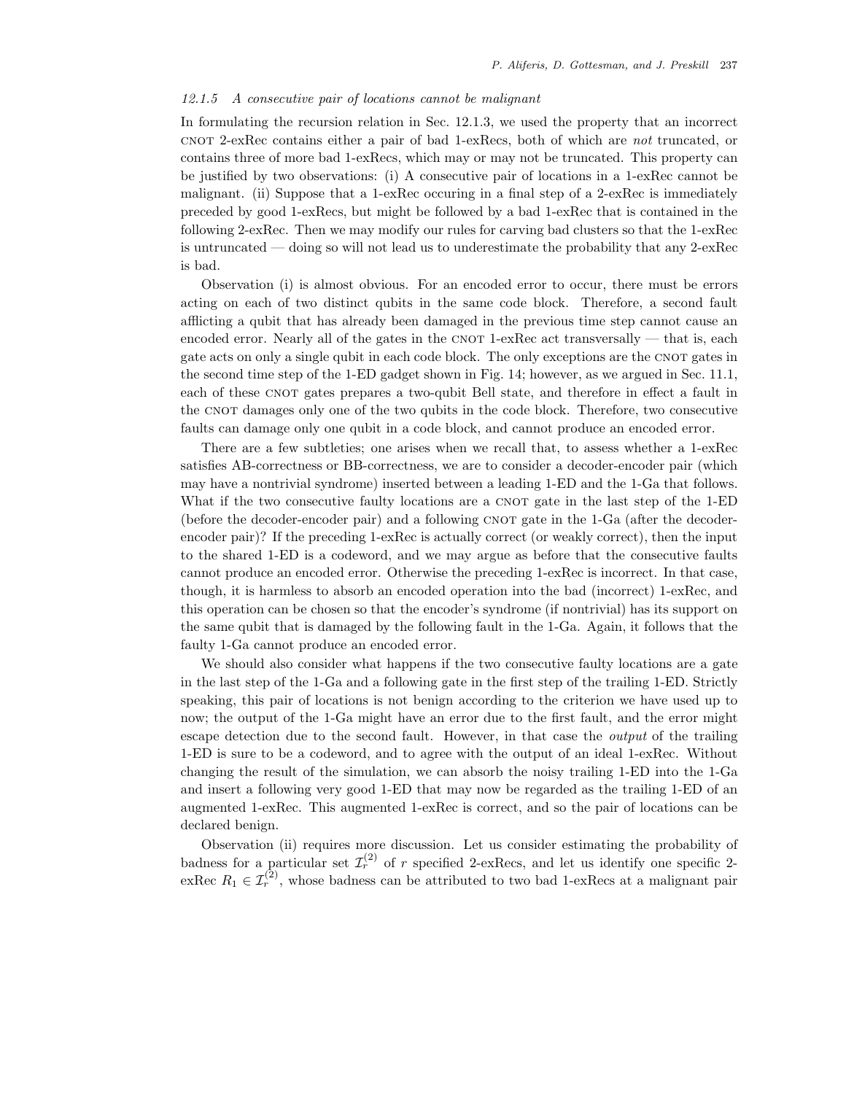# *12.1.5 A consecutive pair of locations cannot be malignant*

In formulating the recursion relation in Sec. 12.1.3, we used the property that an incorrect cnot 2-exRec contains either a pair of bad 1-exRecs, both of which are *not* truncated, or contains three of more bad 1-exRecs, which may or may not be truncated. This property can be justified by two observations: (i) A consecutive pair of locations in a 1-exRec cannot be malignant. (ii) Suppose that a 1-exRec occuring in a final step of a 2-exRec is immediately preceded by good 1-exRecs, but might be followed by a bad 1-exRec that is contained in the following 2-exRec. Then we may modify our rules for carving bad clusters so that the 1-exRec is untruncated — doing so will not lead us to underestimate the probability that any 2-exRec is bad.

Observation (i) is almost obvious. For an encoded error to occur, there must be errors acting on each of two distinct qubits in the same code block. Therefore, a second fault afflicting a qubit that has already been damaged in the previous time step cannot cause an encoded error. Nearly all of the gates in the CNOT 1-exRec act transversally — that is, each gate acts on only a single qubit in each code block. The only exceptions are the CNOT gates in the second time step of the 1-ED gadget shown in Fig. 14; however, as we argued in Sec. 11.1, each of these CNOT gates prepares a two-qubit Bell state, and therefore in effect a fault in the CNOT damages only one of the two qubits in the code block. Therefore, two consecutive faults can damage only one qubit in a code block, and cannot produce an encoded error.

There are a few subtleties; one arises when we recall that, to assess whether a 1-exRec satisfies AB-correctness or BB-correctness, we are to consider a decoder-encoder pair (which may have a nontrivial syndrome) inserted between a leading 1-ED and the 1-Ga that follows. What if the two consecutive faulty locations are a CNOT gate in the last step of the 1-ED (before the decoder-encoder pair) and a following CNOT gate in the 1-Ga (after the decoderencoder pair)? If the preceding 1-exRec is actually correct (or weakly correct), then the input to the shared 1-ED is a codeword, and we may argue as before that the consecutive faults cannot produce an encoded error. Otherwise the preceding 1-exRec is incorrect. In that case, though, it is harmless to absorb an encoded operation into the bad (incorrect) 1-exRec, and this operation can be chosen so that the encoder's syndrome (if nontrivial) has its support on the same qubit that is damaged by the following fault in the 1-Ga. Again, it follows that the faulty 1-Ga cannot produce an encoded error.

We should also consider what happens if the two consecutive faulty locations are a gate in the last step of the 1-Ga and a following gate in the first step of the trailing 1-ED. Strictly speaking, this pair of locations is not benign according to the criterion we have used up to now; the output of the 1-Ga might have an error due to the first fault, and the error might escape detection due to the second fault. However, in that case the *output* of the trailing 1-ED is sure to be a codeword, and to agree with the output of an ideal 1-exRec. Without changing the result of the simulation, we can absorb the noisy trailing 1-ED into the 1-Ga and insert a following very good 1-ED that may now be regarded as the trailing 1-ED of an augmented 1-exRec. This augmented 1-exRec is correct, and so the pair of locations can be declared benign.

Observation (ii) requires more discussion. Let us consider estimating the probability of badness for a particular set  $\mathcal{I}_r^{(2)}$  of r specified 2-exRecs, and let us identify one specific 2exRec  $R_1 \in \mathcal{I}_r^{(2)}$ , whose badness can be attributed to two bad 1-exRecs at a malignant pair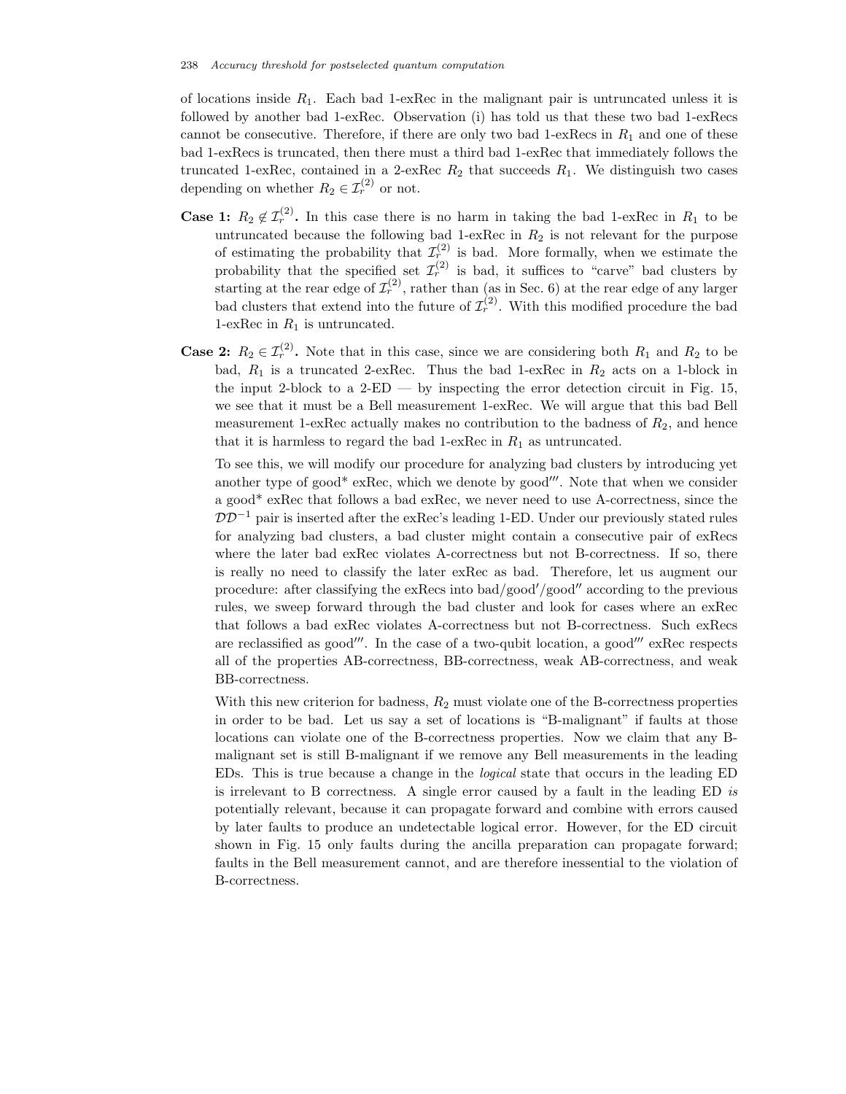of locations inside  $R_1$ . Each bad 1-exRec in the malignant pair is untruncated unless it is followed by another bad 1-exRec. Observation (i) has told us that these two bad 1-exRecs cannot be consecutive. Therefore, if there are only two bad 1-exRecs in  $R_1$  and one of these bad 1-exRecs is truncated, then there must a third bad 1-exRec that immediately follows the truncated 1-exRec, contained in a 2-exRec  $R_2$  that succeeds  $R_1$ . We distinguish two cases depending on whether  $R_2 \in \mathcal{I}_r^{(2)}$  or not.

- **Case 1:**  $R_2 \notin \mathcal{I}_r^{(2)}$ . In this case there is no harm in taking the bad 1-exRec in  $R_1$  to be untruncated because the following bad 1-exRec in  $R_2$  is not relevant for the purpose of estimating the probability that  $\mathcal{I}_r^{(2)}$  is bad. More formally, when we estimate the probability that the specified set  $\mathcal{I}_r^{(2)}$  is bad, it suffices to "carve" bad clusters by starting at the rear edge of  $\mathcal{I}_r^{(2)}$ , rather than (as in Sec. 6) at the rear edge of any larger bad clusters that extend into the future of  $\mathcal{I}_r^{(2)}$ . With this modified procedure the bad 1-exRec in  $R_1$  is untruncated.
- **Case 2:**  $R_2 \in \mathcal{I}_r^{(2)}$ . Note that in this case, since we are considering both  $R_1$  and  $R_2$  to be bad,  $R_1$  is a truncated 2-exRec. Thus the bad 1-exRec in  $R_2$  acts on a 1-block in the input 2-block to a  $2$ -ED — by inspecting the error detection circuit in Fig. 15, we see that it must be a Bell measurement 1-exRec. We will argue that this bad Bell measurement 1-exRec actually makes no contribution to the badness of  $R_2$ , and hence that it is harmless to regard the bad 1-exRec in  $R_1$  as untruncated.

To see this, we will modify our procedure for analyzing bad clusters by introducing yet another type of good\* ex $\text{Rec}$ , which we denote by good". Note that when we consider a good\* exRec that follows a bad exRec, we never need to use A-correctness, since the  $DD^{-1}$  pair is inserted after the exRec's leading 1-ED. Under our previously stated rules for analyzing bad clusters, a bad cluster might contain a consecutive pair of exRecs where the later bad exRec violates A-correctness but not B-correctness. If so, there is really no need to classify the later exRec as bad. Therefore, let us augment our procedure: after classifying the exRecs into  $bad/good''$  according to the previous rules, we sweep forward through the bad cluster and look for cases where an exRec that follows a bad exRec violates A-correctness but not B-correctness. Such exRecs are reclassified as good". In the case of a two-qubit location, a good"  $exRec$  respects all of the properties AB-correctness, BB-correctness, weak AB-correctness, and weak BB-correctness.

With this new criterion for badness,  $R_2$  must violate one of the B-correctness properties in order to be bad. Let us say a set of locations is "B-malignant" if faults at those locations can violate one of the B-correctness properties. Now we claim that any Bmalignant set is still B-malignant if we remove any Bell measurements in the leading EDs. This is true because a change in the *logical* state that occurs in the leading ED is irrelevant to B correctness. A single error caused by a fault in the leading ED *is* potentially relevant, because it can propagate forward and combine with errors caused by later faults to produce an undetectable logical error. However, for the ED circuit shown in Fig. 15 only faults during the ancilla preparation can propagate forward; faults in the Bell measurement cannot, and are therefore inessential to the violation of B-correctness.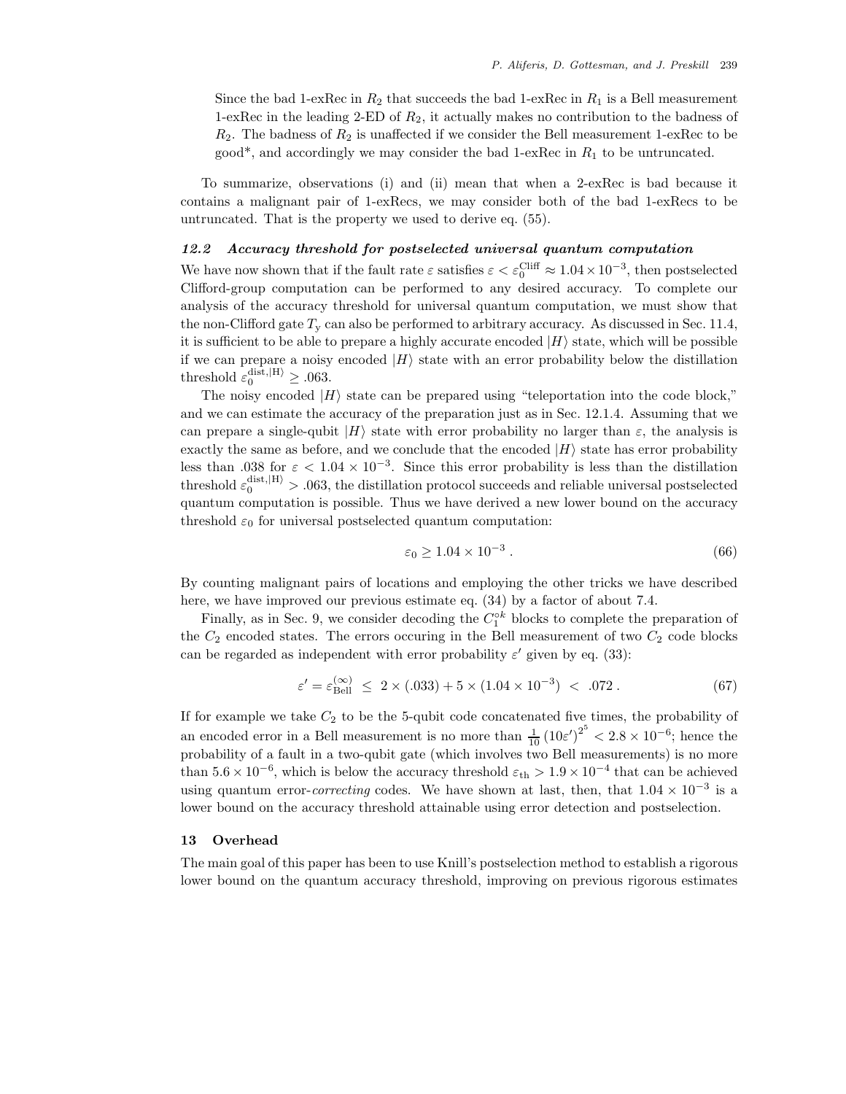Since the bad 1-exRec in  $R_2$  that succeeds the bad 1-exRec in  $R_1$  is a Bell measurement 1-exRec in the leading 2-ED of  $R_2$ , it actually makes no contribution to the badness of  $R_2$ . The badness of  $R_2$  is unaffected if we consider the Bell measurement 1-exRec to be good<sup>\*</sup>, and accordingly we may consider the bad 1-exRec in  $R_1$  to be untruncated.

To summarize, observations (i) and (ii) mean that when a 2-exRec is bad because it contains a malignant pair of 1-exRecs, we may consider both of the bad 1-exRecs to be untruncated. That is the property we used to derive eq. (55).

# *12.2 Accuracy threshold for postselected universal quantum computation*

We have now shown that if the fault rate  $\varepsilon$  satisfies  $\varepsilon < \varepsilon_0^{\text{Cliff}} \approx 1.04 \times 10^{-3}$ , then postselected Clifford-group computation can be performed to any desired accuracy. To complete our analysis of the accuracy threshold for universal quantum computation, we must show that the non-Clifford gate  $T_{\rm v}$  can also be performed to arbitrary accuracy. As discussed in Sec. 11.4, it is sufficient to be able to prepare a highly accurate encoded  $|H\rangle$  state, which will be possible if we can prepare a noisy encoded  $|H\rangle$  state with an error probability below the distillation threshold  $\varepsilon_0^{\text{dist},\vert H \rangle} \geq .063$ .

The noisy encoded  $|H\rangle$  state can be prepared using "teleportation into the code block," and we can estimate the accuracy of the preparation just as in Sec. 12.1.4. Assuming that we can prepare a single-qubit  $|H\rangle$  state with error probability no larger than  $\varepsilon$ , the analysis is exactly the same as before, and we conclude that the encoded  $|H\rangle$  state has error probability less than .038 for  $\varepsilon < 1.04 \times 10^{-3}$ . Since this error probability is less than the distillation threshold  $\varepsilon_0^{\text{dist},\ket{\text{H}}} > .063$ , the distillation protocol succeeds and reliable universal postselected quantum computation is possible. Thus we have derived a new lower bound on the accuracy threshold  $\varepsilon_0$  for universal postselected quantum computation:

$$
\varepsilon_0 \ge 1.04 \times 10^{-3} \tag{66}
$$

By counting malignant pairs of locations and employing the other tricks we have described here, we have improved our previous estimate eq.  $(34)$  by a factor of about 7.4.

Finally, as in Sec. 9, we consider decoding the  $C_1^{\circ k}$  blocks to complete the preparation of the  $C_2$  encoded states. The errors occuring in the Bell measurement of two  $C_2$  code blocks can be regarded as independent with error probability  $\varepsilon'$  given by eq. (33):

$$
\varepsilon' = \varepsilon_{\text{Bell}}^{(\infty)} \le 2 \times (.033) + 5 \times (1.04 \times 10^{-3}) < .072 \,. \tag{67}
$$

If for example we take  $C_2$  to be the 5-qubit code concatenated five times, the probability of an encoded error in a Bell measurement is no more than  $\frac{1}{10} (10 \varepsilon')^{2^5} < 2.8 \times 10^{-6}$ ; hence the probability of a fault in a two-qubit gate (which involves two Bell measurements) is no more than  $5.6 \times 10^{-6}$ , which is below the accuracy threshold  $\varepsilon_{\text{th}} > 1.9 \times 10^{-4}$  that can be achieved using quantum error-*correcting* codes. We have shown at last, then, that  $1.04 \times 10^{-3}$  is a lower bound on the accuracy threshold attainable using error detection and postselection.

#### **13 Overhead**

The main goal of this paper has been to use Knill's postselection method to establish a rigorous lower bound on the quantum accuracy threshold, improving on previous rigorous estimates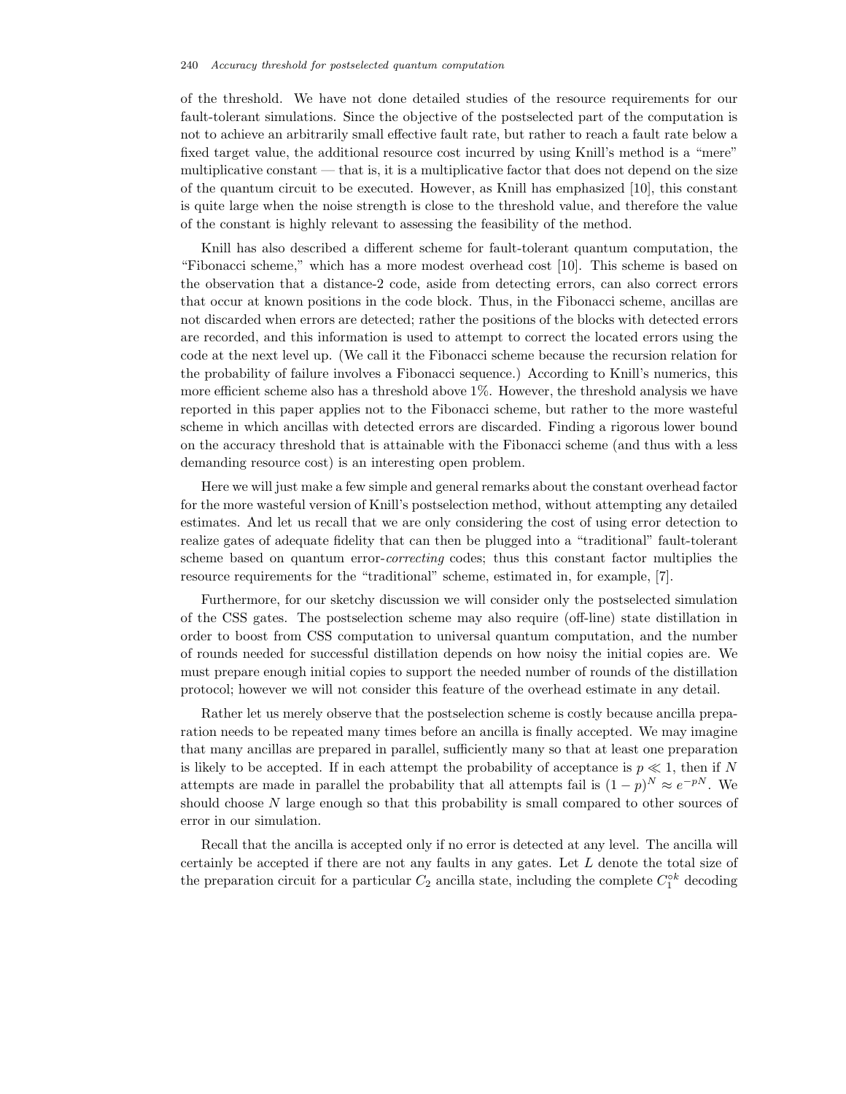of the threshold. We have not done detailed studies of the resource requirements for our fault-tolerant simulations. Since the objective of the postselected part of the computation is not to achieve an arbitrarily small effective fault rate, but rather to reach a fault rate below a fixed target value, the additional resource cost incurred by using Knill's method is a "mere" multiplicative constant — that is, it is a multiplicative factor that does not depend on the size of the quantum circuit to be executed. However, as Knill has emphasized [10], this constant is quite large when the noise strength is close to the threshold value, and therefore the value of the constant is highly relevant to assessing the feasibility of the method.

Knill has also described a different scheme for fault-tolerant quantum computation, the "Fibonacci scheme," which has a more modest overhead cost [10]. This scheme is based on the observation that a distance-2 code, aside from detecting errors, can also correct errors that occur at known positions in the code block. Thus, in the Fibonacci scheme, ancillas are not discarded when errors are detected; rather the positions of the blocks with detected errors are recorded, and this information is used to attempt to correct the located errors using the code at the next level up. (We call it the Fibonacci scheme because the recursion relation for the probability of failure involves a Fibonacci sequence.) According to Knill's numerics, this more efficient scheme also has a threshold above 1%. However, the threshold analysis we have reported in this paper applies not to the Fibonacci scheme, but rather to the more wasteful scheme in which ancillas with detected errors are discarded. Finding a rigorous lower bound on the accuracy threshold that is attainable with the Fibonacci scheme (and thus with a less demanding resource cost) is an interesting open problem.

Here we will just make a few simple and general remarks about the constant overhead factor for the more wasteful version of Knill's postselection method, without attempting any detailed estimates. And let us recall that we are only considering the cost of using error detection to realize gates of adequate fidelity that can then be plugged into a "traditional" fault-tolerant scheme based on quantum error-*correcting* codes; thus this constant factor multiplies the resource requirements for the "traditional" scheme, estimated in, for example, [7].

Furthermore, for our sketchy discussion we will consider only the postselected simulation of the CSS gates. The postselection scheme may also require (off-line) state distillation in order to boost from CSS computation to universal quantum computation, and the number of rounds needed for successful distillation depends on how noisy the initial copies are. We must prepare enough initial copies to support the needed number of rounds of the distillation protocol; however we will not consider this feature of the overhead estimate in any detail.

Rather let us merely observe that the postselection scheme is costly because ancilla preparation needs to be repeated many times before an ancilla is finally accepted. We may imagine that many ancillas are prepared in parallel, sufficiently many so that at least one preparation is likely to be accepted. If in each attempt the probability of acceptance is  $p \ll 1$ , then if N attempts are made in parallel the probability that all attempts fail is  $(1-p)^N \approx e^{-pN}$ . We should choose  $N$  large enough so that this probability is small compared to other sources of error in our simulation.

Recall that the ancilla is accepted only if no error is detected at any level. The ancilla will certainly be accepted if there are not any faults in any gates. Let L denote the total size of the preparation circuit for a particular  $C_2$  ancilla state, including the complete  $C_1^{\circ k}$  decoding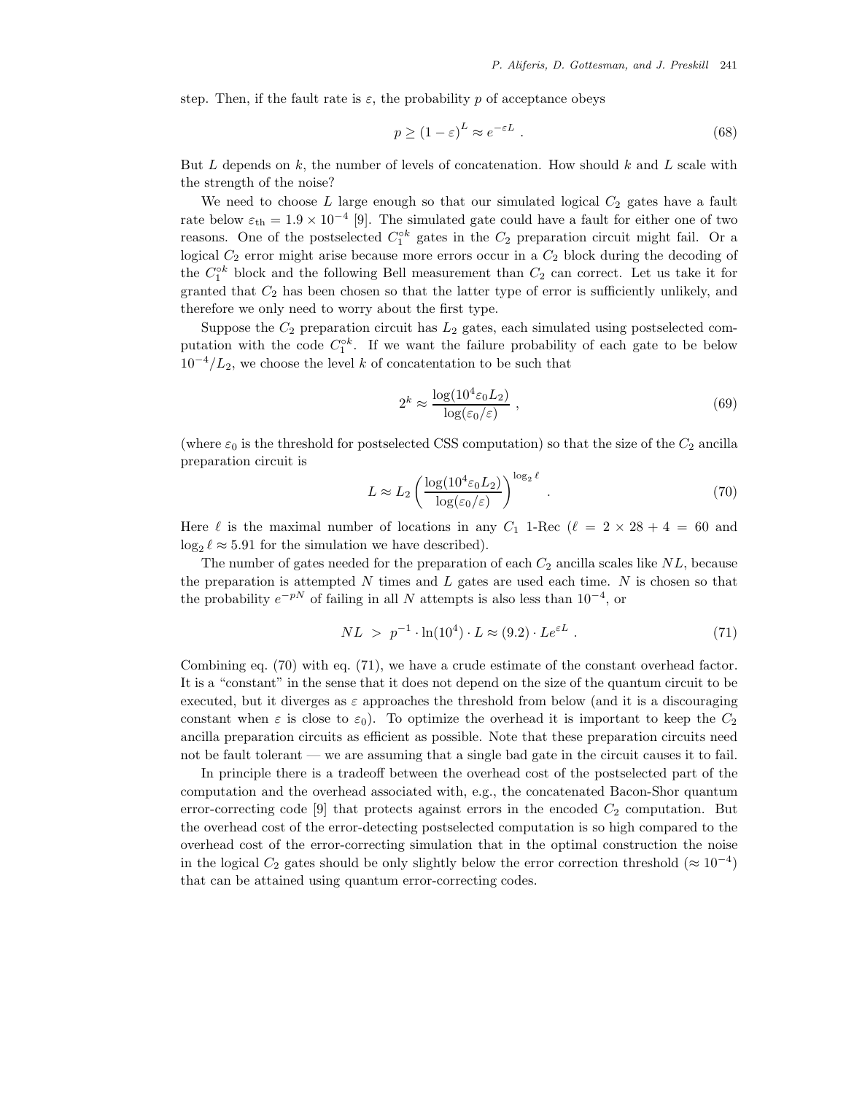step. Then, if the fault rate is  $\varepsilon$ , the probability p of acceptance obeys

$$
p \ge (1 - \varepsilon)^L \approx e^{-\varepsilon L} \tag{68}
$$

But  $L$  depends on  $k$ , the number of levels of concatenation. How should  $k$  and  $L$  scale with the strength of the noise?

We need to choose  $L$  large enough so that our simulated logical  $C_2$  gates have a fault rate below  $\varepsilon_{\text{th}} = 1.9 \times 10^{-4}$  [9]. The simulated gate could have a fault for either one of two reasons. One of the postselected  $C_1^{\circ k}$  gates in the  $C_2$  preparation circuit might fail. Or a logical  $C_2$  error might arise because more errors occur in a  $C_2$  block during the decoding of the  $C_1^{\circ k}$  block and the following Bell measurement than  $C_2$  can correct. Let us take it for granted that  $C_2$  has been chosen so that the latter type of error is sufficiently unlikely, and therefore we only need to worry about the first type.

Suppose the  $C_2$  preparation circuit has  $L_2$  gates, each simulated using postselected computation with the code  $C_1^{\circ k}$ . If we want the failure probability of each gate to be below  $10^{-4}/L_2$ , we choose the level k of concatentation to be such that

$$
2^k \approx \frac{\log(10^4 \varepsilon_0 L_2)}{\log(\varepsilon_0/\varepsilon)} \,, \tag{69}
$$

(where  $\varepsilon_0$  is the threshold for postselected CSS computation) so that the size of the  $C_2$  ancilla preparation circuit is

$$
L \approx L_2 \left( \frac{\log(10^4 \varepsilon_0 L_2)}{\log(\varepsilon_0/\varepsilon)} \right)^{\log_2 \ell} . \tag{70}
$$

Here  $\ell$  is the maximal number of locations in any  $C_1$  1-Rec  $(\ell = 2 \times 28 + 4 = 60)$  and  $\log_2 \ell \approx 5.91$  for the simulation we have described).

The number of gates needed for the preparation of each  $C_2$  ancilla scales like  $NL$ , because the preparation is attempted  $N$  times and  $L$  gates are used each time.  $N$  is chosen so that the probability  $e^{-pN}$  of failing in all N attempts is also less than  $10^{-4}$ , or

$$
NL > p^{-1} \cdot \ln(10^4) \cdot L \approx (9.2) \cdot Le^{\varepsilon L} . \tag{71}
$$

Combining eq. (70) with eq. (71), we have a crude estimate of the constant overhead factor. It is a "constant" in the sense that it does not depend on the size of the quantum circuit to be executed, but it diverges as  $\varepsilon$  approaches the threshold from below (and it is a discouraging constant when  $\varepsilon$  is close to  $\varepsilon_0$ ). To optimize the overhead it is important to keep the  $C_2$ ancilla preparation circuits as efficient as possible. Note that these preparation circuits need not be fault tolerant — we are assuming that a single bad gate in the circuit causes it to fail.

In principle there is a tradeoff between the overhead cost of the postselected part of the computation and the overhead associated with, e.g., the concatenated Bacon-Shor quantum error-correcting code  $[9]$  that protects against errors in the encoded  $C_2$  computation. But the overhead cost of the error-detecting postselected computation is so high compared to the overhead cost of the error-correcting simulation that in the optimal construction the noise in the logical  $C_2$  gates should be only slightly below the error correction threshold ( $\approx 10^{-4}$ ) that can be attained using quantum error-correcting codes.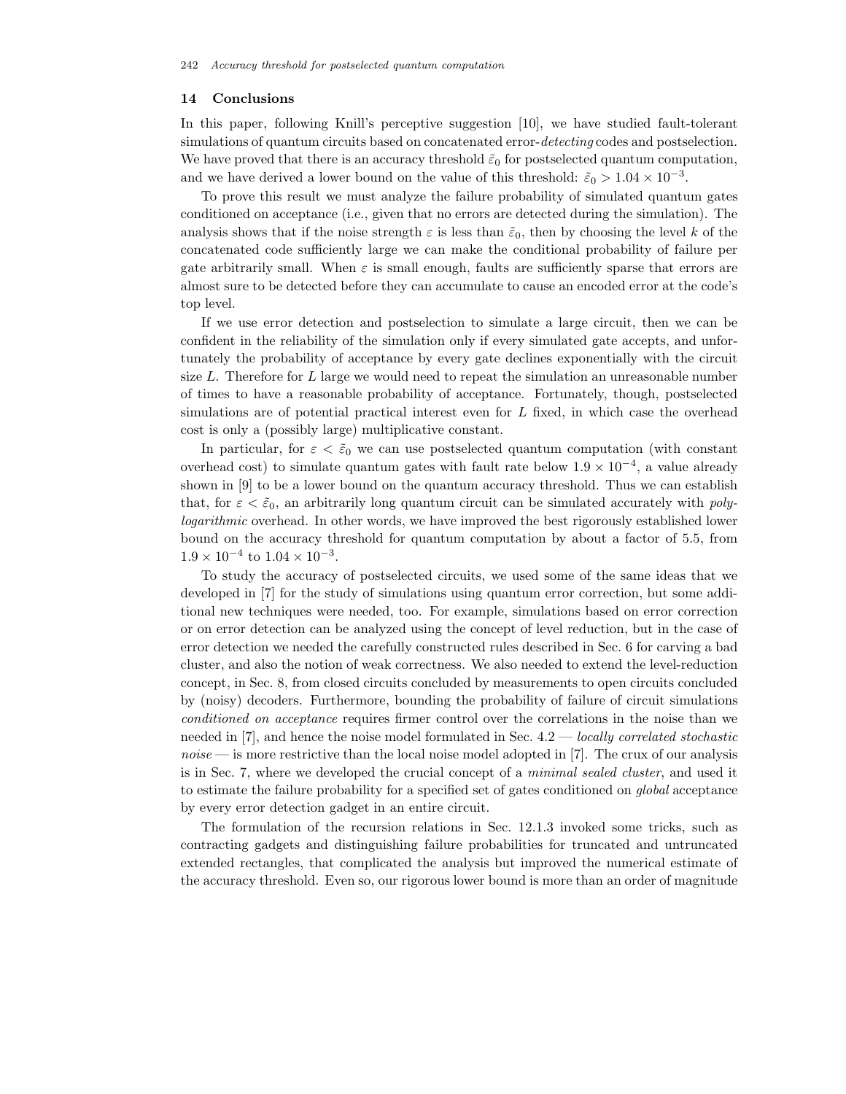## **14 Conclusions**

In this paper, following Knill's perceptive suggestion [10], we have studied fault-tolerant simulations of quantum circuits based on concatenated error-*detecting* codes and postselection. We have proved that there is an accuracy threshold  $\tilde{\varepsilon}_0$  for postselected quantum computation, and we have derived a lower bound on the value of this threshold:  $\tilde{\varepsilon}_0 > 1.04 \times 10^{-3}$ .

To prove this result we must analyze the failure probability of simulated quantum gates conditioned on acceptance (i.e., given that no errors are detected during the simulation). The analysis shows that if the noise strength  $\varepsilon$  is less than  $\tilde{\varepsilon}_0$ , then by choosing the level k of the concatenated code sufficiently large we can make the conditional probability of failure per gate arbitrarily small. When  $\varepsilon$  is small enough, faults are sufficiently sparse that errors are almost sure to be detected before they can accumulate to cause an encoded error at the code's top level.

If we use error detection and postselection to simulate a large circuit, then we can be confident in the reliability of the simulation only if every simulated gate accepts, and unfortunately the probability of acceptance by every gate declines exponentially with the circuit size  $L$ . Therefore for  $L$  large we would need to repeat the simulation an unreasonable number of times to have a reasonable probability of acceptance. Fortunately, though, postselected simulations are of potential practical interest even for L fixed, in which case the overhead cost is only a (possibly large) multiplicative constant.

In particular, for  $\varepsilon < \tilde{\varepsilon}_0$  we can use postselected quantum computation (with constant overhead cost) to simulate quantum gates with fault rate below  $1.9 \times 10^{-4}$ , a value already shown in [9] to be a lower bound on the quantum accuracy threshold. Thus we can establish that, for  $\varepsilon < \tilde{\varepsilon}_0$ , an arbitrarily long quantum circuit can be simulated accurately with *polylogarithmic* overhead. In other words, we have improved the best rigorously established lower bound on the accuracy threshold for quantum computation by about a factor of 5.5, from  $1.9 \times 10^{-4}$  to  $1.04 \times 10^{-3}$ .

To study the accuracy of postselected circuits, we used some of the same ideas that we developed in [7] for the study of simulations using quantum error correction, but some additional new techniques were needed, too. For example, simulations based on error correction or on error detection can be analyzed using the concept of level reduction, but in the case of error detection we needed the carefully constructed rules described in Sec. 6 for carving a bad cluster, and also the notion of weak correctness. We also needed to extend the level-reduction concept, in Sec. 8, from closed circuits concluded by measurements to open circuits concluded by (noisy) decoders. Furthermore, bounding the probability of failure of circuit simulations *conditioned on acceptance* requires firmer control over the correlations in the noise than we needed in [7], and hence the noise model formulated in Sec. 4.2 — *locally correlated stochastic noise* — is more restrictive than the local noise model adopted in [7]. The crux of our analysis is in Sec. 7, where we developed the crucial concept of a *minimal sealed cluster*, and used it to estimate the failure probability for a specified set of gates conditioned on *global* acceptance by every error detection gadget in an entire circuit.

The formulation of the recursion relations in Sec. 12.1.3 invoked some tricks, such as contracting gadgets and distinguishing failure probabilities for truncated and untruncated extended rectangles, that complicated the analysis but improved the numerical estimate of the accuracy threshold. Even so, our rigorous lower bound is more than an order of magnitude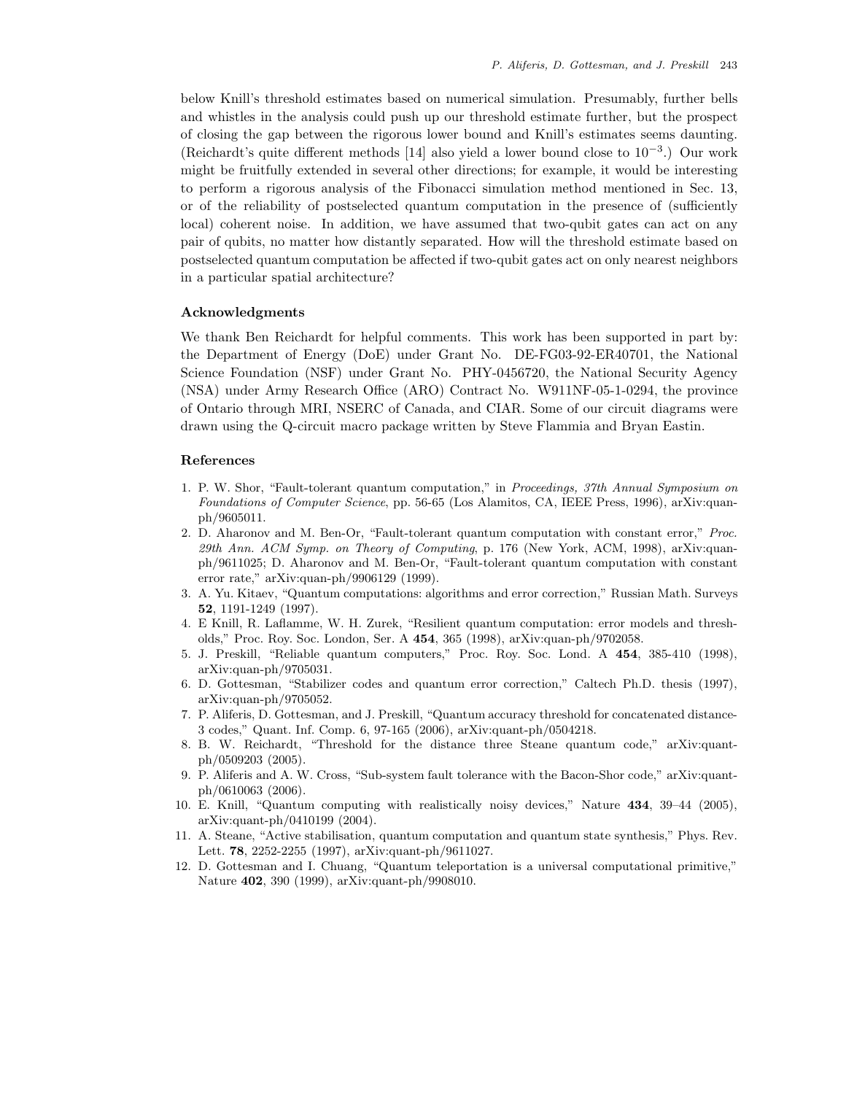below Knill's threshold estimates based on numerical simulation. Presumably, further bells and whistles in the analysis could push up our threshold estimate further, but the prospect of closing the gap between the rigorous lower bound and Knill's estimates seems daunting. (Reichardt's quite different methods [14] also yield a lower bound close to 10−3.) Our work might be fruitfully extended in several other directions; for example, it would be interesting to perform a rigorous analysis of the Fibonacci simulation method mentioned in Sec. 13, or of the reliability of postselected quantum computation in the presence of (sufficiently local) coherent noise. In addition, we have assumed that two-qubit gates can act on any pair of qubits, no matter how distantly separated. How will the threshold estimate based on postselected quantum computation be affected if two-qubit gates act on only nearest neighbors in a particular spatial architecture?

#### **Acknowledgments**

We thank Ben Reichardt for helpful comments. This work has been supported in part by: the Department of Energy (DoE) under Grant No. DE-FG03-92-ER40701, the National Science Foundation (NSF) under Grant No. PHY-0456720, the National Security Agency (NSA) under Army Research Office (ARO) Contract No. W911NF-05-1-0294, the province of Ontario through MRI, NSERC of Canada, and CIAR. Some of our circuit diagrams were drawn using the Q-circuit macro package written by Steve Flammia and Bryan Eastin.

#### **References**

- 1. P. W. Shor, "Fault-tolerant quantum computation," in Proceedings, 37th Annual Symposium on Foundations of Computer Science, pp. 56-65 (Los Alamitos, CA, IEEE Press, 1996), arXiv:quanph/9605011.
- 2. D. Aharonov and M. Ben-Or, "Fault-tolerant quantum computation with constant error," Proc. 29th Ann. ACM Symp. on Theory of Computing, p. 176 (New York, ACM, 1998), arXiv:quanph/9611025; D. Aharonov and M. Ben-Or, "Fault-tolerant quantum computation with constant error rate," arXiv:quan-ph/9906129 (1999).
- 3. A. Yu. Kitaev, "Quantum computations: algorithms and error correction," Russian Math. Surveys **52**, 1191-1249 (1997).
- 4. E Knill, R. Laflamme, W. H. Zurek, "Resilient quantum computation: error models and thresholds," Proc. Roy. Soc. London, Ser. A **454**, 365 (1998), arXiv:quan-ph/9702058.
- 5. J. Preskill, "Reliable quantum computers," Proc. Roy. Soc. Lond. A **454**, 385-410 (1998), arXiv:quan-ph/9705031.
- 6. D. Gottesman, "Stabilizer codes and quantum error correction," Caltech Ph.D. thesis (1997), arXiv:quan-ph/9705052.
- 7. P. Aliferis, D. Gottesman, and J. Preskill, "Quantum accuracy threshold for concatenated distance-3 codes," Quant. Inf. Comp. 6, 97-165 (2006), arXiv:quant-ph/0504218.
- 8. B. W. Reichardt, "Threshold for the distance three Steane quantum code," arXiv:quantph/0509203 (2005).
- 9. P. Aliferis and A. W. Cross, "Sub-system fault tolerance with the Bacon-Shor code," arXiv:quantph/0610063 (2006).
- 10. E. Knill, "Quantum computing with realistically noisy devices," Nature **434**, 39–44 (2005), arXiv:quant-ph/0410199 (2004).
- 11. A. Steane, "Active stabilisation, quantum computation and quantum state synthesis," Phys. Rev. Lett. **78**, 2252-2255 (1997), arXiv:quant-ph/9611027.
- 12. D. Gottesman and I. Chuang, "Quantum teleportation is a universal computational primitive," Nature **402**, 390 (1999), arXiv:quant-ph/9908010.